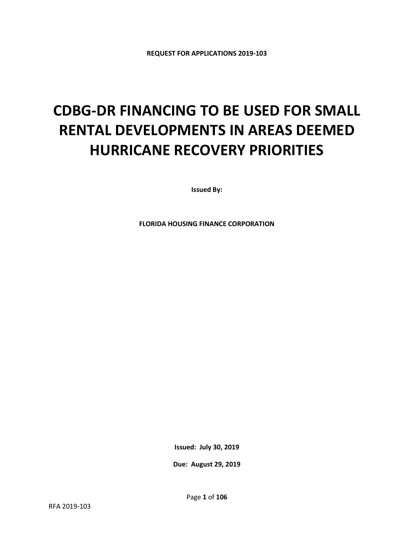# **CDBG-DR FINANCING TO BE USED FOR SMALL RENTAL DEVELOPMENTS IN AREAS DEEMED HURRICANE RECOVERY PRIORITIES**

**Issued By:**

**FLORIDA HOUSING FINANCE CORPORATION**

**Issued: July 30, 2019**

**Due: August 29, 2019**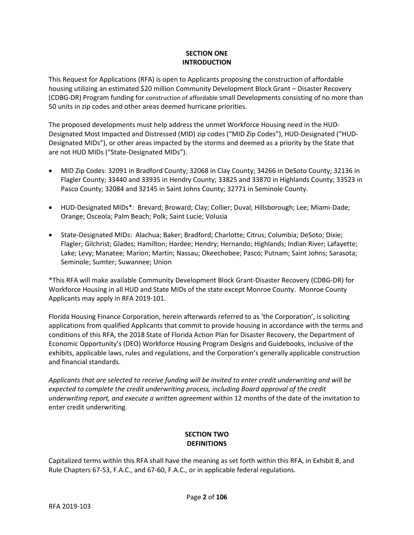# **SECTION ONE INTRODUCTION**

This Request for Applications (RFA) is open to Applicants proposing the construction of affordable housing utilizing an estimated \$20 million Community Development Block Grant – Disaster Recovery (CDBG-DR) Program funding for construction of affordable small Developments consisting of no more than 50 units in zip codes and other areas deemed hurricane priorities.

The proposed developments must help address the unmet Workforce Housing need in the HUD-Designated Most Impacted and Distressed (MID) zip codes ("MID Zip Codes"), HUD-Designated ("HUD-Designated MIDs"), or other areas impacted by the storms and deemed as a priority by the State that are not HUD MIDs ("State-Designated MIDs").

- MID Zip Codes: 32091 in Bradford County; 32068 in Clay County; 34266 in DeSoto County; 32136 in Flagler County; 33440 and 33935 in Hendry County; 33825 and 33870 in Highlands County; 33523 in Pasco County; 32084 and 32145 in Saint Johns County; 32771 in Seminole County.
- HUD-Designated MIDs\*: Brevard; Broward; Clay; Collier; Duval; Hillsborough; Lee; Miami-Dade; Orange; Osceola; Palm Beach; Polk; Saint Lucie; Volusia
- State-Designated MIDs: Alachua; Baker; Bradford; Charlotte; Citrus; Columbia; DeSoto; Dixie; Flagler; Gilchrist; Glades; Hamilton; Hardee; Hendry; Hernando; Highlands; Indian River; Lafayette; Lake; Levy; Manatee; Marion; Martin; Nassau; Okeechobee; Pasco; Putnam; Saint Johns; Sarasota; Seminole; Sumter; Suwannee; Union

\*This RFA will make available Community Development Block Grant-Disaster Recovery (CDBG-DR) for Workforce Housing in all HUD and State MIDs of the state except Monroe County. Monroe County Applicants may apply in RFA 2019-101.

Florida Housing Finance Corporation, herein afterwards referred to as 'the Corporation', is soliciting applications from qualified Applicants that commit to provide housing in accordance with the terms and conditions of this RFA, the 2018 State of Florida Action Plan for Disaster Recovery, the Department of Economic Opportunity's (DEO) Workforce Housing Program Designs and Guidebooks, inclusive of the exhibits, applicable laws, rules and regulations, and the Corporation's generally applicable construction and financial standards.

*Applicants that are selected to receive funding will be invited to enter credit underwriting and will be expected to complete the credit underwriting process, including Board approval of the credit underwriting report, and execute a written agreement* within 12 months of the date of the invitation to enter credit underwriting.

# **SECTION TWO DEFINITIONS**

Capitalized terms within this RFA shall have the meaning as set forth within this RFA, in Exhibit B, and Rule Chapters 67-53, F.A.C., and 67-60, F.A.C., or in applicable federal regulations.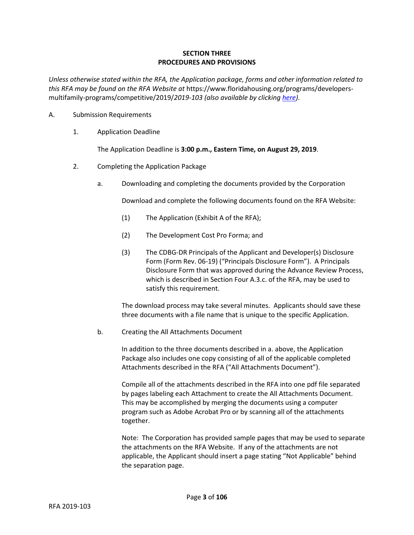# **SECTION THREE PROCEDURES AND PROVISIONS**

*Unless otherwise stated within the RFA, the Application package, forms and other information related to this RFA may be found on the RFA Website at* https://www.floridahousing.org/programs/developersmultifamily-programs/competitive/2019/*2019-103 (also available by clickin[g here\)](https://www.floridahousing.org/programs/developers-multifamily-programs/competitive/2019/2019-103).*

- A. Submission Requirements
	- 1. Application Deadline

The Application Deadline is **3:00 p.m., Eastern Time, on August 29, 2019**.

- 2. Completing the Application Package
	- a. Downloading and completing the documents provided by the Corporation

Download and complete the following documents found on the RFA Website:

- (1) The Application (Exhibit A of the RFA);
- (2) The Development Cost Pro Forma; and
- (3) The CDBG-DR Principals of the Applicant and Developer(s) Disclosure Form (Form Rev. 06-19) ("Principals Disclosure Form"). A Principals Disclosure Form that was approved during the Advance Review Process, which is described in Section Four A.3.c. of the RFA, may be used to satisfy this requirement.

The download process may take several minutes. Applicants should save these three documents with a file name that is unique to the specific Application.

b. Creating the All Attachments Document

In addition to the three documents described in a. above, the Application Package also includes one copy consisting of all of the applicable completed Attachments described in the RFA ("All Attachments Document").

Compile all of the attachments described in the RFA into one pdf file separated by pages labeling each Attachment to create the All Attachments Document. This may be accomplished by merging the documents using a computer program such as Adobe Acrobat Pro or by scanning all of the attachments together.

Note: The Corporation has provided sample pages that may be used to separate the attachments on the RFA Website. If any of the attachments are not applicable, the Applicant should insert a page stating "Not Applicable" behind the separation page.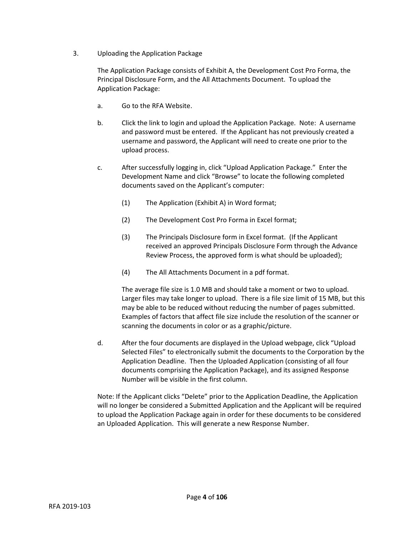3. Uploading the Application Package

The Application Package consists of Exhibit A, the Development Cost Pro Forma, the Principal Disclosure Form, and the All Attachments Document. To upload the Application Package:

- a. Go to the RFA Website.
- b. Click the link to login and upload the Application Package. Note: A username and password must be entered. If the Applicant has not previously created a username and password, the Applicant will need to create one prior to the upload process.
- c. After successfully logging in, click "Upload Application Package." Enter the Development Name and click "Browse" to locate the following completed documents saved on the Applicant's computer:
	- (1) The Application (Exhibit A) in Word format;
	- (2) The Development Cost Pro Forma in Excel format;
	- (3) The Principals Disclosure form in Excel format. (If the Applicant received an approved Principals Disclosure Form through the Advance Review Process, the approved form is what should be uploaded);
	- (4) The All Attachments Document in a pdf format.

The average file size is 1.0 MB and should take a moment or two to upload. Larger files may take longer to upload. There is a file size limit of 15 MB, but this may be able to be reduced without reducing the number of pages submitted. Examples of factors that affect file size include the resolution of the scanner or scanning the documents in color or as a graphic/picture.

d. After the four documents are displayed in the Upload webpage, click "Upload Selected Files" to electronically submit the documents to the Corporation by the Application Deadline. Then the Uploaded Application (consisting of all four documents comprising the Application Package), and its assigned Response Number will be visible in the first column.

Note: If the Applicant clicks "Delete" prior to the Application Deadline, the Application will no longer be considered a Submitted Application and the Applicant will be required to upload the Application Package again in order for these documents to be considered an Uploaded Application. This will generate a new Response Number.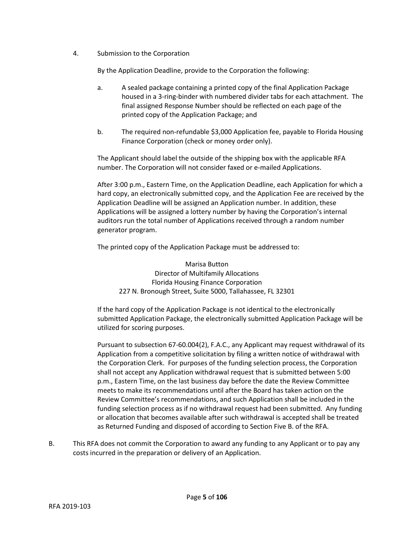4. Submission to the Corporation

By the Application Deadline, provide to the Corporation the following:

- a. A sealed package containing a printed copy of the final Application Package housed in a 3-ring-binder with numbered divider tabs for each attachment. The final assigned Response Number should be reflected on each page of the printed copy of the Application Package; and
- b. The required non-refundable \$3,000 Application fee, payable to Florida Housing Finance Corporation (check or money order only).

The Applicant should label the outside of the shipping box with the applicable RFA number. The Corporation will not consider faxed or e-mailed Applications.

After 3:00 p.m., Eastern Time, on the Application Deadline, each Application for which a hard copy, an electronically submitted copy, and the Application Fee are received by the Application Deadline will be assigned an Application number. In addition, these Applications will be assigned a lottery number by having the Corporation's internal auditors run the total number of Applications received through a random number generator program.

The printed copy of the Application Package must be addressed to:

Marisa Button Director of Multifamily Allocations Florida Housing Finance Corporation 227 N. Bronough Street, Suite 5000, Tallahassee, FL 32301

If the hard copy of the Application Package is not identical to the electronically submitted Application Package, the electronically submitted Application Package will be utilized for scoring purposes.

Pursuant to subsection 67-60.004(2), F.A.C., any Applicant may request withdrawal of its Application from a competitive solicitation by filing a written notice of withdrawal with the Corporation Clerk. For purposes of the funding selection process, the Corporation shall not accept any Application withdrawal request that is submitted between 5:00 p.m., Eastern Time, on the last business day before the date the Review Committee meets to make its recommendations until after the Board has taken action on the Review Committee's recommendations, and such Application shall be included in the funding selection process as if no withdrawal request had been submitted. Any funding or allocation that becomes available after such withdrawal is accepted shall be treated as Returned Funding and disposed of according to Section Five B. of the RFA.

B. This RFA does not commit the Corporation to award any funding to any Applicant or to pay any costs incurred in the preparation or delivery of an Application.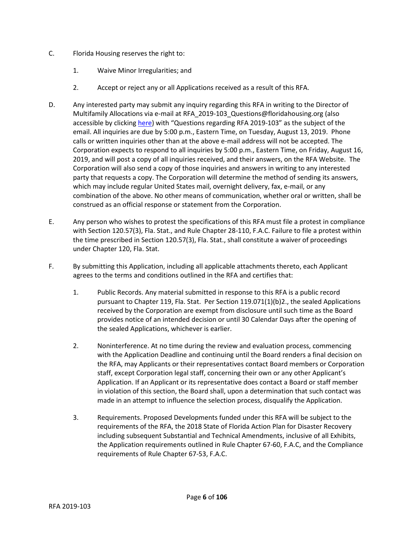- C. Florida Housing reserves the right to:
	- 1. Waive Minor Irregularities; and
	- 2. Accept or reject any or all Applications received as a result of this RFA.
- D. Any interested party may submit any inquiry regarding this RFA in writing to the Director of Multifamily Allocations via e-mail at RFA\_2019-103\_Questions@floridahousing.org (also accessible by clicking [here](mailto:RFA_2019-103_Questions@floridahousing.org?subject=Questions%20regarding%20RFA%202019-103)) with "Questions regarding RFA 2019-103" as the subject of the email. All inquiries are due by 5:00 p.m., Eastern Time, on Tuesday, August 13, 2019. Phone calls or written inquiries other than at the above e-mail address will not be accepted. The Corporation expects to respond to all inquiries by 5:00 p.m., Eastern Time, on Friday, August 16, 2019, and will post a copy of all inquiries received, and their answers, on the RFA Website. The Corporation will also send a copy of those inquiries and answers in writing to any interested party that requests a copy. The Corporation will determine the method of sending its answers, which may include regular United States mail, overnight delivery, fax, e-mail, or any combination of the above. No other means of communication, whether oral or written, shall be construed as an official response or statement from the Corporation.
- E. Any person who wishes to protest the specifications of this RFA must file a protest in compliance with Section 120.57(3), Fla. Stat., and Rule Chapter 28-110, F.A.C. Failure to file a protest within the time prescribed in Section 120.57(3), Fla. Stat., shall constitute a waiver of proceedings under Chapter 120, Fla. Stat.
- F. By submitting this Application, including all applicable attachments thereto, each Applicant agrees to the terms and conditions outlined in the RFA and certifies that:
	- 1. Public Records. Any material submitted in response to this RFA is a public record pursuant to Chapter 119, Fla. Stat. Per Section 119.071(1)(b)2., the sealed Applications received by the Corporation are exempt from disclosure until such time as the Board provides notice of an intended decision or until 30 Calendar Days after the opening of the sealed Applications, whichever is earlier.
	- 2. Noninterference. At no time during the review and evaluation process, commencing with the Application Deadline and continuing until the Board renders a final decision on the RFA, may Applicants or their representatives contact Board members or Corporation staff, except Corporation legal staff, concerning their own or any other Applicant's Application. If an Applicant or its representative does contact a Board or staff member in violation of this section, the Board shall, upon a determination that such contact was made in an attempt to influence the selection process, disqualify the Application.
	- 3. Requirements. Proposed Developments funded under this RFA will be subject to the requirements of the RFA, the 2018 State of Florida Action Plan for Disaster Recovery including subsequent Substantial and Technical Amendments, inclusive of all Exhibits, the Application requirements outlined in Rule Chapter 67-60, F.A.C, and the Compliance requirements of Rule Chapter 67-53, F.A.C.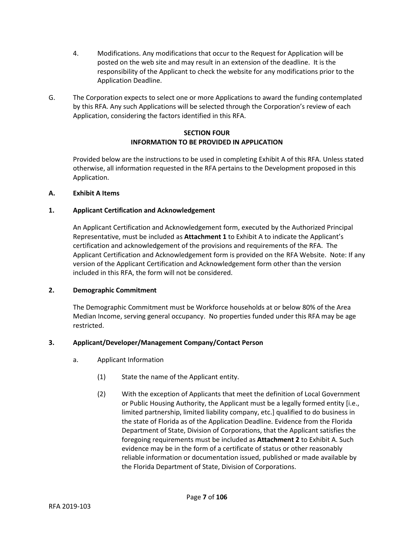- 4. Modifications. Any modifications that occur to the Request for Application will be posted on the web site and may result in an extension of the deadline. It is the responsibility of the Applicant to check the website for any modifications prior to the Application Deadline.
- G. The Corporation expects to select one or more Applications to award the funding contemplated by this RFA. Any such Applications will be selected through the Corporation's review of each Application, considering the factors identified in this RFA.

# **SECTION FOUR INFORMATION TO BE PROVIDED IN APPLICATION**

Provided below are the instructions to be used in completing Exhibit A of this RFA. Unless stated otherwise, all information requested in the RFA pertains to the Development proposed in this Application.

# **A. Exhibit A Items**

# **1. Applicant Certification and Acknowledgement**

An Applicant Certification and Acknowledgement form, executed by the Authorized Principal Representative, must be included as **Attachment 1** to Exhibit A to indicate the Applicant's certification and acknowledgement of the provisions and requirements of the RFA. The Applicant Certification and Acknowledgement form is provided on the RFA Website. Note: If any version of the Applicant Certification and Acknowledgement form other than the version included in this RFA, the form will not be considered.

# **2. Demographic Commitment**

The Demographic Commitment must be Workforce households at or below 80% of the Area Median Income, serving general occupancy. No properties funded under this RFA may be age restricted.

# **3. Applicant/Developer/Management Company/Contact Person**

- a. Applicant Information
	- (1) State the name of the Applicant entity.
	- (2) With the exception of Applicants that meet the definition of Local Government or Public Housing Authority, the Applicant must be a legally formed entity [i.e., limited partnership, limited liability company, etc.] qualified to do business in the state of Florida as of the Application Deadline. Evidence from the Florida Department of State, Division of Corporations, that the Applicant satisfies the foregoing requirements must be included as **Attachment 2** to Exhibit A. Such evidence may be in the form of a certificate of status or other reasonably reliable information or documentation issued, published or made available by the Florida Department of State, Division of Corporations.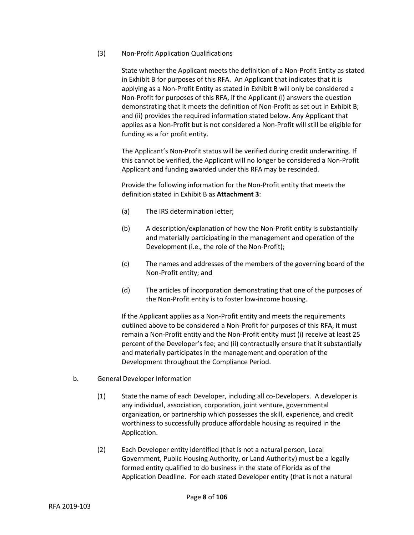(3) Non-Profit Application Qualifications

State whether the Applicant meets the definition of a Non-Profit Entity as stated in Exhibit B for purposes of this RFA. An Applicant that indicates that it is applying as a Non-Profit Entity as stated in Exhibit B will only be considered a Non-Profit for purposes of this RFA, if the Applicant (i) answers the question demonstrating that it meets the definition of Non-Profit as set out in Exhibit B; and (ii) provides the required information stated below. Any Applicant that applies as a Non-Profit but is not considered a Non-Profit will still be eligible for funding as a for profit entity.

The Applicant's Non-Profit status will be verified during credit underwriting. If this cannot be verified, the Applicant will no longer be considered a Non-Profit Applicant and funding awarded under this RFA may be rescinded.

Provide the following information for the Non-Profit entity that meets the definition stated in Exhibit B as **Attachment 3**:

- (a) The IRS determination letter;
- (b) A description/explanation of how the Non-Profit entity is substantially and materially participating in the management and operation of the Development (i.e., the role of the Non-Profit);
- (c) The names and addresses of the members of the governing board of the Non-Profit entity; and
- (d) The articles of incorporation demonstrating that one of the purposes of the Non-Profit entity is to foster low-income housing.

If the Applicant applies as a Non-Profit entity and meets the requirements outlined above to be considered a Non-Profit for purposes of this RFA, it must remain a Non-Profit entity and the Non-Profit entity must (i) receive at least 25 percent of the Developer's fee; and (ii) contractually ensure that it substantially and materially participates in the management and operation of the Development throughout the Compliance Period.

- b. General Developer Information
	- (1) State the name of each Developer, including all co-Developers. A developer is any individual, association, corporation, joint venture, governmental organization, or partnership which possesses the skill, experience, and credit worthiness to successfully produce affordable housing as required in the Application.
	- (2) Each Developer entity identified (that is not a natural person, Local Government, Public Housing Authority, or Land Authority) must be a legally formed entity qualified to do business in the state of Florida as of the Application Deadline. For each stated Developer entity (that is not a natural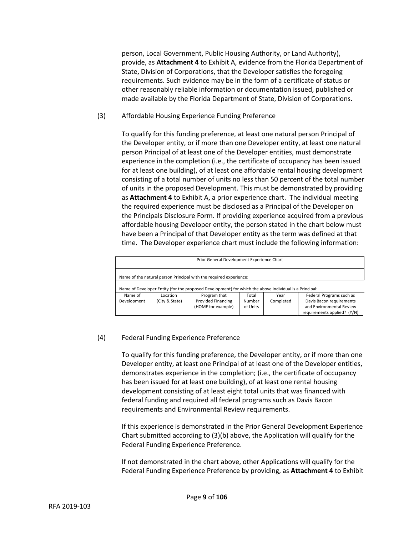person, Local Government, Public Housing Authority, or Land Authority), provide, as **Attachment 4** to Exhibit A, evidence from the Florida Department of State, Division of Corporations, that the Developer satisfies the foregoing requirements. Such evidence may be in the form of a certificate of status or other reasonably reliable information or documentation issued, published or made available by the Florida Department of State, Division of Corporations.

(3) Affordable Housing Experience Funding Preference

To qualify for this funding preference, at least one natural person Principal of the Developer entity, or if more than one Developer entity, at least one natural person Principal of at least one of the Developer entities, must demonstrate experience in the completion (i.e., the certificate of occupancy has been issued for at least one building), of at least one affordable rental housing development consisting of a total number of units no less than 50 percent of the total number of units in the proposed Development. This must be demonstrated by providing as **Attachment 4** to Exhibit A, a prior experience chart. The individual meeting the required experience must be disclosed as a Principal of the Developer on the Principals Disclosure Form. If providing experience acquired from a previous affordable housing Developer entity, the person stated in the chart below must have been a Principal of that Developer entity as the term was defined at that time. The Developer experience chart must include the following information:

| Prior General Development Experience Chart                         |                                                                                                |                                                                                                        |          |      |                             |  |  |  |  |  |
|--------------------------------------------------------------------|------------------------------------------------------------------------------------------------|--------------------------------------------------------------------------------------------------------|----------|------|-----------------------------|--|--|--|--|--|
|                                                                    |                                                                                                |                                                                                                        |          |      |                             |  |  |  |  |  |
| Name of the natural person Principal with the required experience: |                                                                                                |                                                                                                        |          |      |                             |  |  |  |  |  |
|                                                                    |                                                                                                |                                                                                                        |          |      |                             |  |  |  |  |  |
|                                                                    |                                                                                                | Name of Developer Entity (for the proposed Development) for which the above individual is a Principal: |          |      |                             |  |  |  |  |  |
| Name of                                                            | Location                                                                                       | Program that                                                                                           | Total    | Year | Federal Programs such as    |  |  |  |  |  |
| Development                                                        | <b>Provided Financing</b><br>Davis Bacon requirements<br>(City & State)<br>Number<br>Completed |                                                                                                        |          |      |                             |  |  |  |  |  |
|                                                                    |                                                                                                | (HOME for example)                                                                                     | of Units |      | and Environmental Review    |  |  |  |  |  |
|                                                                    |                                                                                                |                                                                                                        |          |      | requirements applied? (Y/N) |  |  |  |  |  |

# (4) Federal Funding Experience Preference

To qualify for this funding preference, the Developer entity, or if more than one Developer entity, at least one Principal of at least one of the Developer entities, demonstrates experience in the completion; (i.e., the certificate of occupancy has been issued for at least one building), of at least one rental housing development consisting of at least eight total units that was financed with federal funding and required all federal programs such as Davis Bacon requirements and Environmental Review requirements.

If this experience is demonstrated in the Prior General Development Experience Chart submitted according to (3)(b) above, the Application will qualify for the Federal Funding Experience Preference.

If not demonstrated in the chart above, other Applications will qualify for the Federal Funding Experience Preference by providing, as **Attachment 4** to Exhibit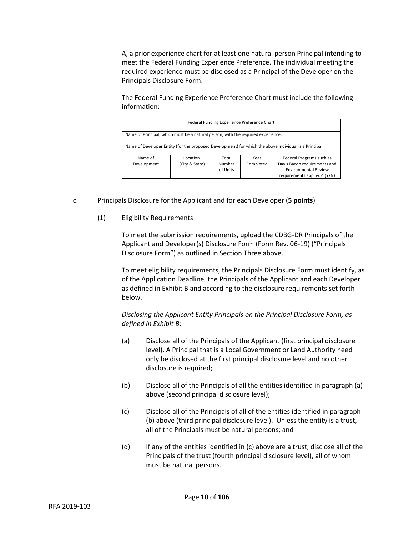A, a prior experience chart for at least one natural person Principal intending to meet the Federal Funding Experience Preference. The individual meeting the required experience must be disclosed as a Principal of the Developer on the Principals Disclosure Form.

The Federal Funding Experience Preference Chart must include the following information:

| Federal Funding Experience Preference Chart                                                            |                                                       |                    |           |                                                             |  |  |  |  |
|--------------------------------------------------------------------------------------------------------|-------------------------------------------------------|--------------------|-----------|-------------------------------------------------------------|--|--|--|--|
| Name of Principal, which must be a natural person, with the required experience:                       |                                                       |                    |           |                                                             |  |  |  |  |
| Name of Developer Entity (for the proposed Development) for which the above individual is a Principal: |                                                       |                    |           |                                                             |  |  |  |  |
| Name of                                                                                                | Federal Programs such as<br>Total<br>Location<br>Year |                    |           |                                                             |  |  |  |  |
| Development                                                                                            | (City & State)                                        | Number<br>of Units | Completed | Davis Bacon requirements and<br><b>Environmental Review</b> |  |  |  |  |
|                                                                                                        |                                                       |                    |           | requirements applied? (Y/N)                                 |  |  |  |  |

- c. Principals Disclosure for the Applicant and for each Developer (**5 points**)
	- (1) Eligibility Requirements

To meet the submission requirements, upload the CDBG-DR Principals of the Applicant and Developer(s) Disclosure Form (Form Rev. 06-19) ("Principals Disclosure Form") as outlined in Section Three above.

To meet eligibility requirements, the Principals Disclosure Form must identify, as of the Application Deadline, the Principals of the Applicant and each Developer as defined in Exhibit B and according to the disclosure requirements set forth below.

*Disclosing the Applicant Entity Principals on the Principal Disclosure Form, as defined in Exhibit B*:

- (a) Disclose all of the Principals of the Applicant (first principal disclosure level). A Principal that is a Local Government or Land Authority need only be disclosed at the first principal disclosure level and no other disclosure is required;
- (b) Disclose all of the Principals of all the entities identified in paragraph (a) above (second principal disclosure level);
- (c) Disclose all of the Principals of all of the entities identified in paragraph (b) above (third principal disclosure level). Unless the entity is a trust, all of the Principals must be natural persons; and
- (d) If any of the entities identified in (c) above are a trust, disclose all of the Principals of the trust (fourth principal disclosure level), all of whom must be natural persons.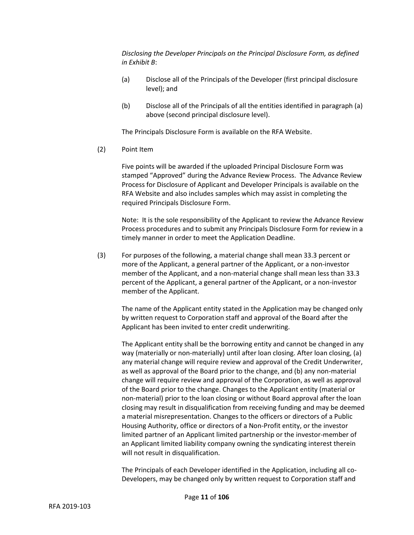*Disclosing the Developer Principals on the Principal Disclosure Form, as defined in Exhibit B*:

- (a) Disclose all of the Principals of the Developer (first principal disclosure level); and
- (b) Disclose all of the Principals of all the entities identified in paragraph (a) above (second principal disclosure level).

The Principals Disclosure Form is available on the RFA Website.

(2) Point Item

Five points will be awarded if the uploaded Principal Disclosure Form was stamped "Approved" during the Advance Review Process. The Advance Review Process for Disclosure of Applicant and Developer Principals is available on the RFA Website and also includes samples which may assist in completing the required Principals Disclosure Form.

Note: It is the sole responsibility of the Applicant to review the Advance Review Process procedures and to submit any Principals Disclosure Form for review in a timely manner in order to meet the Application Deadline.

(3) For purposes of the following, a material change shall mean 33.3 percent or more of the Applicant, a general partner of the Applicant, or a non-investor member of the Applicant, and a non-material change shall mean less than 33.3 percent of the Applicant, a general partner of the Applicant, or a non-investor member of the Applicant.

The name of the Applicant entity stated in the Application may be changed only by written request to Corporation staff and approval of the Board after the Applicant has been invited to enter credit underwriting.

The Applicant entity shall be the borrowing entity and cannot be changed in any way (materially or non-materially) until after loan closing. After loan closing, (a) any material change will require review and approval of the Credit Underwriter, as well as approval of the Board prior to the change, and (b) any non-material change will require review and approval of the Corporation, as well as approval of the Board prior to the change. Changes to the Applicant entity (material or non-material) prior to the loan closing or without Board approval after the loan closing may result in disqualification from receiving funding and may be deemed a material misrepresentation. Changes to the officers or directors of a Public Housing Authority, office or directors of a Non-Profit entity, or the investor limited partner of an Applicant limited partnership or the investor-member of an Applicant limited liability company owning the syndicating interest therein will not result in disqualification.

The Principals of each Developer identified in the Application, including all co-Developers, may be changed only by written request to Corporation staff and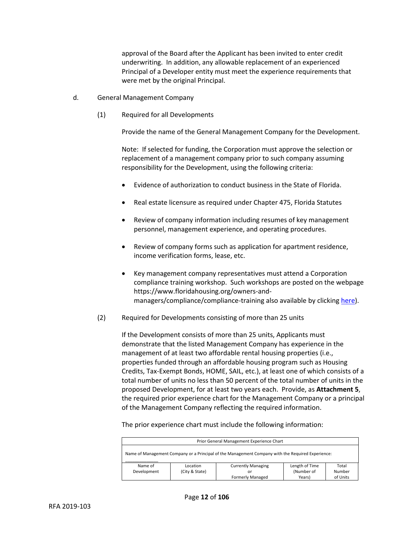approval of the Board after the Applicant has been invited to enter credit underwriting. In addition, any allowable replacement of an experienced Principal of a Developer entity must meet the experience requirements that were met by the original Principal.

- d. General Management Company
	- (1) Required for all Developments

Provide the name of the General Management Company for the Development.

Note: If selected for funding, the Corporation must approve the selection or replacement of a management company prior to such company assuming responsibility for the Development, using the following criteria:

- Evidence of authorization to conduct business in the State of Florida.
- Real estate licensure as required under Chapter 475, Florida Statutes
- Review of company information including resumes of key management personnel, management experience, and operating procedures.
- Review of company forms such as application for apartment residence, income verification forms, lease, etc.
- Key management company representatives must attend a Corporation compliance training workshop. Such workshops are posted on the webpage https://www.floridahousing.org/owners-andmanagers/compliance/compliance-training also available by clickin[g here\)](https://www.floridahousing.org/owners-and-managers/compliance/compliance-training).
- (2) Required for Developments consisting of more than 25 units

If the Development consists of more than 25 units, Applicants must demonstrate that the listed Management Company has experience in the management of at least two affordable rental housing properties (i.e., properties funded through an affordable housing program such as Housing Credits, Tax-Exempt Bonds, HOME, SAIL, etc.), at least one of which consists of a total number of units no less than 50 percent of the total number of units in the proposed Development, for at least two years each. Provide, as **Attachment 5**, the required prior experience chart for the Management Company or a principal of the Management Company reflecting the required information.

The prior experience chart must include the following information:

| Prior General Management Experience Chart                                                         |                                               |  |  |  |  |  |  |
|---------------------------------------------------------------------------------------------------|-----------------------------------------------|--|--|--|--|--|--|
| Name of Management Company or a Principal of the Management Company with the Required Experience: |                                               |  |  |  |  |  |  |
| Length of Time<br><b>Currently Managing</b><br>Total<br>Name of<br>Location                       |                                               |  |  |  |  |  |  |
| Development                                                                                       | (Number of<br>(City & State)<br>Number<br>or  |  |  |  |  |  |  |
|                                                                                                   | <b>Formerly Managed</b><br>of Units<br>Years) |  |  |  |  |  |  |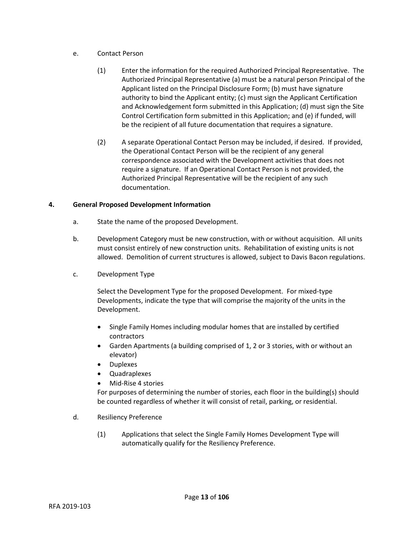- e. Contact Person
	- (1) Enter the information for the required Authorized Principal Representative. The Authorized Principal Representative (a) must be a natural person Principal of the Applicant listed on the Principal Disclosure Form; (b) must have signature authority to bind the Applicant entity; (c) must sign the Applicant Certification and Acknowledgement form submitted in this Application; (d) must sign the Site Control Certification form submitted in this Application; and (e) if funded, will be the recipient of all future documentation that requires a signature.
	- (2) A separate Operational Contact Person may be included, if desired. If provided, the Operational Contact Person will be the recipient of any general correspondence associated with the Development activities that does not require a signature. If an Operational Contact Person is not provided, the Authorized Principal Representative will be the recipient of any such documentation.

# **4. General Proposed Development Information**

- a. State the name of the proposed Development.
- b. Development Category must be new construction, with or without acquisition. All units must consist entirely of new construction units. Rehabilitation of existing units is not allowed. Demolition of current structures is allowed, subject to Davis Bacon regulations.
- c. Development Type

Select the Development Type for the proposed Development. For mixed-type Developments, indicate the type that will comprise the majority of the units in the Development.

- Single Family Homes including modular homes that are installed by certified contractors
- Garden Apartments (a building comprised of 1, 2 or 3 stories, with or without an elevator)
- Duplexes
- Quadraplexes
- Mid-Rise 4 stories

For purposes of determining the number of stories, each floor in the building(s) should be counted regardless of whether it will consist of retail, parking, or residential.

- d. Resiliency Preference
	- (1) Applications that select the Single Family Homes Development Type will automatically qualify for the Resiliency Preference.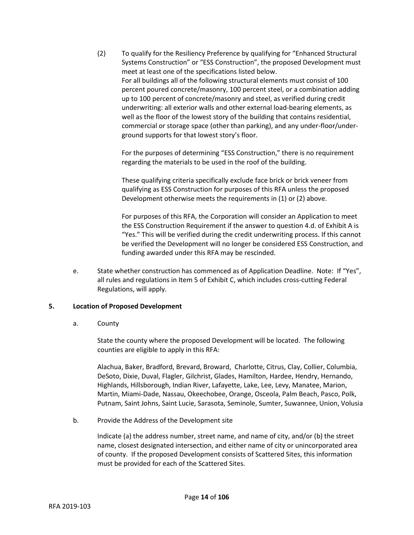(2) To qualify for the Resiliency Preference by qualifying for "Enhanced Structural Systems Construction" or "ESS Construction", the proposed Development must meet at least one of the specifications listed below. For all buildings all of the following structural elements must consist of 100 percent poured concrete/masonry, 100 percent steel, or a combination adding up to 100 percent of concrete/masonry and steel, as verified during credit underwriting: all exterior walls and other external load-bearing elements, as well as the floor of the lowest story of the building that contains residential, commercial or storage space (other than parking), and any under-floor/underground supports for that lowest story's floor.

For the purposes of determining "ESS Construction," there is no requirement regarding the materials to be used in the roof of the building.

These qualifying criteria specifically exclude face brick or brick veneer from qualifying as ESS Construction for purposes of this RFA unless the proposed Development otherwise meets the requirements in (1) or (2) above.

For purposes of this RFA, the Corporation will consider an Application to meet the ESS Construction Requirement if the answer to question 4.d. of Exhibit A is "Yes." This will be verified during the credit underwriting process. If this cannot be verified the Development will no longer be considered ESS Construction, and funding awarded under this RFA may be rescinded.

e. State whether construction has commenced as of Application Deadline. Note: If "Yes", all rules and regulations in Item 5 of Exhibit C, which includes cross-cutting Federal Regulations, will apply.

# **5. Location of Proposed Development**

a. County

State the county where the proposed Development will be located. The following counties are eligible to apply in this RFA:

Alachua, Baker, Bradford, Brevard, Broward, Charlotte, Citrus, Clay, Collier, Columbia, DeSoto, Dixie, Duval, Flagler, Gilchrist, Glades, Hamilton, Hardee, Hendry, Hernando, Highlands, Hillsborough, Indian River, Lafayette, Lake, Lee, Levy, Manatee, Marion, Martin, Miami-Dade, Nassau, Okeechobee, Orange, Osceola, Palm Beach, Pasco, Polk, Putnam, Saint Johns, Saint Lucie, Sarasota, Seminole, Sumter, Suwannee, Union, Volusia

b. Provide the Address of the Development site

Indicate (a) the address number, street name, and name of city, and/or (b) the street name, closest designated intersection, and either name of city or unincorporated area of county. If the proposed Development consists of Scattered Sites, this information must be provided for each of the Scattered Sites.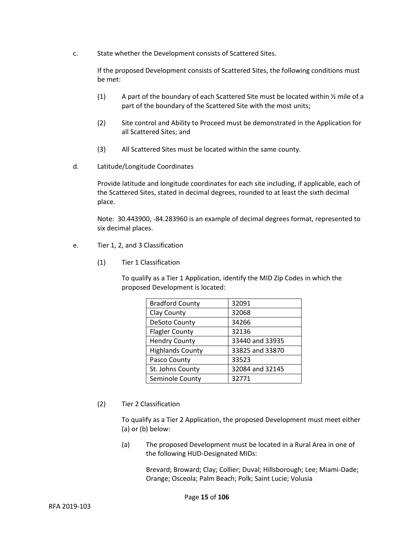c. State whether the Development consists of Scattered Sites.

If the proposed Development consists of Scattered Sites, the following conditions must be met:

- (1) A part of the boundary of each Scattered Site must be located within  $\frac{1}{2}$  mile of a part of the boundary of the Scattered Site with the most units;
- (2) Site control and Ability to Proceed must be demonstrated in the Application for all Scattered Sites; and
- (3) All Scattered Sites must be located within the same county.
- d. Latitude/Longitude Coordinates

Provide latitude and longitude coordinates for each site including, if applicable, each of the Scattered Sites, stated in decimal degrees, rounded to at least the sixth decimal place.

Note: 30.443900, -84.283960 is an example of decimal degrees format, represented to six decimal places.

- e. Tier 1, 2, and 3 Classification
	- (1) Tier 1 Classification

To qualify as a Tier 1 Application, identify the MID Zip Codes in which the proposed Development is located:

| <b>Bradford County</b>  | 32091           |
|-------------------------|-----------------|
| Clay County             | 32068           |
| DeSoto County           | 34266           |
| <b>Flagler County</b>   | 32136           |
| <b>Hendry County</b>    | 33440 and 33935 |
| <b>Highlands County</b> | 33825 and 33870 |
| Pasco County            | 33523           |
| St. Johns County        | 32084 and 32145 |
| Seminole County         | 32771           |

(2) Tier 2 Classification

To qualify as a Tier 2 Application, the proposed Development must meet either (a) or (b) below:

(a) The proposed Development must be located in a Rural Area in one of the following HUD-Designated MIDs:

> Brevard; Broward; Clay; Collier; Duval; Hillsborough; Lee; Miami-Dade; Orange; Osceola; Palm Beach; Polk; Saint Lucie; Volusia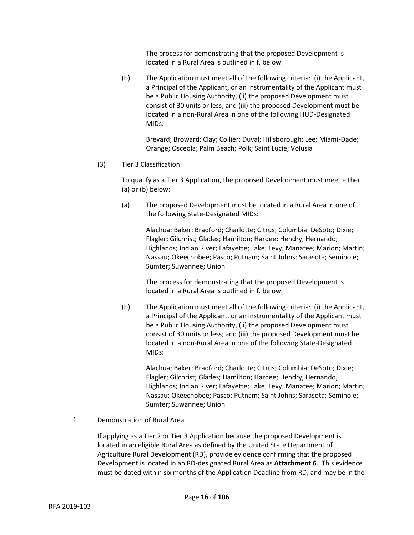The process for demonstrating that the proposed Development is located in a Rural Area is outlined in f. below.

(b) The Application must meet all of the following criteria: (i) the Applicant, a Principal of the Applicant, or an instrumentality of the Applicant must be a Public Housing Authority, (ii) the proposed Development must consist of 30 units or less; and (iii) the proposed Development must be located in a non-Rural Area in one of the following HUD-Designated MIDs:

Brevard; Broward; Clay; Collier; Duval; Hillsborough; Lee; Miami-Dade; Orange; Osceola; Palm Beach; Polk; Saint Lucie; Volusia

(3) Tier 3 Classification

To qualify as a Tier 3 Application, the proposed Development must meet either (a) or (b) below:

(a) The proposed Development must be located in a Rural Area in one of the following State-Designated MIDs:

Alachua; Baker; Bradford; Charlotte; Citrus; Columbia; DeSoto; Dixie; Flagler; Gilchrist; Glades; Hamilton; Hardee; Hendry; Hernando; Highlands; Indian River; Lafayette; Lake; Levy; Manatee; Marion; Martin; Nassau; Okeechobee; Pasco; Putnam; Saint Johns; Sarasota; Seminole; Sumter; Suwannee; Union

The process for demonstrating that the proposed Development is located in a Rural Area is outlined in f. below.

(b) The Application must meet all of the following criteria: (i) the Applicant, a Principal of the Applicant, or an instrumentality of the Applicant must be a Public Housing Authority, (ii) the proposed Development must consist of 30 units or less; and (iii) the proposed Development must be located in a non-Rural Area in one of the following State-Designated MIDs:

Alachua; Baker; Bradford; Charlotte; Citrus; Columbia; DeSoto; Dixie; Flagler; Gilchrist; Glades; Hamilton; Hardee; Hendry; Hernando; Highlands; Indian River; Lafayette; Lake; Levy; Manatee; Marion; Martin; Nassau; Okeechobee; Pasco; Putnam; Saint Johns; Sarasota; Seminole; Sumter; Suwannee; Union

f. Demonstration of Rural Area

If applying as a Tier 2 or Tier 3 Application because the proposed Development is located in an eligible Rural Area as defined by the United State Department of Agriculture Rural Development (RD), provide evidence confirming that the proposed Development is located in an RD-designated Rural Area as **Attachment 6**. This evidence must be dated within six months of the Application Deadline from RD, and may be in the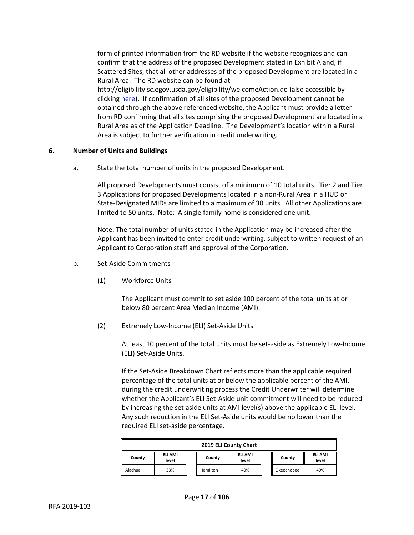form of printed information from the RD website if the website recognizes and can confirm that the address of the proposed Development stated in Exhibit A and, if Scattered Sites, that all other addresses of the proposed Development are located in a Rural Area. The RD website can be found at http://eligibility.sc.egov.usda.gov/eligibility/welcomeAction.do (also accessible by clicking [here\)](http://eligibility.sc.egov.usda.gov/eligibility/welcomeAction.do). If confirmation of all sites of the proposed Development cannot be obtained through the above referenced website, the Applicant must provide a letter from RD confirming that all sites comprising the proposed Development are located in a Rural Area as of the Application Deadline. The Development's location within a Rural Area is subject to further verification in credit underwriting.

## **6. Number of Units and Buildings**

a. State the total number of units in the proposed Development.

All proposed Developments must consist of a minimum of 10 total units. Tier 2 and Tier 3 Applications for proposed Developments located in a non-Rural Area in a HUD or State-Designated MIDs are limited to a maximum of 30 units. All other Applications are limited to 50 units. Note: A single family home is considered one unit.

Note: The total number of units stated in the Application may be increased after the Applicant has been invited to enter credit underwriting, subject to written request of an Applicant to Corporation staff and approval of the Corporation.

- b. Set-Aside Commitments
	- (1) Workforce Units

The Applicant must commit to set aside 100 percent of the total units at or below 80 percent Area Median Income (AMI).

(2) Extremely Low-Income (ELI) Set-Aside Units

At least 10 percent of the total units must be set-aside as Extremely Low-Income (ELI) Set-Aside Units.

If the Set-Aside Breakdown Chart reflects more than the applicable required percentage of the total units at or below the applicable percent of the AMI, during the credit underwriting process the Credit Underwriter will determine whether the Applicant's ELI Set-Aside unit commitment will need to be reduced by increasing the set aside units at AMI level(s) above the applicable ELI level. Any such reduction in the ELI Set-Aside units would be no lower than the required ELI set-aside percentage.

| 2019 ELI County Chart |                                                                              |  |          |     |  |            |     |
|-----------------------|------------------------------------------------------------------------------|--|----------|-----|--|------------|-----|
| County                | ELI AMI<br>ELI AMI<br>ELI AMI<br>County<br>County<br>level<br>level<br>level |  |          |     |  |            |     |
| Alachua               | 33%                                                                          |  | Hamilton | 40% |  | Okeechobee | 40% |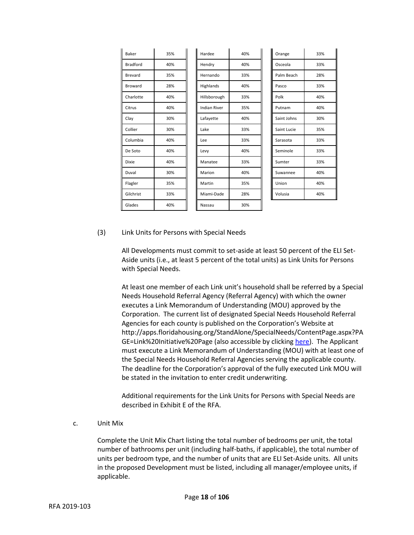| Baker           | 35% | Hardee              | 40% | Orange      | 33% |
|-----------------|-----|---------------------|-----|-------------|-----|
| <b>Bradford</b> | 40% | Hendry              | 40% | Osceola     | 33% |
| Brevard         | 35% | Hernando            | 33% | Palm Beach  | 28% |
| Broward         | 28% | Highlands           | 40% | Pasco       | 33% |
| Charlotte       | 40% | Hillsborough        | 33% | Polk        | 40% |
| Citrus          | 40% | <b>Indian River</b> | 35% | Putnam      | 40% |
| Clay            | 30% | Lafayette           | 40% | Saint Johns | 30% |
| Collier         | 30% | Lake                | 33% | Saint Lucie | 35% |
| Columbia        | 40% | Lee                 | 33% | Sarasota    | 33% |
| De Soto         | 40% | Levy                | 40% | Seminole    | 33% |
| <b>Dixie</b>    | 40% | Manatee             | 33% | Sumter      | 33% |
| Duval           | 30% | Marion              | 40% | Suwannee    | 40% |
| Flagler         | 35% | Martin              | 35% | Union       | 40% |
| Gilchrist       | 33% | Miami-Dade          | 28% | Volusia     | 40% |
| Glades          | 40% | Nassau              | 30% |             |     |

#### (3) Link Units for Persons with Special Needs

All Developments must commit to set-aside at least 50 percent of the ELI Set-Aside units (i.e., at least 5 percent of the total units) as Link Units for Persons with Special Needs.

At least one member of each Link unit's household shall be referred by a Special Needs Household Referral Agency (Referral Agency) with which the owner executes a Link Memorandum of Understanding (MOU) approved by the Corporation. The current list of designated Special Needs Household Referral Agencies for each county is published on the Corporation's Website at http://apps.floridahousing.org/StandAlone/SpecialNeeds/ContentPage.aspx?PA GE=Link%20Initiative%20Page (also accessible by clicking [here\)](http://apps.floridahousing.org/StandAlone/SpecialNeeds/ContentPage.aspx?PAGE=Link%20Initiative%20Page). The Applicant must execute a Link Memorandum of Understanding (MOU) with at least one of the Special Needs Household Referral Agencies serving the applicable county. The deadline for the Corporation's approval of the fully executed Link MOU will be stated in the invitation to enter credit underwriting.

Additional requirements for the Link Units for Persons with Special Needs are described in Exhibit E of the RFA.

#### c. Unit Mix

Complete the Unit Mix Chart listing the total number of bedrooms per unit, the total number of bathrooms per unit (including half-baths, if applicable), the total number of units per bedroom type, and the number of units that are ELI Set-Aside units. All units in the proposed Development must be listed, including all manager/employee units, if applicable.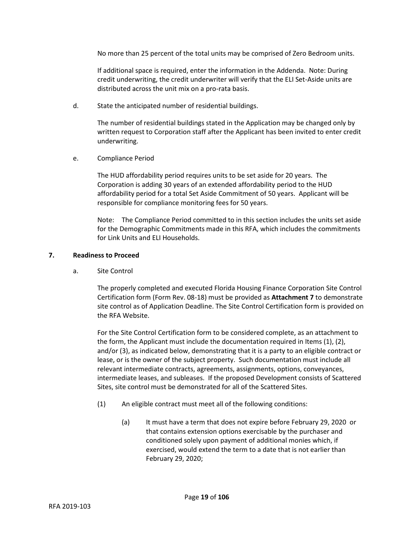No more than 25 percent of the total units may be comprised of Zero Bedroom units.

If additional space is required, enter the information in the Addenda. Note: During credit underwriting, the credit underwriter will verify that the ELI Set-Aside units are distributed across the unit mix on a pro-rata basis.

d. State the anticipated number of residential buildings.

The number of residential buildings stated in the Application may be changed only by written request to Corporation staff after the Applicant has been invited to enter credit underwriting.

e. Compliance Period

The HUD affordability period requires units to be set aside for 20 years. The Corporation is adding 30 years of an extended affordability period to the HUD affordability period for a total Set Aside Commitment of 50 years. Applicant will be responsible for compliance monitoring fees for 50 years.

Note: The Compliance Period committed to in this section includes the units set aside for the Demographic Commitments made in this RFA, which includes the commitments for Link Units and ELI Households.

## **7. Readiness to Proceed**

a. Site Control

The properly completed and executed Florida Housing Finance Corporation Site Control Certification form (Form Rev. 08-18) must be provided as **Attachment 7** to demonstrate site control as of Application Deadline. The Site Control Certification form is provided on the RFA Website.

For the Site Control Certification form to be considered complete, as an attachment to the form, the Applicant must include the documentation required in Items (1), (2), and/or (3), as indicated below, demonstrating that it is a party to an eligible contract or lease, or is the owner of the subject property. Such documentation must include all relevant intermediate contracts, agreements, assignments, options, conveyances, intermediate leases, and subleases. If the proposed Development consists of Scattered Sites, site control must be demonstrated for all of the Scattered Sites.

- (1) An eligible contract must meet all of the following conditions:
	- (a) It must have a term that does not expire before February 29, 2020 or that contains extension options exercisable by the purchaser and conditioned solely upon payment of additional monies which, if exercised, would extend the term to a date that is not earlier than February 29, 2020;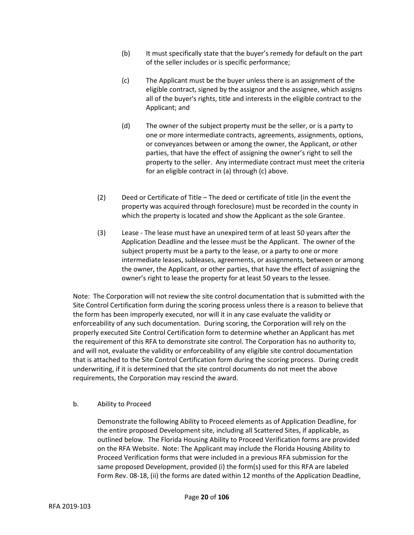- (b) It must specifically state that the buyer's remedy for default on the part of the seller includes or is specific performance;
- (c) The Applicant must be the buyer unless there is an assignment of the eligible contract, signed by the assignor and the assignee, which assigns all of the buyer's rights, title and interests in the eligible contract to the Applicant; and
- (d) The owner of the subject property must be the seller, or is a party to one or more intermediate contracts, agreements, assignments, options, or conveyances between or among the owner, the Applicant, or other parties, that have the effect of assigning the owner's right to sell the property to the seller. Any intermediate contract must meet the criteria for an eligible contract in (a) through (c) above.
- (2) Deed or Certificate of Title The deed or certificate of title (in the event the property was acquired through foreclosure) must be recorded in the county in which the property is located and show the Applicant as the sole Grantee.
- (3) Lease The lease must have an unexpired term of at least 50 years after the Application Deadline and the lessee must be the Applicant. The owner of the subject property must be a party to the lease, or a party to one or more intermediate leases, subleases, agreements, or assignments, between or among the owner, the Applicant, or other parties, that have the effect of assigning the owner's right to lease the property for at least 50 years to the lessee.

Note: The Corporation will not review the site control documentation that is submitted with the Site Control Certification form during the scoring process unless there is a reason to believe that the form has been improperly executed, nor will it in any case evaluate the validity or enforceability of any such documentation. During scoring, the Corporation will rely on the properly executed Site Control Certification form to determine whether an Applicant has met the requirement of this RFA to demonstrate site control. The Corporation has no authority to, and will not, evaluate the validity or enforceability of any eligible site control documentation that is attached to the Site Control Certification form during the scoring process. During credit underwriting, if it is determined that the site control documents do not meet the above requirements, the Corporation may rescind the award.

b. Ability to Proceed

Demonstrate the following Ability to Proceed elements as of Application Deadline, for the entire proposed Development site, including all Scattered Sites, if applicable, as outlined below. The Florida Housing Ability to Proceed Verification forms are provided on the RFA Website. Note: The Applicant may include the Florida Housing Ability to Proceed Verification forms that were included in a previous RFA submission for the same proposed Development, provided (i) the form(s) used for this RFA are labeled Form Rev. 08-18, (ii) the forms are dated within 12 months of the Application Deadline,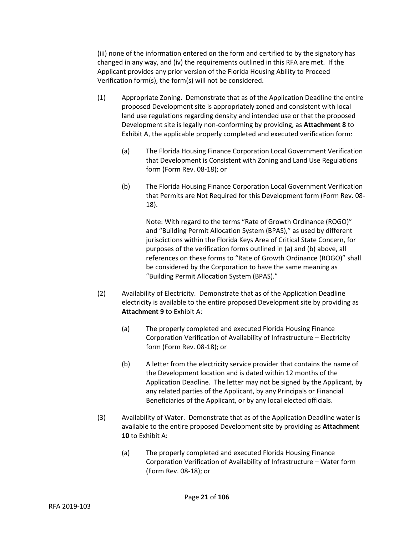(iii) none of the information entered on the form and certified to by the signatory has changed in any way, and (iv) the requirements outlined in this RFA are met. If the Applicant provides any prior version of the Florida Housing Ability to Proceed Verification form(s), the form(s) will not be considered.

- (1) Appropriate Zoning. Demonstrate that as of the Application Deadline the entire proposed Development site is appropriately zoned and consistent with local land use regulations regarding density and intended use or that the proposed Development site is legally non-conforming by providing, as **Attachment 8** to Exhibit A, the applicable properly completed and executed verification form:
	- (a) The Florida Housing Finance Corporation Local Government Verification that Development is Consistent with Zoning and Land Use Regulations form (Form Rev. 08-18); or
	- (b) The Florida Housing Finance Corporation Local Government Verification that Permits are Not Required for this Development form (Form Rev. 08- 18).

Note: With regard to the terms "Rate of Growth Ordinance (ROGO)" and "Building Permit Allocation System (BPAS)," as used by different jurisdictions within the Florida Keys Area of Critical State Concern, for purposes of the verification forms outlined in (a) and (b) above, all references on these forms to "Rate of Growth Ordinance (ROGO)" shall be considered by the Corporation to have the same meaning as "Building Permit Allocation System (BPAS)."

- (2) Availability of Electricity. Demonstrate that as of the Application Deadline electricity is available to the entire proposed Development site by providing as **Attachment 9** to Exhibit A:
	- (a) The properly completed and executed Florida Housing Finance Corporation Verification of Availability of Infrastructure – Electricity form (Form Rev. 08-18); or
	- (b) A letter from the electricity service provider that contains the name of the Development location and is dated within 12 months of the Application Deadline. The letter may not be signed by the Applicant, by any related parties of the Applicant, by any Principals or Financial Beneficiaries of the Applicant, or by any local elected officials.
- (3) Availability of Water. Demonstrate that as of the Application Deadline water is available to the entire proposed Development site by providing as **Attachment 10** to Exhibit A:
	- (a) The properly completed and executed Florida Housing Finance Corporation Verification of Availability of Infrastructure – Water form (Form Rev. 08-18); or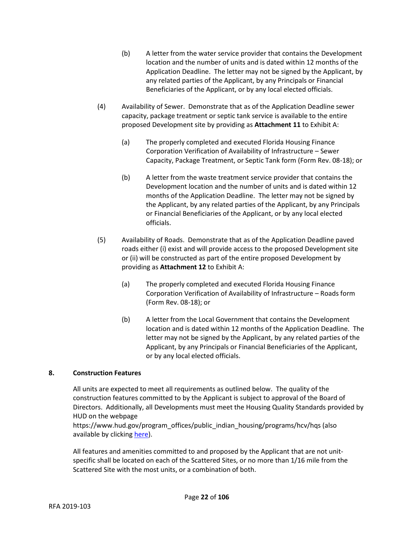- (b) A letter from the water service provider that contains the Development location and the number of units and is dated within 12 months of the Application Deadline. The letter may not be signed by the Applicant, by any related parties of the Applicant, by any Principals or Financial Beneficiaries of the Applicant, or by any local elected officials.
- (4) Availability of Sewer. Demonstrate that as of the Application Deadline sewer capacity, package treatment or septic tank service is available to the entire proposed Development site by providing as **Attachment 11** to Exhibit A:
	- (a) The properly completed and executed Florida Housing Finance Corporation Verification of Availability of Infrastructure – Sewer Capacity, Package Treatment, or Septic Tank form (Form Rev. 08-18); or
	- (b) A letter from the waste treatment service provider that contains the Development location and the number of units and is dated within 12 months of the Application Deadline. The letter may not be signed by the Applicant, by any related parties of the Applicant, by any Principals or Financial Beneficiaries of the Applicant, or by any local elected officials.
- (5) Availability of Roads. Demonstrate that as of the Application Deadline paved roads either (i) exist and will provide access to the proposed Development site or (ii) will be constructed as part of the entire proposed Development by providing as **Attachment 12** to Exhibit A:
	- (a) The properly completed and executed Florida Housing Finance Corporation Verification of Availability of Infrastructure – Roads form (Form Rev. 08-18); or
	- (b) A letter from the Local Government that contains the Development location and is dated within 12 months of the Application Deadline. The letter may not be signed by the Applicant, by any related parties of the Applicant, by any Principals or Financial Beneficiaries of the Applicant, or by any local elected officials.

# **8. Construction Features**

All units are expected to meet all requirements as outlined below. The quality of the construction features committed to by the Applicant is subject to approval of the Board of Directors. Additionally, all Developments must meet the Housing Quality Standards provided by HUD on the webpage

https://www.hud.gov/program\_offices/public\_indian\_housing/programs/hcv/hqs (also available by clickin[g here\)](https://www.hud.gov/program_offices/public_indian_housing/programs/hcv/hqs).

All features and amenities committed to and proposed by the Applicant that are not unitspecific shall be located on each of the Scattered Sites, or no more than 1/16 mile from the Scattered Site with the most units, or a combination of both.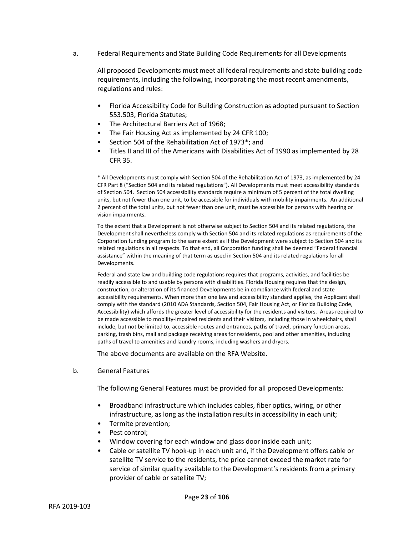a. Federal Requirements and State Building Code Requirements for all Developments

All proposed Developments must meet all federal requirements and state building code requirements, including the following, incorporating the most recent amendments, regulations and rules:

- Florida Accessibility Code for Building Construction as adopted pursuant to Section 553.503, Florida Statutes;
- The Architectural Barriers Act of 1968;
- The Fair Housing Act as implemented by 24 CFR 100;
- Section 504 of the Rehabilitation Act of 1973\*; and
- Titles II and III of the Americans with Disabilities Act of 1990 as implemented by 28 CFR 35.

\* All Developments must comply with Section 504 of the Rehabilitation Act of 1973, as implemented by 24 CFR Part 8 ("Section 504 and its related regulations"). All Developments must meet accessibility standards of Section 504. Section 504 accessibility standards require a minimum of 5 percent of the total dwelling units, but not fewer than one unit, to be accessible for individuals with mobility impairments. An additional 2 percent of the total units, but not fewer than one unit, must be accessible for persons with hearing or vision impairments.

To the extent that a Development is not otherwise subject to Section 504 and its related regulations, the Development shall nevertheless comply with Section 504 and its related regulations as requirements of the Corporation funding program to the same extent as if the Development were subject to Section 504 and its related regulations in all respects. To that end, all Corporation funding shall be deemed "Federal financial assistance" within the meaning of that term as used in Section 504 and its related regulations for all Developments.

Federal and state law and building code regulations requires that programs, activities, and facilities be readily accessible to and usable by persons with disabilities. Florida Housing requires that the design, construction, or alteration of its financed Developments be in compliance with federal and state accessibility requirements. When more than one law and accessibility standard applies, the Applicant shall comply with the standard (2010 ADA Standards, Section 504, Fair Housing Act, or Florida Building Code, Accessibility) which affords the greater level of accessibility for the residents and visitors. Areas required to be made accessible to mobility-impaired residents and their visitors, including those in wheelchairs, shall include, but not be limited to, accessible routes and entrances, paths of travel, primary function areas, parking, trash bins, mail and package receiving areas for residents, pool and other amenities, including paths of travel to amenities and laundry rooms, including washers and dryers.

The above documents are available on the RFA Website.

b. General Features

The following General Features must be provided for all proposed Developments:

- Broadband infrastructure which includes cables, fiber optics, wiring, or other infrastructure, as long as the installation results in accessibility in each unit;
- Termite prevention;
- Pest control;
- Window covering for each window and glass door inside each unit;
- Cable or satellite TV hook-up in each unit and, if the Development offers cable or satellite TV service to the residents, the price cannot exceed the market rate for service of similar quality available to the Development's residents from a primary provider of cable or satellite TV;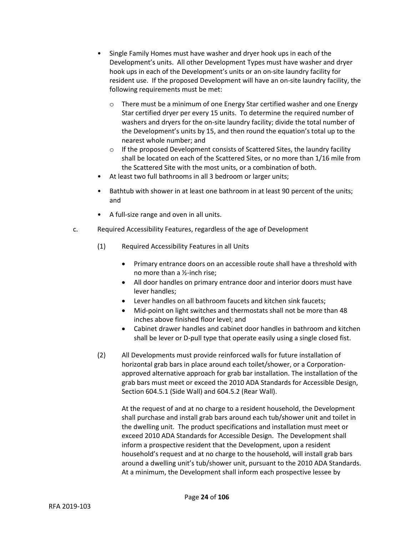- Single Family Homes must have washer and dryer hook ups in each of the Development's units. All other Development Types must have washer and dryer hook ups in each of the Development's units or an on-site laundry facility for resident use. If the proposed Development will have an on-site laundry facility, the following requirements must be met:
	- o There must be a minimum of one Energy Star certified washer and one Energy Star certified dryer per every 15 units. To determine the required number of washers and dryers for the on-site laundry facility; divide the total number of the Development's units by 15, and then round the equation's total up to the nearest whole number; and
	- o If the proposed Development consists of Scattered Sites, the laundry facility shall be located on each of the Scattered Sites, or no more than 1/16 mile from the Scattered Site with the most units, or a combination of both.
- At least two full bathrooms in all 3 bedroom or larger units;
- Bathtub with shower in at least one bathroom in at least 90 percent of the units; and
- A full-size range and oven in all units.
- c. Required Accessibility Features, regardless of the age of Development
	- (1) Required Accessibility Features in all Units
		- Primary entrance doors on an accessible route shall have a threshold with no more than a ½-inch rise;
		- All door handles on primary entrance door and interior doors must have lever handles;
		- Lever handles on all bathroom faucets and kitchen sink faucets;
		- Mid-point on light switches and thermostats shall not be more than 48 inches above finished floor level; and
		- Cabinet drawer handles and cabinet door handles in bathroom and kitchen shall be lever or D-pull type that operate easily using a single closed fist.
	- (2) All Developments must provide reinforced walls for future installation of horizontal grab bars in place around each toilet/shower, or a Corporationapproved alternative approach for grab bar installation. The installation of the grab bars must meet or exceed the 2010 ADA Standards for Accessible Design, Section 604.5.1 (Side Wall) and 604.5.2 (Rear Wall).

At the request of and at no charge to a resident household, the Development shall purchase and install grab bars around each tub/shower unit and toilet in the dwelling unit. The product specifications and installation must meet or exceed 2010 ADA Standards for Accessible Design. The Development shall inform a prospective resident that the Development, upon a resident household's request and at no charge to the household, will install grab bars around a dwelling unit's tub/shower unit, pursuant to the 2010 ADA Standards. At a minimum, the Development shall inform each prospective lessee by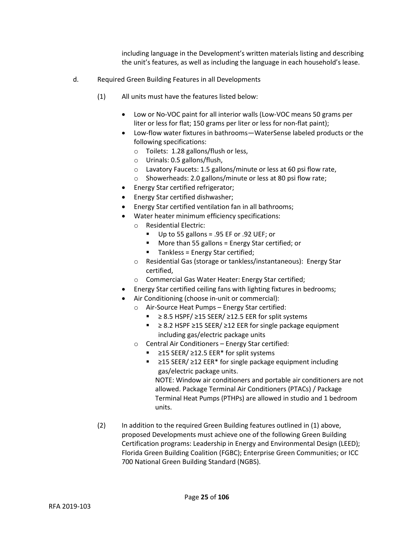including language in the Development's written materials listing and describing the unit's features, as well as including the language in each household's lease.

- d. Required Green Building Features in all Developments
	- (1) All units must have the features listed below:
		- Low or No-VOC paint for all interior walls (Low-VOC means 50 grams per liter or less for flat; 150 grams per liter or less for non-flat paint);
		- Low-flow water fixtures in bathrooms—WaterSense labeled products or the following specifications:
			- o Toilets: 1.28 gallons/flush or less,
			- o Urinals: 0.5 gallons/flush,
			- o Lavatory Faucets: 1.5 gallons/minute or less at 60 psi flow rate,
			- o Showerheads: 2.0 gallons/minute or less at 80 psi flow rate;
		- Energy Star certified refrigerator;
		- Energy Star certified dishwasher;
		- Energy Star certified ventilation fan in all bathrooms;
		- Water heater minimum efficiency specifications:
			- o Residential Electric:
				- Up to 55 gallons = .95 EF or .92 UEF; or
				- More than 55 gallons = Energy Star certified; or
				- Tankless = Energy Star certified;
			- o Residential Gas (storage or tankless/instantaneous): Energy Star certified,
			- o Commercial Gas Water Heater: Energy Star certified;
		- Energy Star certified ceiling fans with lighting fixtures in bedrooms;
		- Air Conditioning (choose in-unit or commercial):
			- o Air-Source Heat Pumps Energy Star certified:
				- $≥ 8.5$  HSPF/ $≥ 15$  SEER/ $≥ 12.5$  EER for split systems
				- ≥ 8.2 HSPF ≥15 SEER/ ≥12 EER for single package equipment including gas/electric package units
			- o Central Air Conditioners Energy Star certified:
				- ≥15 SEER/ ≥12.5 EER<sup>\*</sup> for split systems
				- ≥15 SEER/ ≥12 EER\* for single package equipment including gas/electric package units.

NOTE: Window air conditioners and portable air conditioners are not allowed. Package Terminal Air Conditioners (PTACs) / Package Terminal Heat Pumps (PTHPs) are allowed in studio and 1 bedroom units.

(2) In addition to the required Green Building features outlined in (1) above, proposed Developments must achieve one of the following Green Building Certification programs: Leadership in Energy and Environmental Design (LEED); Florida Green Building Coalition (FGBC); Enterprise Green Communities; or ICC 700 National Green Building Standard (NGBS).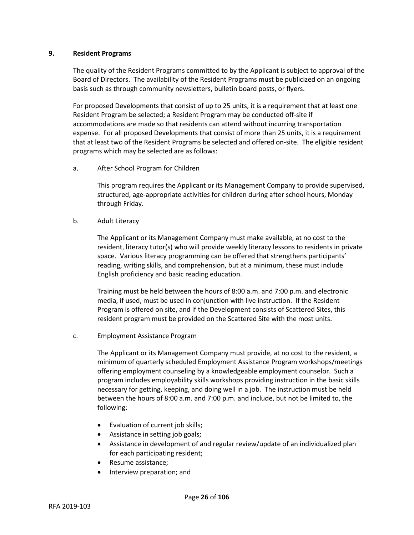## **9. Resident Programs**

The quality of the Resident Programs committed to by the Applicant is subject to approval of the Board of Directors. The availability of the Resident Programs must be publicized on an ongoing basis such as through community newsletters, bulletin board posts, or flyers.

For proposed Developments that consist of up to 25 units, it is a requirement that at least one Resident Program be selected; a Resident Program may be conducted off-site if accommodations are made so that residents can attend without incurring transportation expense. For all proposed Developments that consist of more than 25 units, it is a requirement that at least two of the Resident Programs be selected and offered on-site. The eligible resident programs which may be selected are as follows:

a. After School Program for Children

This program requires the Applicant or its Management Company to provide supervised, structured, age-appropriate activities for children during after school hours, Monday through Friday.

b. Adult Literacy

The Applicant or its Management Company must make available, at no cost to the resident, literacy tutor(s) who will provide weekly literacy lessons to residents in private space. Various literacy programming can be offered that strengthens participants' reading, writing skills, and comprehension, but at a minimum, these must include English proficiency and basic reading education.

Training must be held between the hours of 8:00 a.m. and 7:00 p.m. and electronic media, if used, must be used in conjunction with live instruction. If the Resident Program is offered on site, and if the Development consists of Scattered Sites, this resident program must be provided on the Scattered Site with the most units.

c. Employment Assistance Program

The Applicant or its Management Company must provide, at no cost to the resident, a minimum of quarterly scheduled Employment Assistance Program workshops/meetings offering employment counseling by a knowledgeable employment counselor. Such a program includes employability skills workshops providing instruction in the basic skills necessary for getting, keeping, and doing well in a job. The instruction must be held between the hours of 8:00 a.m. and 7:00 p.m. and include, but not be limited to, the following:

- Evaluation of current job skills;
- Assistance in setting job goals;
- Assistance in development of and regular review/update of an individualized plan for each participating resident;
- Resume assistance;
- Interview preparation; and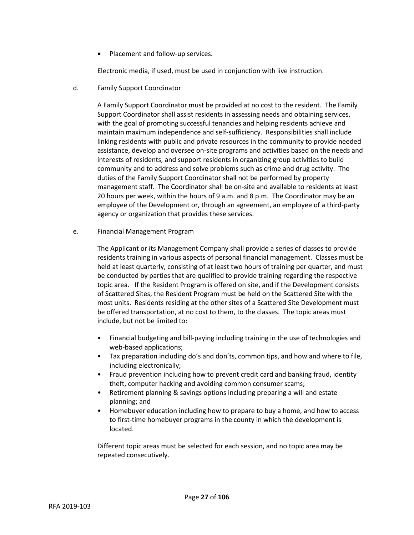• Placement and follow-up services.

Electronic media, if used, must be used in conjunction with live instruction.

d. Family Support Coordinator

A Family Support Coordinator must be provided at no cost to the resident. The Family Support Coordinator shall assist residents in assessing needs and obtaining services, with the goal of promoting successful tenancies and helping residents achieve and maintain maximum independence and self-sufficiency. Responsibilities shall include linking residents with public and private resources in the community to provide needed assistance, develop and oversee on-site programs and activities based on the needs and interests of residents, and support residents in organizing group activities to build community and to address and solve problems such as crime and drug activity. The duties of the Family Support Coordinator shall not be performed by property management staff. The Coordinator shall be on-site and available to residents at least 20 hours per week, within the hours of 9 a.m. and 8 p.m. The Coordinator may be an employee of the Development or, through an agreement, an employee of a third-party agency or organization that provides these services.

e. Financial Management Program

The Applicant or its Management Company shall provide a series of classes to provide residents training in various aspects of personal financial management. Classes must be held at least quarterly, consisting of at least two hours of training per quarter, and must be conducted by parties that are qualified to provide training regarding the respective topic area. If the Resident Program is offered on site, and if the Development consists of Scattered Sites, the Resident Program must be held on the Scattered Site with the most units. Residents residing at the other sites of a Scattered Site Development must be offered transportation, at no cost to them, to the classes. The topic areas must include, but not be limited to:

- Financial budgeting and bill-paying including training in the use of technologies and web-based applications;
- Tax preparation including do's and don'ts, common tips, and how and where to file, including electronically;
- Fraud prevention including how to prevent credit card and banking fraud, identity theft, computer hacking and avoiding common consumer scams;
- Retirement planning & savings options including preparing a will and estate planning; and
- Homebuyer education including how to prepare to buy a home, and how to access to first-time homebuyer programs in the county in which the development is located.

Different topic areas must be selected for each session, and no topic area may be repeated consecutively.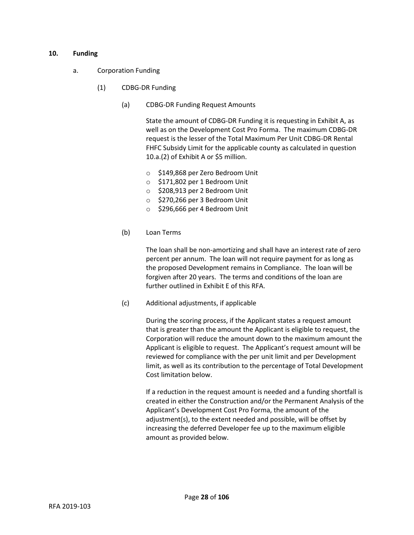## **10. Funding**

- a. Corporation Funding
	- (1) CDBG-DR Funding
		- (a) CDBG-DR Funding Request Amounts

State the amount of CDBG-DR Funding it is requesting in Exhibit A, as well as on the Development Cost Pro Forma. The maximum CDBG-DR request is the lesser of the Total Maximum Per Unit CDBG-DR Rental FHFC Subsidy Limit for the applicable county as calculated in question 10.a.(2) of Exhibit A or \$5 million.

- o \$149,868 per Zero Bedroom Unit
- o \$171,802 per 1 Bedroom Unit
- o \$208,913 per 2 Bedroom Unit
- o \$270,266 per 3 Bedroom Unit
- o \$296,666 per 4 Bedroom Unit
- (b) Loan Terms

The loan shall be non-amortizing and shall have an interest rate of zero percent per annum. The loan will not require payment for as long as the proposed Development remains in Compliance. The loan will be forgiven after 20 years. The terms and conditions of the loan are further outlined in Exhibit E of this RFA.

(c) Additional adjustments, if applicable

During the scoring process, if the Applicant states a request amount that is greater than the amount the Applicant is eligible to request, the Corporation will reduce the amount down to the maximum amount the Applicant is eligible to request. The Applicant's request amount will be reviewed for compliance with the per unit limit and per Development limit, as well as its contribution to the percentage of Total Development Cost limitation below.

If a reduction in the request amount is needed and a funding shortfall is created in either the Construction and/or the Permanent Analysis of the Applicant's Development Cost Pro Forma, the amount of the adjustment(s), to the extent needed and possible, will be offset by increasing the deferred Developer fee up to the maximum eligible amount as provided below.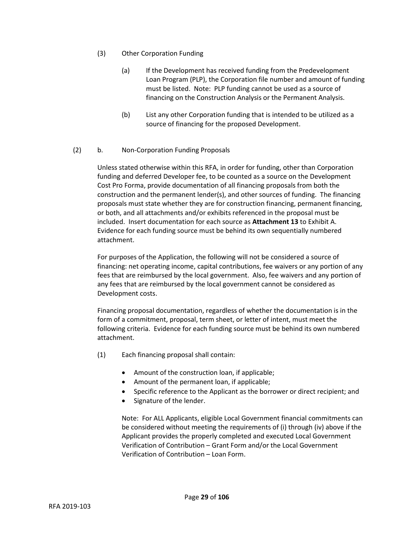- (3) Other Corporation Funding
	- (a) If the Development has received funding from the Predevelopment Loan Program (PLP), the Corporation file number and amount of funding must be listed. Note: PLP funding cannot be used as a source of financing on the Construction Analysis or the Permanent Analysis.
	- (b) List any other Corporation funding that is intended to be utilized as a source of financing for the proposed Development.

# (2) b. Non-Corporation Funding Proposals

Unless stated otherwise within this RFA, in order for funding, other than Corporation funding and deferred Developer fee, to be counted as a source on the Development Cost Pro Forma, provide documentation of all financing proposals from both the construction and the permanent lender(s), and other sources of funding. The financing proposals must state whether they are for construction financing, permanent financing, or both, and all attachments and/or exhibits referenced in the proposal must be included. Insert documentation for each source as **Attachment 13** to Exhibit A. Evidence for each funding source must be behind its own sequentially numbered attachment.

For purposes of the Application, the following will not be considered a source of financing: net operating income, capital contributions, fee waivers or any portion of any fees that are reimbursed by the local government. Also, fee waivers and any portion of any fees that are reimbursed by the local government cannot be considered as Development costs.

Financing proposal documentation, regardless of whether the documentation is in the form of a commitment, proposal, term sheet, or letter of intent, must meet the following criteria. Evidence for each funding source must be behind its own numbered attachment.

- (1) Each financing proposal shall contain:
	- Amount of the construction loan, if applicable;
	- Amount of the permanent loan, if applicable;

Page **29** of **106**

- Specific reference to the Applicant as the borrower or direct recipient; and
- Signature of the lender.

Note: For ALL Applicants, eligible Local Government financial commitments can be considered without meeting the requirements of (i) through (iv) above if the Applicant provides the properly completed and executed Local Government Verification of Contribution – Grant Form and/or the Local Government Verification of Contribution – Loan Form.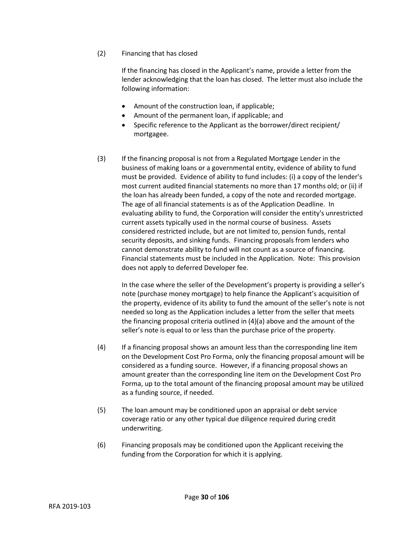(2) Financing that has closed

If the financing has closed in the Applicant's name, provide a letter from the lender acknowledging that the loan has closed. The letter must also include the following information:

- Amount of the construction loan, if applicable;
- Amount of the permanent loan, if applicable; and
- Specific reference to the Applicant as the borrower/direct recipient/ mortgagee.
- (3) If the financing proposal is not from a Regulated Mortgage Lender in the business of making loans or a governmental entity, evidence of ability to fund must be provided. Evidence of ability to fund includes: (i) a copy of the lender's most current audited financial statements no more than 17 months old; or (ii) if the loan has already been funded, a copy of the note and recorded mortgage. The age of all financial statements is as of the Application Deadline. In evaluating ability to fund, the Corporation will consider the entity's unrestricted current assets typically used in the normal course of business. Assets considered restricted include, but are not limited to, pension funds, rental security deposits, and sinking funds. Financing proposals from lenders who cannot demonstrate ability to fund will not count as a source of financing. Financial statements must be included in the Application. Note: This provision does not apply to deferred Developer fee.

In the case where the seller of the Development's property is providing a seller's note (purchase money mortgage) to help finance the Applicant's acquisition of the property, evidence of its ability to fund the amount of the seller's note is not needed so long as the Application includes a letter from the seller that meets the financing proposal criteria outlined in (4)(a) above and the amount of the seller's note is equal to or less than the purchase price of the property.

- (4) If a financing proposal shows an amount less than the corresponding line item on the Development Cost Pro Forma, only the financing proposal amount will be considered as a funding source. However, if a financing proposal shows an amount greater than the corresponding line item on the Development Cost Pro Forma, up to the total amount of the financing proposal amount may be utilized as a funding source, if needed.
- (5) The loan amount may be conditioned upon an appraisal or debt service coverage ratio or any other typical due diligence required during credit underwriting.
- (6) Financing proposals may be conditioned upon the Applicant receiving the funding from the Corporation for which it is applying.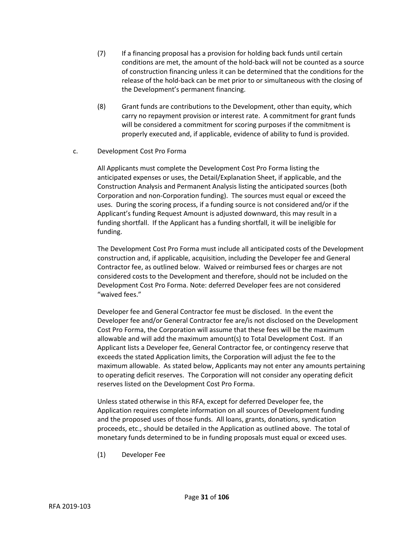- (7) If a financing proposal has a provision for holding back funds until certain conditions are met, the amount of the hold-back will not be counted as a source of construction financing unless it can be determined that the conditions for the release of the hold-back can be met prior to or simultaneous with the closing of the Development's permanent financing.
- (8) Grant funds are contributions to the Development, other than equity, which carry no repayment provision or interest rate. A commitment for grant funds will be considered a commitment for scoring purposes if the commitment is properly executed and, if applicable, evidence of ability to fund is provided.
- c. Development Cost Pro Forma

All Applicants must complete the Development Cost Pro Forma listing the anticipated expenses or uses, the Detail/Explanation Sheet, if applicable, and the Construction Analysis and Permanent Analysis listing the anticipated sources (both Corporation and non-Corporation funding). The sources must equal or exceed the uses. During the scoring process, if a funding source is not considered and/or if the Applicant's funding Request Amount is adjusted downward, this may result in a funding shortfall. If the Applicant has a funding shortfall, it will be ineligible for funding.

The Development Cost Pro Forma must include all anticipated costs of the Development construction and, if applicable, acquisition, including the Developer fee and General Contractor fee, as outlined below. Waived or reimbursed fees or charges are not considered costs to the Development and therefore, should not be included on the Development Cost Pro Forma. Note: deferred Developer fees are not considered "waived fees."

Developer fee and General Contractor fee must be disclosed. In the event the Developer fee and/or General Contractor fee are/is not disclosed on the Development Cost Pro Forma, the Corporation will assume that these fees will be the maximum allowable and will add the maximum amount(s) to Total Development Cost. If an Applicant lists a Developer fee, General Contractor fee, or contingency reserve that exceeds the stated Application limits, the Corporation will adjust the fee to the maximum allowable. As stated below, Applicants may not enter any amounts pertaining to operating deficit reserves. The Corporation will not consider any operating deficit reserves listed on the Development Cost Pro Forma.

Unless stated otherwise in this RFA, except for deferred Developer fee, the Application requires complete information on all sources of Development funding and the proposed uses of those funds. All loans, grants, donations, syndication proceeds, etc., should be detailed in the Application as outlined above. The total of monetary funds determined to be in funding proposals must equal or exceed uses.

(1) Developer Fee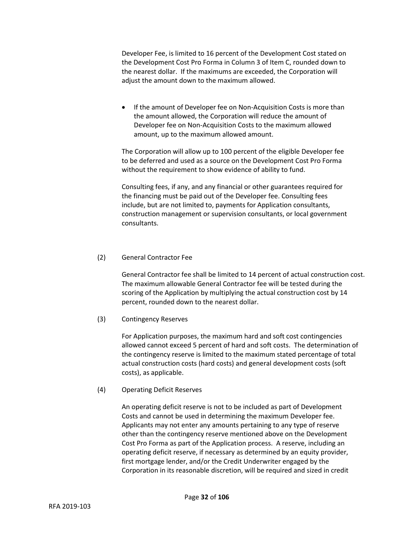Developer Fee, is limited to 16 percent of the Development Cost stated on the Development Cost Pro Forma in Column 3 of Item C, rounded down to the nearest dollar. If the maximums are exceeded, the Corporation will adjust the amount down to the maximum allowed.

• If the amount of Developer fee on Non-Acquisition Costs is more than the amount allowed, the Corporation will reduce the amount of Developer fee on Non-Acquisition Costs to the maximum allowed amount, up to the maximum allowed amount.

The Corporation will allow up to 100 percent of the eligible Developer fee to be deferred and used as a source on the Development Cost Pro Forma without the requirement to show evidence of ability to fund.

Consulting fees, if any, and any financial or other guarantees required for the financing must be paid out of the Developer fee. Consulting fees include, but are not limited to, payments for Application consultants, construction management or supervision consultants, or local government consultants.

# (2) General Contractor Fee

General Contractor fee shall be limited to 14 percent of actual construction cost. The maximum allowable General Contractor fee will be tested during the scoring of the Application by multiplying the actual construction cost by 14 percent, rounded down to the nearest dollar.

# (3) Contingency Reserves

For Application purposes, the maximum hard and soft cost contingencies allowed cannot exceed 5 percent of hard and soft costs. The determination of the contingency reserve is limited to the maximum stated percentage of total actual construction costs (hard costs) and general development costs (soft costs), as applicable.

## (4) Operating Deficit Reserves

An operating deficit reserve is not to be included as part of Development Costs and cannot be used in determining the maximum Developer fee. Applicants may not enter any amounts pertaining to any type of reserve other than the contingency reserve mentioned above on the Development Cost Pro Forma as part of the Application process. A reserve, including an operating deficit reserve, if necessary as determined by an equity provider, first mortgage lender, and/or the Credit Underwriter engaged by the Corporation in its reasonable discretion, will be required and sized in credit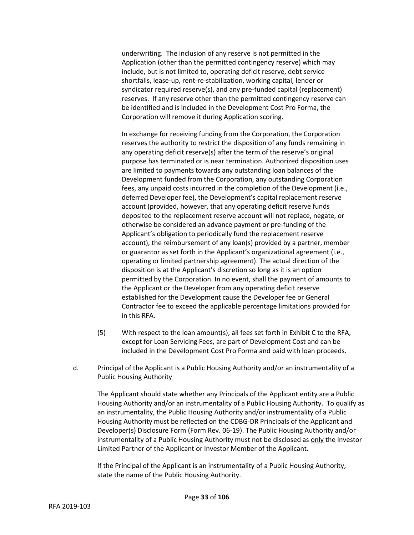underwriting. The inclusion of any reserve is not permitted in the Application (other than the permitted contingency reserve) which may include, but is not limited to, operating deficit reserve, debt service shortfalls, lease-up, rent-re-stabilization, working capital, lender or syndicator required reserve(s), and any pre-funded capital (replacement) reserves. If any reserve other than the permitted contingency reserve can be identified and is included in the Development Cost Pro Forma, the Corporation will remove it during Application scoring.

In exchange for receiving funding from the Corporation, the Corporation reserves the authority to restrict the disposition of any funds remaining in any operating deficit reserve(s) after the term of the reserve's original purpose has terminated or is near termination. Authorized disposition uses are limited to payments towards any outstanding loan balances of the Development funded from the Corporation, any outstanding Corporation fees, any unpaid costs incurred in the completion of the Development (i.e., deferred Developer fee), the Development's capital replacement reserve account (provided, however, that any operating deficit reserve funds deposited to the replacement reserve account will not replace, negate, or otherwise be considered an advance payment or pre-funding of the Applicant's obligation to periodically fund the replacement reserve account), the reimbursement of any loan(s) provided by a partner, member or guarantor as set forth in the Applicant's organizational agreement (i.e., operating or limited partnership agreement). The actual direction of the disposition is at the Applicant's discretion so long as it is an option permitted by the Corporation. In no event, shall the payment of amounts to the Applicant or the Developer from any operating deficit reserve established for the Development cause the Developer fee or General Contractor fee to exceed the applicable percentage limitations provided for in this RFA.

- (5) With respect to the loan amount(s), all fees set forth in Exhibit C to the RFA, except for Loan Servicing Fees, are part of Development Cost and can be included in the Development Cost Pro Forma and paid with loan proceeds.
- d. Principal of the Applicant is a Public Housing Authority and/or an instrumentality of a Public Housing Authority

The Applicant should state whether any Principals of the Applicant entity are a Public Housing Authority and/or an instrumentality of a Public Housing Authority. To qualify as an instrumentality, the Public Housing Authority and/or instrumentality of a Public Housing Authority must be reflected on the CDBG-DR Principals of the Applicant and Developer(s) Disclosure Form (Form Rev. 06-19). The Public Housing Authority and/or instrumentality of a Public Housing Authority must not be disclosed as only the Investor Limited Partner of the Applicant or Investor Member of the Applicant.

If the Principal of the Applicant is an instrumentality of a Public Housing Authority, state the name of the Public Housing Authority.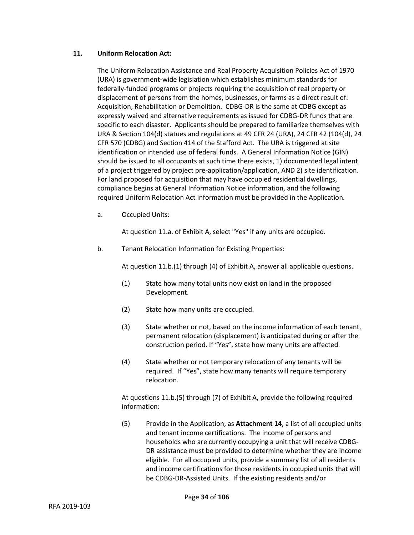# **11. Uniform Relocation Act:**

The Uniform Relocation Assistance and Real Property Acquisition Policies Act of 1970 (URA) is government-wide legislation which establishes minimum standards for federally-funded programs or projects requiring the acquisition of real property or displacement of persons from the homes, businesses, or farms as a direct result of: Acquisition, Rehabilitation or Demolition. CDBG-DR is the same at CDBG except as expressly waived and alternative requirements as issued for CDBG-DR funds that are specific to each disaster. Applicants should be prepared to familiarize themselves with URA & Section 104(d) statues and regulations at 49 CFR 24 (URA), 24 CFR 42 (104(d), 24 CFR 570 (CDBG) and Section 414 of the Stafford Act. The URA is triggered at site identification or intended use of federal funds. A General Information Notice (GIN) should be issued to all occupants at such time there exists, 1) documented legal intent of a project triggered by project pre-application/application, AND 2) site identification. For land proposed for acquisition that may have occupied residential dwellings, compliance begins at General Information Notice information, and the following required Uniform Relocation Act information must be provided in the Application.

a. Occupied Units:

At question 11.a. of Exhibit A, select "Yes" if any units are occupied.

b. Tenant Relocation Information for Existing Properties:

At question 11.b.(1) through (4) of Exhibit A, answer all applicable questions.

- (1) State how many total units now exist on land in the proposed Development.
- (2) State how many units are occupied.
- (3) State whether or not, based on the income information of each tenant, permanent relocation (displacement) is anticipated during or after the construction period. If "Yes", state how many units are affected.
- (4) State whether or not temporary relocation of any tenants will be required. If "Yes", state how many tenants will require temporary relocation.

At questions 11.b.(5) through (7) of Exhibit A, provide the following required information:

(5) Provide in the Application, as **Attachment 14**, a list of all occupied units and tenant income certifications. The income of persons and households who are currently occupying a unit that will receive CDBG-DR assistance must be provided to determine whether they are income eligible. For all occupied units, provide a summary list of all residents and income certifications for those residents in occupied units that will be CDBG-DR-Assisted Units. If the existing residents and/or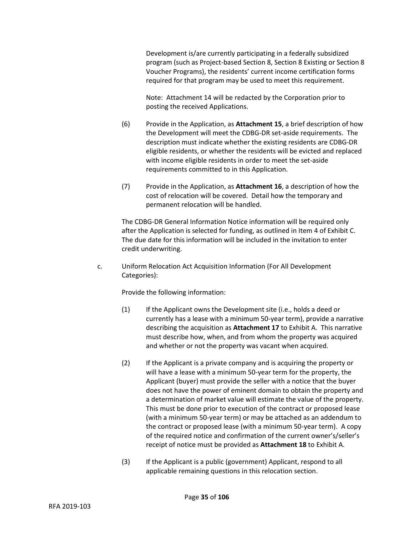Development is/are currently participating in a federally subsidized program (such as Project-based Section 8, Section 8 Existing or Section 8 Voucher Programs), the residents' current income certification forms required for that program may be used to meet this requirement.

Note: Attachment 14 will be redacted by the Corporation prior to posting the received Applications.

- (6) Provide in the Application, as **Attachment 15**, a brief description of how the Development will meet the CDBG-DR set-aside requirements. The description must indicate whether the existing residents are CDBG-DR eligible residents, or whether the residents will be evicted and replaced with income eligible residents in order to meet the set-aside requirements committed to in this Application.
- (7) Provide in the Application, as **Attachment 16**, a description of how the cost of relocation will be covered. Detail how the temporary and permanent relocation will be handled.

The CDBG-DR General Information Notice information will be required only after the Application is selected for funding, as outlined in Item 4 of Exhibit C. The due date for this information will be included in the invitation to enter credit underwriting.

c. Uniform Relocation Act Acquisition Information (For All Development Categories):

Provide the following information:

- (1) If the Applicant owns the Development site (i.e., holds a deed or currently has a lease with a minimum 50-year term), provide a narrative describing the acquisition as **Attachment 17** to Exhibit A. This narrative must describe how, when, and from whom the property was acquired and whether or not the property was vacant when acquired.
- (2) If the Applicant is a private company and is acquiring the property or will have a lease with a minimum 50-year term for the property, the Applicant (buyer) must provide the seller with a notice that the buyer does not have the power of eminent domain to obtain the property and a determination of market value will estimate the value of the property. This must be done prior to execution of the contract or proposed lease (with a minimum 50-year term) or may be attached as an addendum to the contract or proposed lease (with a minimum 50-year term). A copy of the required notice and confirmation of the current owner's/seller's receipt of notice must be provided as **Attachment 18** to Exhibit A.
- (3) If the Applicant is a public (government) Applicant, respond to all applicable remaining questions in this relocation section.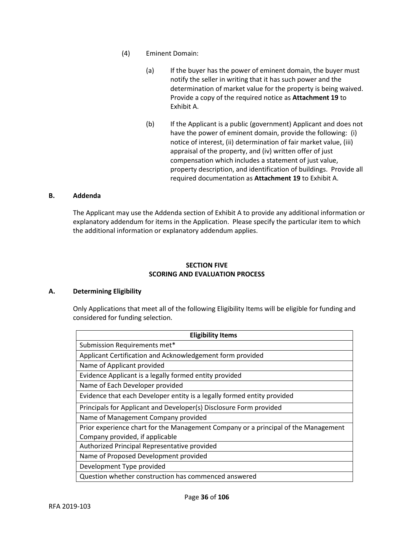- (4) Eminent Domain:
	- (a) If the buyer has the power of eminent domain, the buyer must notify the seller in writing that it has such power and the determination of market value for the property is being waived. Provide a copy of the required notice as **Attachment 19** to Exhibit A.
	- (b) If the Applicant is a public (government) Applicant and does not have the power of eminent domain, provide the following: (i) notice of interest, (ii) determination of fair market value, (iii) appraisal of the property, and (iv) written offer of just compensation which includes a statement of just value, property description, and identification of buildings. Provide all required documentation as **Attachment 19** to Exhibit A.

## **B. Addenda**

The Applicant may use the Addenda section of Exhibit A to provide any additional information or explanatory addendum for items in the Application. Please specify the particular item to which the additional information or explanatory addendum applies.

# **SECTION FIVE SCORING AND EVALUATION PROCESS**

#### **A. Determining Eligibility**

Only Applications that meet all of the following Eligibility Items will be eligible for funding and considered for funding selection.

| <b>Eligibility Items</b>                                                           |
|------------------------------------------------------------------------------------|
| Submission Requirements met*                                                       |
| Applicant Certification and Acknowledgement form provided                          |
| Name of Applicant provided                                                         |
| Evidence Applicant is a legally formed entity provided                             |
| Name of Each Developer provided                                                    |
| Evidence that each Developer entity is a legally formed entity provided            |
| Principals for Applicant and Developer(s) Disclosure Form provided                 |
| Name of Management Company provided                                                |
| Prior experience chart for the Management Company or a principal of the Management |
| Company provided, if applicable                                                    |
| Authorized Principal Representative provided                                       |
| Name of Proposed Development provided                                              |
| Development Type provided                                                          |
| Question whether construction has commenced answered                               |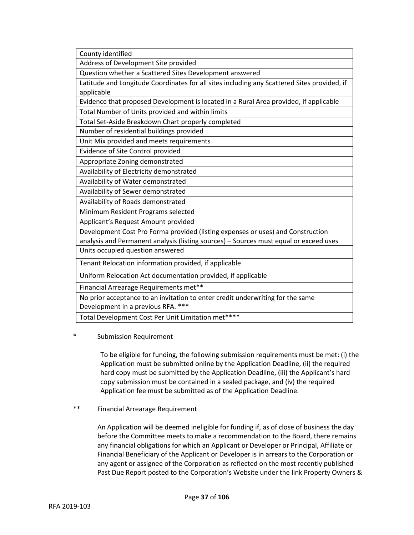County identified Address of Development Site provided Question whether a Scattered Sites Development answered Latitude and Longitude Coordinates for all sites including any Scattered Sites provided, if applicable Evidence that proposed Development is located in a Rural Area provided, if applicable Total Number of Units provided and within limits Total Set-Aside Breakdown Chart properly completed Number of residential buildings provided Unit Mix provided and meets requirements Evidence of Site Control provided Appropriate Zoning demonstrated Availability of Electricity demonstrated Availability of Water demonstrated Availability of Sewer demonstrated Availability of Roads demonstrated Minimum Resident Programs selected Applicant's Request Amount provided Development Cost Pro Forma provided (listing expenses or uses) and Construction analysis and Permanent analysis (listing sources) – Sources must equal or exceed uses Units occupied question answered Tenant Relocation information provided, if applicable Uniform Relocation Act documentation provided, if applicable Financial Arrearage Requirements met\*\* No prior acceptance to an invitation to enter credit underwriting for the same Development in a previous RFA. \*\*\*

Total Development Cost Per Unit Limitation met\*\*\*\*

Submission Requirement

To be eligible for funding, the following submission requirements must be met: (i) the Application must be submitted online by the Application Deadline, (ii) the required hard copy must be submitted by the Application Deadline, (iii) the Applicant's hard copy submission must be contained in a sealed package, and (iv) the required Application fee must be submitted as of the Application Deadline.

\*\* Financial Arrearage Requirement

An Application will be deemed ineligible for funding if, as of close of business the day before the Committee meets to make a recommendation to the Board, there remains any financial obligations for which an Applicant or Developer or Principal, Affiliate or Financial Beneficiary of the Applicant or Developer is in arrears to the Corporation or any agent or assignee of the Corporation as reflected on the most recently published Past Due Report posted to the Corporation's Website under the link Property Owners &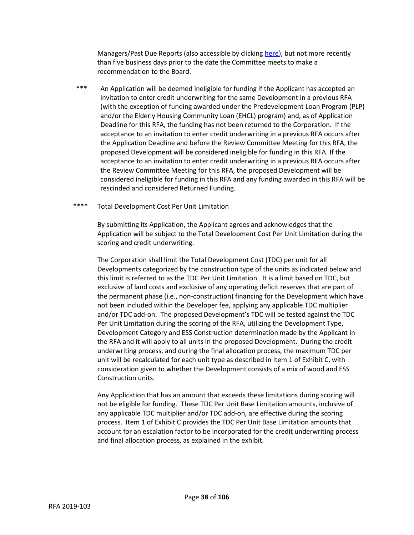Managers/Past Due Reports (also accessible by clicking [here\)](https://www.floridahousing.org/data-docs-reports/past-due-reports), but not more recently than five business days prior to the date the Committee meets to make a recommendation to the Board.

- An Application will be deemed ineligible for funding if the Applicant has accepted an invitation to enter credit underwriting for the same Development in a previous RFA (with the exception of funding awarded under the Predevelopment Loan Program (PLP) and/or the Elderly Housing Community Loan (EHCL) program) and, as of Application Deadline for this RFA, the funding has not been returned to the Corporation. If the acceptance to an invitation to enter credit underwriting in a previous RFA occurs after the Application Deadline and before the Review Committee Meeting for this RFA, the proposed Development will be considered ineligible for funding in this RFA. If the acceptance to an invitation to enter credit underwriting in a previous RFA occurs after the Review Committee Meeting for this RFA, the proposed Development will be considered ineligible for funding in this RFA and any funding awarded in this RFA will be rescinded and considered Returned Funding.
- \*\*\*\* Total Development Cost Per Unit Limitation

By submitting its Application, the Applicant agrees and acknowledges that the Application will be subject to the Total Development Cost Per Unit Limitation during the scoring and credit underwriting.

The Corporation shall limit the Total Development Cost (TDC) per unit for all Developments categorized by the construction type of the units as indicated below and this limit is referred to as the TDC Per Unit Limitation. It is a limit based on TDC, but exclusive of land costs and exclusive of any operating deficit reserves that are part of the permanent phase (i.e., non-construction) financing for the Development which have not been included within the Developer fee, applying any applicable TDC multiplier and/or TDC add-on. The proposed Development's TDC will be tested against the TDC Per Unit Limitation during the scoring of the RFA, utilizing the Development Type, Development Category and ESS Construction determination made by the Applicant in the RFA and it will apply to all units in the proposed Development. During the credit underwriting process, and during the final allocation process, the maximum TDC per unit will be recalculated for each unit type as described in Item 1 of Exhibit C, with consideration given to whether the Development consists of a mix of wood and ESS Construction units.

Any Application that has an amount that exceeds these limitations during scoring will not be eligible for funding. These TDC Per Unit Base Limitation amounts, inclusive of any applicable TDC multiplier and/or TDC add-on, are effective during the scoring process. Item 1 of Exhibit C provides the TDC Per Unit Base Limitation amounts that account for an escalation factor to be incorporated for the credit underwriting process and final allocation process, as explained in the exhibit.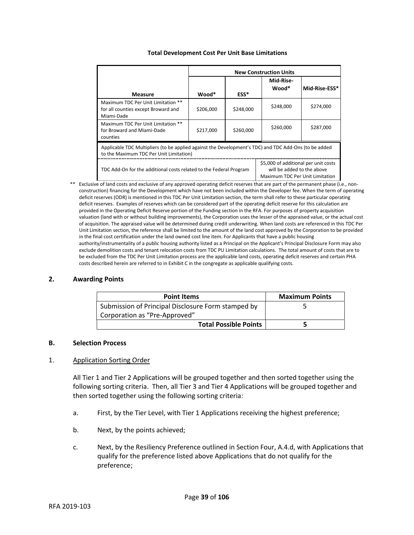|  | <b>Total Development Cost Per Unit Base Limitations</b> |  |  |  |
|--|---------------------------------------------------------|--|--|--|
|--|---------------------------------------------------------|--|--|--|

|                                                                                                                                                                             | <b>New Construction Units</b> |           |                    |               |
|-----------------------------------------------------------------------------------------------------------------------------------------------------------------------------|-------------------------------|-----------|--------------------|---------------|
| <b>Measure</b>                                                                                                                                                              | Wood*                         | ESS*      | Mid-Rise-<br>Wood* | Mid-Rise-ESS* |
| Maximum TDC Per Unit Limitation **<br>for all counties except Broward and<br>Miami-Dade                                                                                     | \$206,000                     | \$248,000 | \$248,000          | \$274,000     |
| Maximum TDC Per Unit Limitation **<br>for Broward and Miami-Dade<br>counties                                                                                                | \$217,000                     | \$260,000 | \$260,000          | \$287,000     |
| Applicable TDC Multipliers (to be applied against the Development's TDC) and TDC Add-Ons (to be added<br>to the Maximum TDC Per Unit Limitation)                            |                               |           |                    |               |
| \$5,000 of additional per unit costs<br>TDC Add-On for the additional costs related to the Federal Program<br>will be added to the above<br>Maximum TDC Per Unit Limitation |                               |           |                    |               |

\*\* Exclusive of land costs and exclusive of any approved operating deficit reserves that are part of the permanent phase (i.e., nonconstruction) financing for the Development which have not been included within the Developer fee. When the term of operating deficit reserves (ODR) is mentioned in this TDC Per Unit Limitation section, the term shall refer to these particular operating deficit reserves. Examples of reserves which can be considered part of the operating deficit reserve for this calculation are provided in the Operating Deficit Reserve portion of the Funding section in the RFA. For purposes of property acquisition valuation (land with or without building improvements), the Corporation uses the lesser of the appraised value, or the actual cost of acquisition. The appraised value will be determined during credit underwriting. When land costs are referenced in this TDC Per Unit Limitation section, the reference shall be limited to the amount of the land cost approved by the Corporation to be provided in the final cost certification under the land owned cost line item. For Applicants that have a public housing authority/instrumentality of a public housing authority listed as a Principal on the Applicant's Principal Disclosure Form may also exclude demolition costs and tenant relocation costs from TDC PU Limitation calculations. The total amount of costs that are to be excluded from the TDC Per Unit Limitation process are the applicable land costs, operating deficit reserves and certain PHA costs described herein are referred to in Exhibit C in the congregate as applicable qualifying costs.

# **2. Awarding Points**

| <b>Point Items</b>                                 | <b>Maximum Points</b> |
|----------------------------------------------------|-----------------------|
| Submission of Principal Disclosure Form stamped by |                       |
| Corporation as "Pre-Approved"                      |                       |
| <b>Total Possible Points</b>                       |                       |

## **B. Selection Process**

# 1. Application Sorting Order

All Tier 1 and Tier 2 Applications will be grouped together and then sorted together using the following sorting criteria. Then, all Tier 3 and Tier 4 Applications will be grouped together and then sorted together using the following sorting criteria:

- a. First, by the Tier Level, with Tier 1 Applications receiving the highest preference;
- b. Next, by the points achieved;
- c. Next, by the Resiliency Preference outlined in Section Four, A.4.d, with Applications that qualify for the preference listed above Applications that do not qualify for the preference;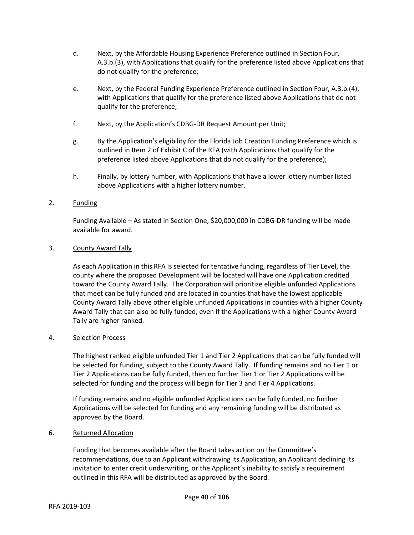- d. Next, by the Affordable Housing Experience Preference outlined in Section Four, A.3.b.(3), with Applications that qualify for the preference listed above Applications that do not qualify for the preference;
- e. Next, by the Federal Funding Experience Preference outlined in Section Four, A.3.b.(4), with Applications that qualify for the preference listed above Applications that do not qualify for the preference;
- f. Next, by the Application's CDBG-DR Request Amount per Unit;
- g. By the Application's eligibility for the Florida Job Creation Funding Preference which is outlined in Item 2 of Exhibit C of the RFA (with Applications that qualify for the preference listed above Applications that do not qualify for the preference);
- h. Finally, by lottery number, with Applications that have a lower lottery number listed above Applications with a higher lottery number.

# 2. Funding

Funding Available – As stated in Section One, \$20,000,000 in CDBG-DR funding will be made available for award.

# 3. County Award Tally

As each Application in this RFA is selected for tentative funding, regardless of Tier Level, the county where the proposed Development will be located will have one Application credited toward the County Award Tally. The Corporation will prioritize eligible unfunded Applications that meet can be fully funded and are located in counties that have the lowest applicable County Award Tally above other eligible unfunded Applications in counties with a higher County Award Tally that can also be fully funded, even if the Applications with a higher County Award Tally are higher ranked.

# 4. Selection Process

The highest ranked eligible unfunded Tier 1 and Tier 2 Applications that can be fully funded will be selected for funding, subject to the County Award Tally. If funding remains and no Tier 1 or Tier 2 Applications can be fully funded, then no further Tier 1 or Tier 2 Applications will be selected for funding and the process will begin for Tier 3 and Tier 4 Applications.

If funding remains and no eligible unfunded Applications can be fully funded, no further Applications will be selected for funding and any remaining funding will be distributed as approved by the Board.

## 6. Returned Allocation

Funding that becomes available after the Board takes action on the Committee's recommendations, due to an Applicant withdrawing its Application, an Applicant declining its invitation to enter credit underwriting, or the Applicant's inability to satisfy a requirement outlined in this RFA will be distributed as approved by the Board.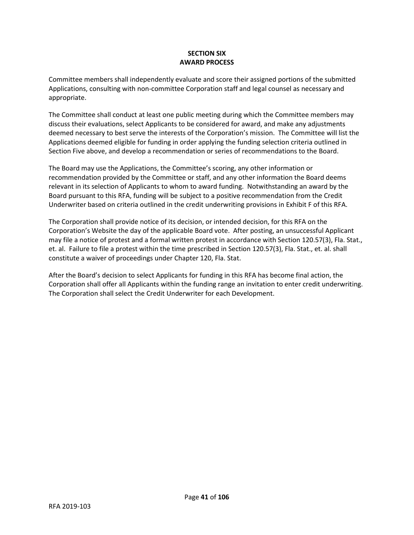# **SECTION SIX AWARD PROCESS**

Committee members shall independently evaluate and score their assigned portions of the submitted Applications, consulting with non-committee Corporation staff and legal counsel as necessary and appropriate.

The Committee shall conduct at least one public meeting during which the Committee members may discuss their evaluations, select Applicants to be considered for award, and make any adjustments deemed necessary to best serve the interests of the Corporation's mission. The Committee will list the Applications deemed eligible for funding in order applying the funding selection criteria outlined in Section Five above, and develop a recommendation or series of recommendations to the Board.

The Board may use the Applications, the Committee's scoring, any other information or recommendation provided by the Committee or staff, and any other information the Board deems relevant in its selection of Applicants to whom to award funding. Notwithstanding an award by the Board pursuant to this RFA, funding will be subject to a positive recommendation from the Credit Underwriter based on criteria outlined in the credit underwriting provisions in Exhibit F of this RFA.

The Corporation shall provide notice of its decision, or intended decision, for this RFA on the Corporation's Website the day of the applicable Board vote. After posting, an unsuccessful Applicant may file a notice of protest and a formal written protest in accordance with Section 120.57(3), Fla. Stat., et. al. Failure to file a protest within the time prescribed in Section 120.57(3), Fla. Stat., et. al. shall constitute a waiver of proceedings under Chapter 120, Fla. Stat.

After the Board's decision to select Applicants for funding in this RFA has become final action, the Corporation shall offer all Applicants within the funding range an invitation to enter credit underwriting. The Corporation shall select the Credit Underwriter for each Development.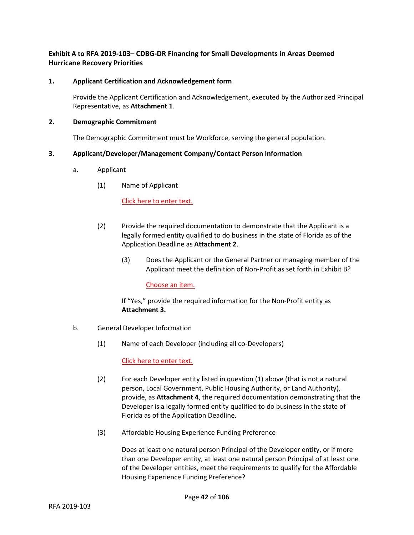# **Exhibit A to RFA 2019-103– CDBG-DR Financing for Small Developments in Areas Deemed Hurricane Recovery Priorities**

# **1. Applicant Certification and Acknowledgement form**

Provide the Applicant Certification and Acknowledgement, executed by the Authorized Principal Representative, as **Attachment 1**.

# **2. Demographic Commitment**

The Demographic Commitment must be Workforce, serving the general population.

# **3. Applicant/Developer/Management Company/Contact Person Information**

- a. Applicant
	- (1) Name of Applicant

## Click here to enter text.

- (2) Provide the required documentation to demonstrate that the Applicant is a legally formed entity qualified to do business in the state of Florida as of the Application Deadline as **Attachment 2**.
	- (3) Does the Applicant or the General Partner or managing member of the Applicant meet the definition of Non-Profit as set forth in Exhibit B?

## Choose an item.

If "Yes," provide the required information for the Non-Profit entity as **Attachment 3.**

- b. General Developer Information
	- (1) Name of each Developer (including all co-Developers)

Click here to enter text.

- (2) For each Developer entity listed in question (1) above (that is not a natural person, Local Government, Public Housing Authority, or Land Authority), provide, as **Attachment 4**, the required documentation demonstrating that the Developer is a legally formed entity qualified to do business in the state of Florida as of the Application Deadline.
- (3) Affordable Housing Experience Funding Preference

Does at least one natural person Principal of the Developer entity, or if more than one Developer entity, at least one natural person Principal of at least one of the Developer entities, meet the requirements to qualify for the Affordable Housing Experience Funding Preference?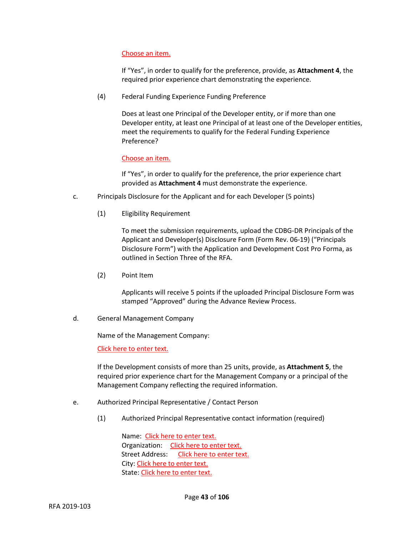# Choose an item.

If "Yes", in order to qualify for the preference, provide, as **Attachment 4**, the required prior experience chart demonstrating the experience.

(4) Federal Funding Experience Funding Preference

Does at least one Principal of the Developer entity, or if more than one Developer entity, at least one Principal of at least one of the Developer entities, meet the requirements to qualify for the Federal Funding Experience Preference?

## Choose an item.

If "Yes", in order to qualify for the preference, the prior experience chart provided as **Attachment 4** must demonstrate the experience.

- c. Principals Disclosure for the Applicant and for each Developer (5 points)
	- (1) Eligibility Requirement

To meet the submission requirements, upload the CDBG-DR Principals of the Applicant and Developer(s) Disclosure Form (Form Rev. 06-19) ("Principals Disclosure Form") with the Application and Development Cost Pro Forma, as outlined in Section Three of the RFA.

(2) Point Item

Applicants will receive 5 points if the uploaded Principal Disclosure Form was stamped "Approved" during the Advance Review Process.

d. General Management Company

Name of the Management Company:

Click here to enter text.

If the Development consists of more than 25 units, provide, as **Attachment 5**, the required prior experience chart for the Management Company or a principal of the Management Company reflecting the required information.

- e. Authorized Principal Representative / Contact Person
	- (1) Authorized Principal Representative contact information (required)

Name: Click here to enter text. Organization: Click here to enter text. Street Address: Click here to enter text. City: Click here to enter text. State: Click here to enter text.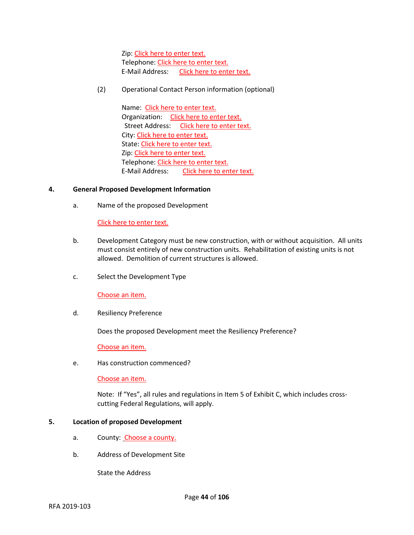Zip: Click here to enter text. Telephone: Click here to enter text. E-Mail Address: Click here to enter text.

(2) Operational Contact Person information (optional)

Name: Click here to enter text. Organization: Click here to enter text. Street Address: Click here to enter text. City: Click here to enter text. State: Click here to enter text. Zip: Click here to enter text. Telephone: Click here to enter text. E-Mail Address: Click here to enter text.

## **4. General Proposed Development Information**

a. Name of the proposed Development

Click here to enter text.

- b. Development Category must be new construction, with or without acquisition. All units must consist entirely of new construction units. Rehabilitation of existing units is not allowed. Demolition of current structures is allowed.
- c. Select the Development Type

Choose an item.

d. Resiliency Preference

Does the proposed Development meet the Resiliency Preference?

Choose an item.

e. Has construction commenced?

Choose an item.

Note: If "Yes", all rules and regulations in Item 5 of Exhibit C, which includes crosscutting Federal Regulations, will apply.

## **5. Location of proposed Development**

- a. County: Choose a county.
- b. Address of Development Site

State the Address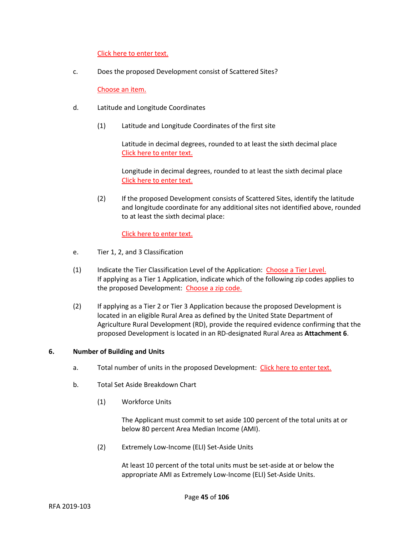Click here to enter text.

c. Does the proposed Development consist of Scattered Sites?

Choose an item.

- d. Latitude and Longitude Coordinates
	- (1) Latitude and Longitude Coordinates of the first site

Latitude in decimal degrees, rounded to at least the sixth decimal place Click here to enter text.

Longitude in decimal degrees, rounded to at least the sixth decimal place Click here to enter text.

(2) If the proposed Development consists of Scattered Sites, identify the latitude and longitude coordinate for any additional sites not identified above, rounded to at least the sixth decimal place:

Click here to enter text.

- e. Tier 1, 2, and 3 Classification
- (1) Indicate the Tier Classification Level of the Application: Choose a Tier Level. If applying as a Tier 1 Application, indicate which of the following zip codes applies to the proposed Development: Choose a zip code.
- (2) If applying as a Tier 2 or Tier 3 Application because the proposed Development is located in an eligible Rural Area as defined by the United State Department of Agriculture Rural Development (RD), provide the required evidence confirming that the proposed Development is located in an RD-designated Rural Area as **Attachment 6**.

## **6. Number of Building and Units**

- a. Total number of units in the proposed Development: Click here to enter text.
- b. Total Set Aside Breakdown Chart
	- (1) Workforce Units

The Applicant must commit to set aside 100 percent of the total units at or below 80 percent Area Median Income (AMI).

(2) Extremely Low-Income (ELI) Set-Aside Units

At least 10 percent of the total units must be set-aside at or below the appropriate AMI as Extremely Low-Income (ELI) Set-Aside Units.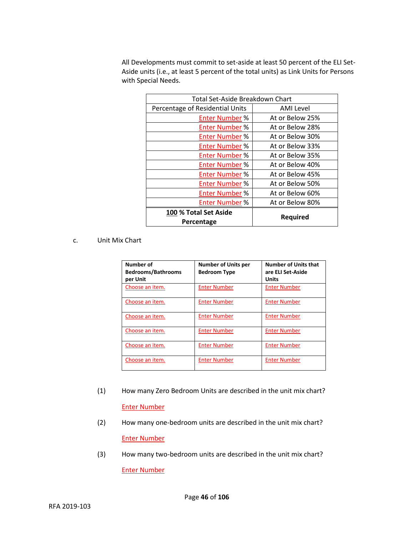All Developments must commit to set-aside at least 50 percent of the ELI Set-Aside units (i.e., at least 5 percent of the total units) as Link Units for Persons with Special Needs.

| Total Set-Aside Breakdown Chart |                  |  |
|---------------------------------|------------------|--|
| Percentage of Residential Units | <b>AMI</b> Level |  |
| <b>Enter Number %</b>           | At or Below 25%  |  |
| <b>Enter Number %</b>           | At or Below 28%  |  |
| <b>Enter Number %</b>           | At or Below 30%  |  |
| <b>Enter Number %</b>           | At or Below 33%  |  |
| <b>Enter Number %</b>           | At or Below 35%  |  |
| <b>Enter Number %</b>           | At or Below 40%  |  |
| <b>Enter Number %</b>           | At or Below 45%  |  |
| <b>Enter Number %</b>           | At or Below 50%  |  |
| <b>Enter Number %</b>           | At or Below 60%  |  |
| <b>Enter Number %</b>           | At or Below 80%  |  |
| 100 % Total Set Aside           |                  |  |
| <b>Required</b><br>Percentage   |                  |  |

# c. Unit Mix Chart

| Number of<br><b>Bedrooms/Bathrooms</b><br>per Unit | <b>Number of Units per</b><br><b>Bedroom Type</b> | <b>Number of Units that</b><br>are ELI Set-Aside<br>Units |
|----------------------------------------------------|---------------------------------------------------|-----------------------------------------------------------|
| Choose an item.                                    | <b>Enter Number</b>                               | <b>Enter Number</b>                                       |
| Choose an item.                                    | <b>Enter Number</b>                               | <b>Enter Number</b>                                       |
| Choose an item.                                    | <b>Enter Number</b>                               | <b>Enter Number</b>                                       |
| Choose an item.                                    | <b>Enter Number</b>                               | <b>Enter Number</b>                                       |
| Choose an item.                                    | <b>Enter Number</b>                               | <b>Enter Number</b>                                       |
| Choose an item.                                    | <b>Enter Number</b>                               | <b>Enter Number</b>                                       |

- (1) How many Zero Bedroom Units are described in the unit mix chart? Enter Number
- (2) How many one-bedroom units are described in the unit mix chart? Enter Number
- (3) How many two-bedroom units are described in the unit mix chart? Enter Number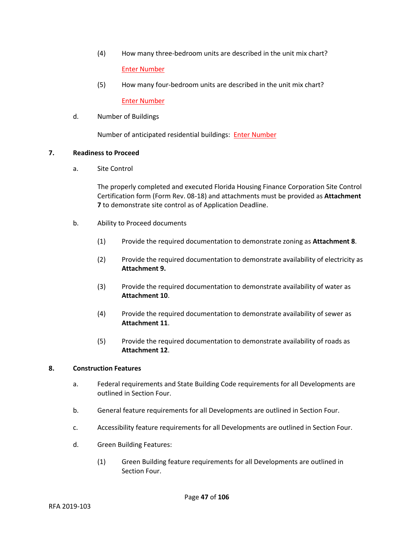- (4) How many three-bedroom units are described in the unit mix chart? Enter Number
- (5) How many four-bedroom units are described in the unit mix chart? Enter Number
- d. Number of Buildings

Number of anticipated residential buildings: Enter Number

# **7. Readiness to Proceed**

a. Site Control

The properly completed and executed Florida Housing Finance Corporation Site Control Certification form (Form Rev. 08-18) and attachments must be provided as **Attachment 7** to demonstrate site control as of Application Deadline.

- b. Ability to Proceed documents
	- (1) Provide the required documentation to demonstrate zoning as **Attachment 8**.
	- (2) Provide the required documentation to demonstrate availability of electricity as **Attachment 9.**
	- (3) Provide the required documentation to demonstrate availability of water as **Attachment 10**.
	- (4) Provide the required documentation to demonstrate availability of sewer as **Attachment 11**.
	- (5) Provide the required documentation to demonstrate availability of roads as **Attachment 12**.

# **8. Construction Features**

- a. Federal requirements and State Building Code requirements for all Developments are outlined in Section Four.
- b. General feature requirements for all Developments are outlined in Section Four.
- c. Accessibility feature requirements for all Developments are outlined in Section Four.
- d. Green Building Features:
	- (1) Green Building feature requirements for all Developments are outlined in Section Four.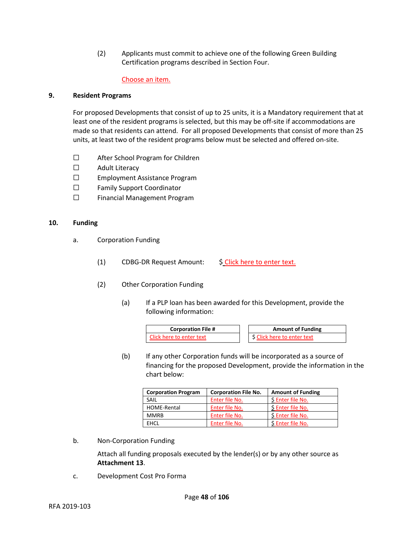(2) Applicants must commit to achieve one of the following Green Building Certification programs described in Section Four.

## Choose an item.

## **9. Resident Programs**

For proposed Developments that consist of up to 25 units, it is a Mandatory requirement that at least one of the resident programs is selected, but this may be off-site if accommodations are made so that residents can attend. For all proposed Developments that consist of more than 25 units, at least two of the resident programs below must be selected and offered on-site.

- ☐ After School Program for Children
- ☐ Adult Literacy
- ☐ Employment Assistance Program
- ☐ Family Support Coordinator
- ☐ Financial Management Program

## **10. Funding**

- a. Corporation Funding
	- (1) CDBG-DR Request Amount: \$ Click here to enter text.
	- (2) Other Corporation Funding
		- (a) If a PLP loan has been awarded for this Development, provide the following information:

| <b>Corporation File #</b> | <b>Amount of Funding</b>   |
|---------------------------|----------------------------|
| Click here to enter text  | S Click here to enter text |

(b) If any other Corporation funds will be incorporated as a source of financing for the proposed Development, provide the information in the chart below:

| <b>Corporation Program</b> | <b>Corporation File No.</b> | <b>Amount of Funding</b> |
|----------------------------|-----------------------------|--------------------------|
| SAIL                       | Enter file No.              | \$ Enter file No.        |
| HOME-Rental                | Enter file No.              | \$ Enter file No.        |
| <b>MMRB</b>                | Enter file No.              | \$ Enter file No.        |
| <b>FHCL</b>                | Enter file No.              | \$ Enter file No.        |

b. Non-Corporation Funding

Attach all funding proposals executed by the lender(s) or by any other source as **Attachment 13**.

c. Development Cost Pro Forma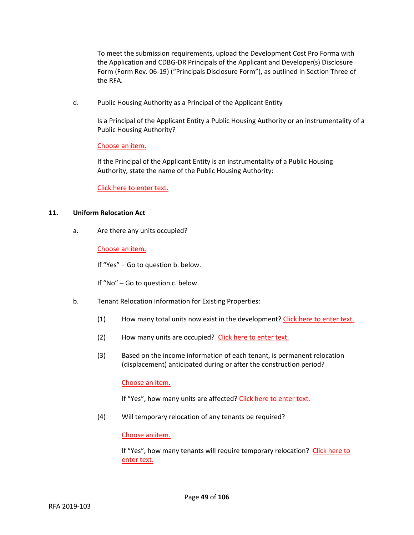To meet the submission requirements, upload the Development Cost Pro Forma with the Application and CDBG-DR Principals of the Applicant and Developer(s) Disclosure Form (Form Rev. 06-19) ("Principals Disclosure Form"), as outlined in Section Three of the RFA.

d. Public Housing Authority as a Principal of the Applicant Entity

Is a Principal of the Applicant Entity a Public Housing Authority or an instrumentality of a Public Housing Authority?

Choose an item.

If the Principal of the Applicant Entity is an instrumentality of a Public Housing Authority, state the name of the Public Housing Authority:

Click here to enter text.

# **11. Uniform Relocation Act**

a. Are there any units occupied?

Choose an item.

If "Yes" – Go to question b. below.

If "No" – Go to question c. below.

- b. Tenant Relocation Information for Existing Properties:
	- (1) How many total units now exist in the development? Click here to enter text.
	- (2) How many units are occupied? Click here to enter text.
	- (3) Based on the income information of each tenant, is permanent relocation (displacement) anticipated during or after the construction period?

Choose an item.

If "Yes", how many units are affected? Click here to enter text.

(4) Will temporary relocation of any tenants be required?

Choose an item.

If "Yes", how many tenants will require temporary relocation? Click here to enter text.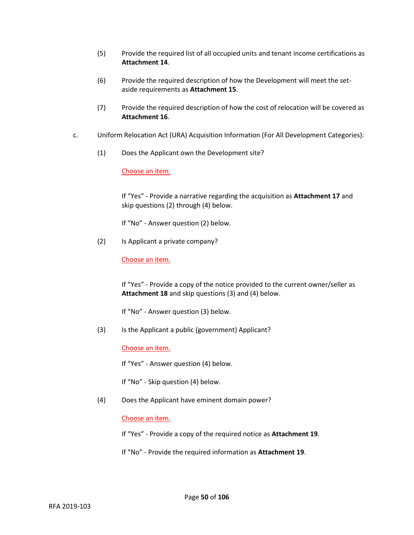- (5) Provide the required list of all occupied units and tenant income certifications as **Attachment 14**.
- (6) Provide the required description of how the Development will meet the setaside requirements as **Attachment 15**.
- (7) Provide the required description of how the cost of relocation will be covered as **Attachment 16**.
- c. Uniform Relocation Act (URA) Acquisition Information (For All Development Categories):
	- (1) Does the Applicant own the Development site?

Choose an item.

If "Yes" - Provide a narrative regarding the acquisition as **Attachment 17** and skip questions (2) through (4) below.

If "No" - Answer question (2) below.

(2) Is Applicant a private company?

Choose an item.

If "Yes" - Provide a copy of the notice provided to the current owner/seller as **Attachment 18** and skip questions (3) and (4) below.

If "No" - Answer question (3) below.

(3) Is the Applicant a public (government) Applicant?

Choose an item.

If "Yes" - Answer question (4) below.

If "No" - Skip question (4) below.

(4) Does the Applicant have eminent domain power?

Choose an item.

If "Yes" - Provide a copy of the required notice as **Attachment 19**.

If "No" - Provide the required information as **Attachment 19**.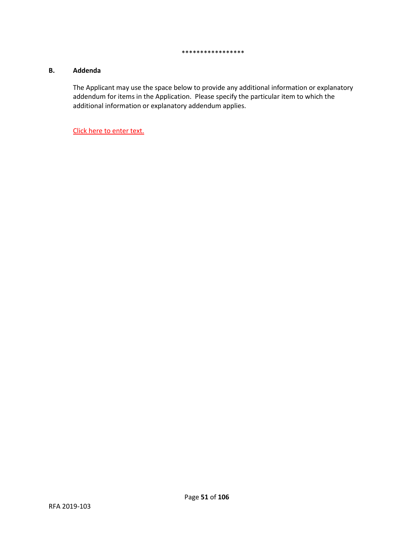#### \*\*\*\*\*\*\*\*\*\*\*\*\*\*\*\*\*

## **B. Addenda**

The Applicant may use the space below to provide any additional information or explanatory addendum for items in the Application. Please specify the particular item to which the additional information or explanatory addendum applies.

Click here to enter text.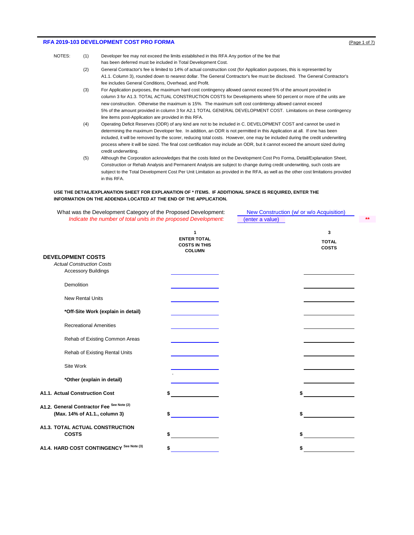### **RFA 2019-103 DEVELOPMENT COST PRO FORMA** (Page 1 of 7)  $[Page 10f 7]$

- NOTES: (1) Developer fee may not exceed the limits established in this RFA Any portion of the fee that has been deferred must be included in Total Development Cost.
	- (2) General Contractor's fee is limited to 14% of actual construction cost (for Application purposes, this is represented by A1.1. Column 3), rounded down to nearest dollar. The General Contractor's fee must be disclosed. The General Contractor's fee includes General Conditions, Overhead, and Profit.
	- (3) For Application purposes, the maximum hard cost contingency allowed cannot exceed 5% of the amount provided in column 3 for A1.3. TOTAL ACTUAL CONSTRUCTION COSTS for Developments where 50 percent or more of the units are new construction. Otherwise the maximum is 15%. The maximum soft cost contintengy allowed cannot exceed 5% of the amount provided in column 3 for A2.1 TOTAL GENERAL DEVELOPMENT COST. Limitations on these contingency line items post-Application are provided in this RFA.
	- (4) Operating Deficit Reserves (ODR) of any kind are not to be included in C. DEVELOPMENT COST and cannot be used in determining the maximum Developer fee. In addition, an ODR is not permitted in this Application at all. If one has been included, it will be removed by the scorer, reducing total costs. However, one may be included during the credit underwriting process where it will be sized. The final cost certification may include an ODR, but it cannot exceed the amount sized during credit underwriting.
	- (5) Although the Corporation acknowledges that the costs listed on the Development Cost Pro Forma, Detail/Explanation Sheet, Construction or Rehab Analysis and Permanent Analysis are subject to change during credit underwriting, such costs are subject to the Total Development Cost Per Unit Limitation as provided in the RFA, as well as the other cost limitations provided in this RFA.

#### **USE THE DETAIL/EXPLANATION SHEET FOR EXPLANATION OF \* ITEMS. IF ADDITIONAL SPACE IS REQUIRED, ENTER THE INFORMATION ON THE ADDENDA LOCATED AT THE END OF THE APPLICATION.**

| What was the Development Category of the Proposed Development:  |                                                             | New Construction (w/ or w/o Acquisition) |                              |
|-----------------------------------------------------------------|-------------------------------------------------------------|------------------------------------------|------------------------------|
| Indicate the number of total units in the proposed Development: |                                                             | (enter a value)                          |                              |
|                                                                 | 1                                                           |                                          | 3                            |
|                                                                 | <b>ENTER TOTAL</b><br><b>COSTS IN THIS</b><br><b>COLUMN</b> |                                          | <b>TOTAL</b><br><b>COSTS</b> |
| <b>DEVELOPMENT COSTS</b>                                        |                                                             |                                          |                              |
| <b>Actual Construction Costs</b>                                |                                                             |                                          |                              |
| <b>Accessory Buildings</b>                                      |                                                             |                                          |                              |
| Demolition                                                      |                                                             |                                          |                              |
| <b>New Rental Units</b>                                         |                                                             |                                          |                              |
| *Off-Site Work (explain in detail)                              |                                                             |                                          |                              |
| <b>Recreational Amenities</b>                                   |                                                             |                                          |                              |
| Rehab of Existing Common Areas                                  |                                                             |                                          |                              |
| Rehab of Existing Rental Units                                  |                                                             |                                          |                              |
| Site Work                                                       |                                                             |                                          |                              |
| *Other (explain in detail)                                      |                                                             |                                          |                              |
| A1.1. Actual Construction Cost                                  |                                                             |                                          |                              |
| A1.2. General Contractor Fee See Note (2)                       |                                                             |                                          |                              |
| (Max. 14% of A1.1., column 3)                                   | \$                                                          |                                          |                              |
| A1.3. TOTAL ACTUAL CONSTRUCTION                                 |                                                             |                                          |                              |
| <b>COSTS</b>                                                    |                                                             |                                          |                              |
| A1.4. HARD COST CONTINGENCY See Note (3)                        |                                                             |                                          |                              |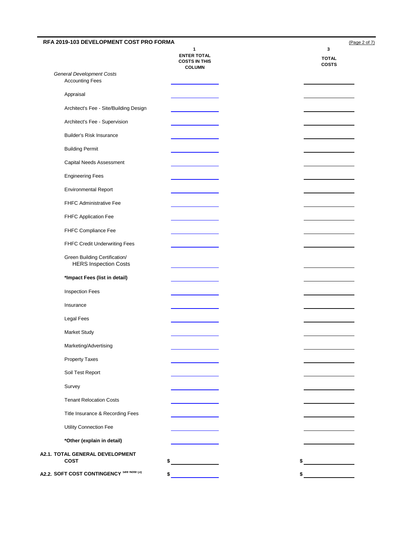| RFA 2019-103 DEVELOPMENT COST PRO FORMA                       |                                                                  | (Page 2 of 7)                     |
|---------------------------------------------------------------|------------------------------------------------------------------|-----------------------------------|
|                                                               | 1<br><b>ENTER TOTAL</b><br><b>COSTS IN THIS</b><br><b>COLUMN</b> | 3<br><b>TOTAL</b><br><b>COSTS</b> |
| <b>General Development Costs</b><br><b>Accounting Fees</b>    |                                                                  |                                   |
| Appraisal                                                     |                                                                  |                                   |
| Architect's Fee - Site/Building Design                        |                                                                  |                                   |
| Architect's Fee - Supervision                                 |                                                                  |                                   |
| <b>Builder's Risk Insurance</b>                               |                                                                  |                                   |
| <b>Building Permit</b>                                        |                                                                  |                                   |
| Capital Needs Assessment                                      |                                                                  |                                   |
| <b>Engineering Fees</b>                                       |                                                                  |                                   |
| <b>Environmental Report</b>                                   |                                                                  |                                   |
| FHFC Administrative Fee                                       |                                                                  |                                   |
| FHFC Application Fee                                          |                                                                  |                                   |
| FHFC Compliance Fee                                           |                                                                  |                                   |
| FHFC Credit Underwriting Fees                                 |                                                                  |                                   |
| Green Building Certification/<br><b>HERS Inspection Costs</b> |                                                                  |                                   |
| *Impact Fees (list in detail)                                 |                                                                  |                                   |
| <b>Inspection Fees</b>                                        |                                                                  |                                   |
| Insurance                                                     |                                                                  |                                   |
| Legal Fees                                                    |                                                                  |                                   |
| Market Study                                                  |                                                                  |                                   |
| Marketing/Advertising                                         |                                                                  |                                   |
| <b>Property Taxes</b>                                         |                                                                  |                                   |
| Soil Test Report                                              |                                                                  |                                   |
| Survey                                                        |                                                                  |                                   |
| <b>Tenant Relocation Costs</b>                                |                                                                  |                                   |
| Title Insurance & Recording Fees                              |                                                                  |                                   |
| Utility Connection Fee                                        |                                                                  |                                   |
| *Other (explain in detail)                                    |                                                                  |                                   |
| A2.1. TOTAL GENERAL DEVELOPMENT<br><b>COST</b>                | \$                                                               | \$                                |
| A2.2. SOFT COST CONTINGENCY See Note (3)                      | \$                                                               | \$                                |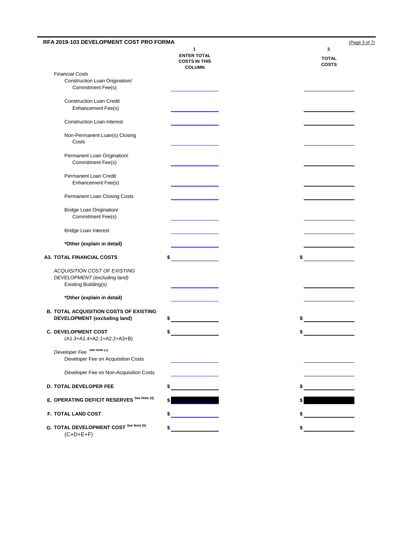| RFA 2019-103 DEVELOPMENT COST PRO FORMA                                              |                                                                  | (Page 3 of 7)                     |
|--------------------------------------------------------------------------------------|------------------------------------------------------------------|-----------------------------------|
|                                                                                      | 1<br><b>ENTER TOTAL</b><br><b>COSTS IN THIS</b><br><b>COLUMN</b> | 3<br><b>TOTAL</b><br><b>COSTS</b> |
| <b>Financial Costs</b>                                                               |                                                                  |                                   |
| Construction Loan Origination/<br><b>Commitment Fee(s)</b>                           |                                                                  |                                   |
| <b>Construction Loan Credit</b><br>Enhancement Fee(s)                                |                                                                  |                                   |
| <b>Construction Loan Interest</b>                                                    |                                                                  |                                   |
| Non-Permanent Loan(s) Closing<br>Costs                                               |                                                                  |                                   |
| Permanent Loan Origination/<br>Commitment Fee(s)                                     |                                                                  |                                   |
| Permanent Loan Credit<br>Enhancement Fee(s)                                          |                                                                  |                                   |
| Permanent Loan Closing Costs                                                         |                                                                  |                                   |
| Bridge Loan Origination/<br>Commitment Fee(s)                                        |                                                                  |                                   |
| Bridge Loan Interest                                                                 |                                                                  |                                   |
| *Other (explain in detail)                                                           |                                                                  |                                   |
| <b>A3. TOTAL FINANCIAL COSTS</b>                                                     |                                                                  | \$                                |
| ACQUISITION COST OF EXISTING<br>DEVELOPMENT (excluding land)<br>Existing Building(s) |                                                                  |                                   |
| *Other (explain in detail)                                                           |                                                                  |                                   |
| <b>B. TOTAL ACQUISITION COSTS OF EXISTING</b><br><b>DEVELOPMENT</b> (excluding land) |                                                                  | \$                                |
| <b>C. DEVELOPMENT COST</b><br>(A1.3+A1.4+A2.1+A2.2+A3+B)                             |                                                                  |                                   |
| Developer Fee See Note (1)<br>Developer Fee on Acquisition Costs                     |                                                                  |                                   |
| Developer Fee on Non-Acquisition Costs                                               |                                                                  |                                   |
| D. TOTAL DEVELOPER FEE                                                               |                                                                  |                                   |
| E. OPERATING DEFICIT RESERVES See Note (4)                                           |                                                                  |                                   |
| F. TOTAL LAND COST                                                                   |                                                                  |                                   |
| G. TOTAL DEVELOPMENT COST See Note (5)<br>$(C+D+E+F)$                                | \$                                                               | $\frac{1}{2}$                     |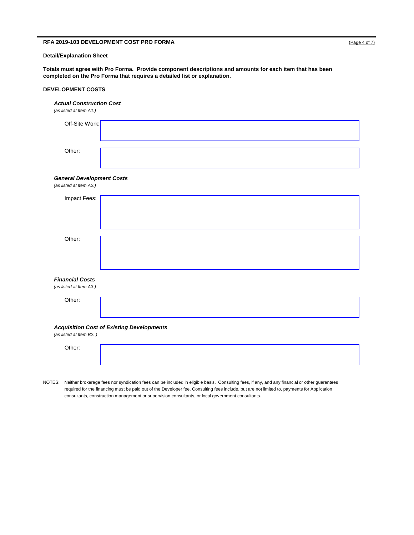## **RFA 2019-103 DEVELOPMENT COST PRO FORMA** (Page 4 of 7)

## **Detail/Explanation Sheet**

**Totals must agree with Pro Forma. Provide component descriptions and amounts for each item that has been completed on the Pro Forma that requires a detailed list or explanation.**

### **DEVELOPMENT COSTS**

#### *Actual Construction Cost*

*(as listed at Item A1.)*

| Off-Site Work: |  |
|----------------|--|
| Other:         |  |

### *General Development Costs*

| (as listed at Item A2.)                           |                                                  |
|---------------------------------------------------|--------------------------------------------------|
| Impact Fees:                                      |                                                  |
| Other:                                            |                                                  |
| <b>Financial Costs</b><br>(as listed at Item A3.) |                                                  |
| Other:                                            |                                                  |
| (as listed at Item B2.)                           | <b>Acquisition Cost of Existing Developments</b> |
| Other:                                            |                                                  |

NOTES: Neither brokerage fees nor syndication fees can be included in eligible basis. Consulting fees, if any, and any financial or other guarantees required for the financing must be paid out of the Developer fee. Consulting fees include, but are not limited to, payments for Application consultants, construction management or supervision consultants, or local government consultants.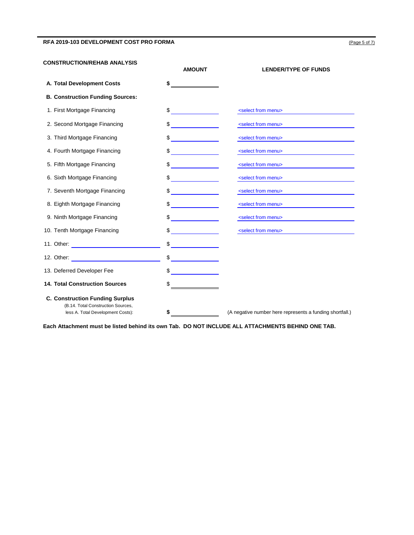## RFA 2019-103 DEVELOPMENT COST PRO FORMA **(Page 5 of 7)**  $(Page 5 of 7)$

### **CONSTRUCTION/REHAB ANALYSIS**

|                                                                                                                                                                                                                                | <b>AMOUNT</b>              | <b>LENDER/TYPE OF FUNDS</b>                              |
|--------------------------------------------------------------------------------------------------------------------------------------------------------------------------------------------------------------------------------|----------------------------|----------------------------------------------------------|
| A. Total Development Costs                                                                                                                                                                                                     | \$                         |                                                          |
| <b>B. Construction Funding Sources:</b>                                                                                                                                                                                        |                            |                                                          |
| 1. First Mortgage Financing                                                                                                                                                                                                    | $\frac{1}{2}$              | <select from="" menu=""></select>                        |
| 2. Second Mortgage Financing                                                                                                                                                                                                   | \$<br><u>and the state</u> | <select from="" menu=""></select>                        |
| 3. Third Mortgage Financing                                                                                                                                                                                                    |                            | <select from="" menu=""></select>                        |
| 4. Fourth Mortgage Financing                                                                                                                                                                                                   |                            | <select from="" menu=""></select>                        |
| 5. Fifth Mortgage Financing                                                                                                                                                                                                    |                            | <select from="" menu=""></select>                        |
| 6. Sixth Mortgage Financing                                                                                                                                                                                                    |                            | <select from="" menu=""></select>                        |
| 7. Seventh Mortgage Financing                                                                                                                                                                                                  |                            | <select from="" menu=""></select>                        |
| 8. Eighth Mortgage Financing                                                                                                                                                                                                   |                            | <select from="" menu=""></select>                        |
| 9. Ninth Mortgage Financing                                                                                                                                                                                                    |                            | <select from="" menu=""></select>                        |
| 10. Tenth Mortgage Financing                                                                                                                                                                                                   |                            | <select from="" menu=""></select>                        |
| 11. Other: <u>_________________________</u>                                                                                                                                                                                    |                            |                                                          |
| 12. Other: Website and Communications of the contract of the contract of the contract of the contract of the contract of the contract of the contract of the contract of the contract of the contract of the contract of the c |                            |                                                          |
| 13. Deferred Developer Fee                                                                                                                                                                                                     |                            |                                                          |
| <b>14. Total Construction Sources</b>                                                                                                                                                                                          |                            |                                                          |
| <b>C. Construction Funding Surplus</b>                                                                                                                                                                                         |                            |                                                          |
| (B.14. Total Construction Sources.<br>less A. Total Development Costs):                                                                                                                                                        | \$                         | (A negative number here represents a funding shortfall.) |

**Each Attachment must be listed behind its own Tab. DO NOT INCLUDE ALL ATTACHMENTS BEHIND ONE TAB.**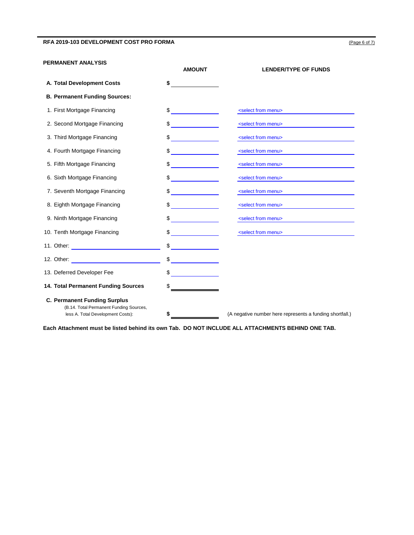## RFA 2019-103 DEVELOPMENT COST PRO FORMA **(Page 6 of 7)**  $(Page 6 of 7)$

#### **PERMANENT ANALYSIS**

|                                                                                                                     | <b>AMOUNT</b>                                | <b>LENDER/TYPE OF FUNDS</b>                              |
|---------------------------------------------------------------------------------------------------------------------|----------------------------------------------|----------------------------------------------------------|
| A. Total Development Costs                                                                                          | S                                            |                                                          |
| <b>B. Permanent Funding Sources:</b>                                                                                |                                              |                                                          |
| 1. First Mortgage Financing                                                                                         | $\frac{1}{\sqrt{2}}$                         | <select from="" menu=""></select>                        |
| 2. Second Mortgage Financing                                                                                        | \$<br><u>and the state</u>                   | <select from="" menu=""></select>                        |
| 3. Third Mortgage Financing                                                                                         |                                              | <select from="" menu=""></select>                        |
| 4. Fourth Mortgage Financing                                                                                        |                                              | <select from="" menu=""></select>                        |
| 5. Fifth Mortgage Financing                                                                                         |                                              | <select from="" menu=""></select>                        |
| 6. Sixth Mortgage Financing                                                                                         | <u> 1999 - Jan Jawa</u>                      | <select from="" menu=""></select>                        |
| 7. Seventh Mortgage Financing                                                                                       |                                              | <select from="" menu=""></select>                        |
| 8. Eighth Mortgage Financing                                                                                        |                                              | <select from="" menu=""></select>                        |
| 9. Ninth Mortgage Financing                                                                                         |                                              | <select from="" menu=""></select>                        |
| 10. Tenth Mortgage Financing                                                                                        | \$                                           | <select from="" menu=""></select>                        |
| 11. Other: <u>___________________</u> ______                                                                        | $\frac{1}{\sqrt{2}}$                         |                                                          |
|                                                                                                                     | $\frac{1}{\sqrt{2}}$                         |                                                          |
| 13. Deferred Developer Fee                                                                                          | <u> 1999 - Jan Barnett, fransk politiker</u> |                                                          |
| 14. Total Permanent Funding Sources                                                                                 |                                              |                                                          |
| <b>C. Permanent Funding Surplus</b><br>(B.14. Total Permanent Funding Sources,<br>less A. Total Development Costs): | \$                                           | (A negative number here represents a funding shortfall.) |

**Each Attachment must be listed behind its own Tab. DO NOT INCLUDE ALL ATTACHMENTS BEHIND ONE TAB.**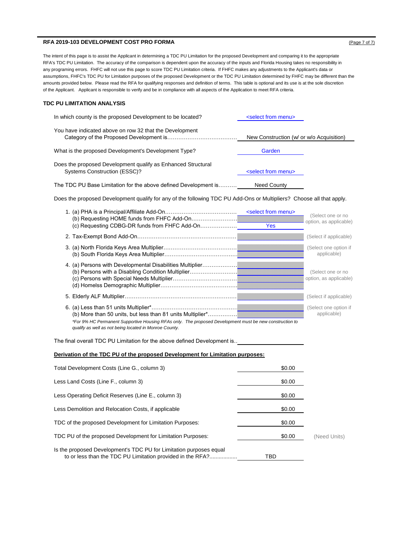### **RFA 2019-103 DEVELOPMENT COST PRO FORMA** (Page 7 of 7) **Page 7 of 7) (Page 7 of 7)**

The intent of this page is to assist the Applicant in determining a TDC PU Limitation for the proposed Development and comparing it to the appropriate RFA's TDC PU Limitation. The accuracy of the comparison is dependent upon the accuracy of the inputs and Florida Housing takes no responsibility in any programing errors. FHFC will not use this page to score TDC PU Limitation criteria. If FHFC makes any adjustments to the Applicant's data or assumptions, FHFC's TDC PU for Limitation purposes of the proposed Development or the TDC PU Limitation determined by FHFC may be different than the amounts provided below. Please read the RFA for qualifying responses and definition of terms. This table is optional and its use is at the sole discretion of the Applicant. Applicant is responsible to verify and be in compliance with all aspects of the Application to meet RFA criteria.

#### **TDC PU LIMITATION ANALYSIS**

| In which county is the proposed Development to be located?                                   | <select from="" menu=""></select>        |
|----------------------------------------------------------------------------------------------|------------------------------------------|
| You have indicated above on row 32 that the Development                                      | New Construction (w/ or w/o Acquisition) |
| What is the proposed Development's Development Type?                                         | Garden                                   |
| Does the proposed Development qualify as Enhanced Structural<br>Systems Construction (ESSC)? | <select from="" menu=""></select>        |
| The TDC PU Base Limitation for the above defined Development is                              | Need County                              |

Does the proposed Development qualify for any of the following TDC PU Add-Ons or Multipliers? Choose all that apply.

| (c) Requesting CDBG-DR funds from FHFC Add-On                                                                                                                                                                                                                            | <select from="" menu=""><br/>Yes</select> | (Select one or no<br>option, as applicable) |
|--------------------------------------------------------------------------------------------------------------------------------------------------------------------------------------------------------------------------------------------------------------------------|-------------------------------------------|---------------------------------------------|
| 2. Tax-Exempt Bond Add-On.                                                                                                                                                                                                                                               |                                           | (Select if applicable)                      |
|                                                                                                                                                                                                                                                                          |                                           | (Select one option if<br>applicable)        |
| 4. (a) Persons with Developmental Disabilities Multiplier.<br>(b) Persons with a Disabling Condition Multiplier                                                                                                                                                          |                                           | (Select one or no<br>option, as applicable) |
|                                                                                                                                                                                                                                                                          |                                           | (Select if applicable)                      |
| 6. (a) Less than 51 units Multiplier*<br>(b) More than 50 units, but less than 81 units Multiplier*<br>*For 9% HC Permanent Supportive Housing RFAs only. The proposed Development must be new construction to<br>qualify as well as not being located in Monroe County. |                                           | (Select one option if<br>applicable)        |

The final overall TDC PU Limitation for the above defined Development is..

#### **Derivation of the TDC PU of the proposed Development for Limitation purposes:**

| Total Development Costs (Line G., column 3)                                                                                      | \$0.00 |              |
|----------------------------------------------------------------------------------------------------------------------------------|--------|--------------|
| Less Land Costs (Line F., column 3)                                                                                              | \$0.00 |              |
| Less Operating Deficit Reserves (Line E., column 3)                                                                              | \$0.00 |              |
| Less Demolition and Relocation Costs, if applicable                                                                              | \$0.00 |              |
| TDC of the proposed Development for Limitation Purposes:                                                                         | \$0.00 |              |
| TDC PU of the proposed Development for Limitation Purposes:                                                                      | \$0.00 | (Need Units) |
| Is the proposed Development's TDC PU for Limitation purposes equal<br>to or less than the TDC PU Limitation provided in the RFA? | TBD    |              |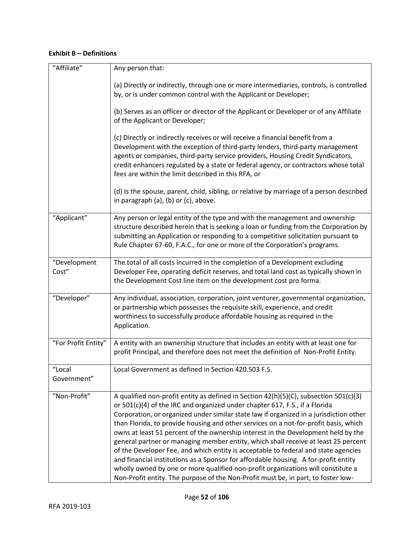# **Exhibit B – Definitions**

| "Affiliate"           | Any person that:                                                                                                                                                                                                                                                                                                                                                                                                                                                                                                                                                                                                                                                                                                                                                                                                                                                                        |
|-----------------------|-----------------------------------------------------------------------------------------------------------------------------------------------------------------------------------------------------------------------------------------------------------------------------------------------------------------------------------------------------------------------------------------------------------------------------------------------------------------------------------------------------------------------------------------------------------------------------------------------------------------------------------------------------------------------------------------------------------------------------------------------------------------------------------------------------------------------------------------------------------------------------------------|
|                       | (a) Directly or indirectly, through one or more intermediaries, controls, is controlled<br>by, or is under common control with the Applicant or Developer;                                                                                                                                                                                                                                                                                                                                                                                                                                                                                                                                                                                                                                                                                                                              |
|                       | (b) Serves as an officer or director of the Applicant or Developer or of any Affiliate<br>of the Applicant or Developer;                                                                                                                                                                                                                                                                                                                                                                                                                                                                                                                                                                                                                                                                                                                                                                |
|                       | (c) Directly or indirectly receives or will receive a financial benefit from a<br>Development with the exception of third-party lenders, third-party management<br>agents or companies, third-party service providers, Housing Credit Syndicators,<br>credit enhancers regulated by a state or federal agency, or contractors whose total<br>fees are within the limit described in this RFA, or                                                                                                                                                                                                                                                                                                                                                                                                                                                                                        |
|                       | (d) Is the spouse, parent, child, sibling, or relative by marriage of a person described<br>in paragraph (a), (b) or (c), above.                                                                                                                                                                                                                                                                                                                                                                                                                                                                                                                                                                                                                                                                                                                                                        |
| "Applicant"           | Any person or legal entity of the type and with the management and ownership<br>structure described herein that is seeking a loan or funding from the Corporation by<br>submitting an Application or responding to a competitive solicitation pursuant to<br>Rule Chapter 67-60, F.A.C., for one or more of the Corporation's programs.                                                                                                                                                                                                                                                                                                                                                                                                                                                                                                                                                 |
| "Development<br>Cost" | The total of all costs incurred in the completion of a Development excluding<br>Developer Fee, operating deficit reserves, and total land cost as typically shown in<br>the Development Cost line item on the development cost pro forma.                                                                                                                                                                                                                                                                                                                                                                                                                                                                                                                                                                                                                                               |
| "Developer"           | Any individual, association, corporation, joint venturer, governmental organization,<br>or partnership which possesses the requisite skill, experience, and credit<br>worthiness to successfully produce affordable housing as required in the<br>Application.                                                                                                                                                                                                                                                                                                                                                                                                                                                                                                                                                                                                                          |
| "For Profit Entity"   | A entity with an ownership structure that includes an entity with at least one for<br>profit Principal, and therefore does not meet the definition of Non-Profit Entity.                                                                                                                                                                                                                                                                                                                                                                                                                                                                                                                                                                                                                                                                                                                |
| "Local<br>Government" | Local Government as defined in Section 420.503 F.S.                                                                                                                                                                                                                                                                                                                                                                                                                                                                                                                                                                                                                                                                                                                                                                                                                                     |
| "Non-Profit"          | A qualified non-profit entity as defined in Section 42(h)(5)(C), subsection 501(c)(3)<br>or 501(c)(4) of the IRC and organized under chapter 617, F.S., if a Florida<br>Corporation, or organized under similar state law if organized in a jurisdiction other<br>than Florida, to provide housing and other services on a not-for-profit basis, which<br>owns at least 51 percent of the ownership interest in the Development held by the<br>general partner or managing member entity, which shall receive at least 25 percent<br>of the Developer Fee, and which entity is acceptable to federal and state agencies<br>and financial institutions as a Sponsor for affordable housing. A for-profit entity<br>wholly owned by one or more qualified non-profit organizations will constitute a<br>Non-Profit entity. The purpose of the Non-Profit must be, in part, to foster low- |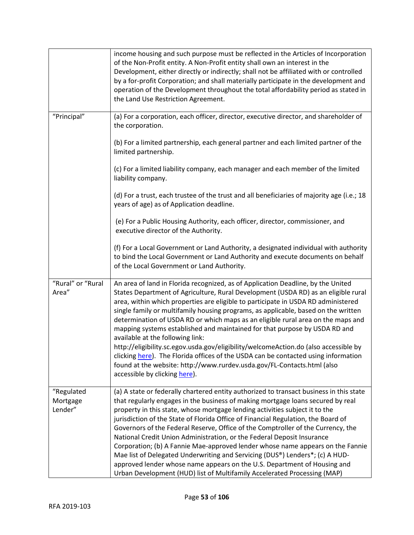|                                   | income housing and such purpose must be reflected in the Articles of Incorporation<br>of the Non-Profit entity. A Non-Profit entity shall own an interest in the<br>Development, either directly or indirectly; shall not be affiliated with or controlled<br>by a for-profit Corporation; and shall materially participate in the development and<br>operation of the Development throughout the total affordability period as stated in<br>the Land Use Restriction Agreement.                                                                                                                                                                                                                                                                                                                                                                  |
|-----------------------------------|---------------------------------------------------------------------------------------------------------------------------------------------------------------------------------------------------------------------------------------------------------------------------------------------------------------------------------------------------------------------------------------------------------------------------------------------------------------------------------------------------------------------------------------------------------------------------------------------------------------------------------------------------------------------------------------------------------------------------------------------------------------------------------------------------------------------------------------------------|
| "Principal"                       | (a) For a corporation, each officer, director, executive director, and shareholder of<br>the corporation.                                                                                                                                                                                                                                                                                                                                                                                                                                                                                                                                                                                                                                                                                                                                         |
|                                   | (b) For a limited partnership, each general partner and each limited partner of the<br>limited partnership.                                                                                                                                                                                                                                                                                                                                                                                                                                                                                                                                                                                                                                                                                                                                       |
|                                   | (c) For a limited liability company, each manager and each member of the limited<br>liability company.                                                                                                                                                                                                                                                                                                                                                                                                                                                                                                                                                                                                                                                                                                                                            |
|                                   | (d) For a trust, each trustee of the trust and all beneficiaries of majority age (i.e.; 18<br>years of age) as of Application deadline.                                                                                                                                                                                                                                                                                                                                                                                                                                                                                                                                                                                                                                                                                                           |
|                                   | (e) For a Public Housing Authority, each officer, director, commissioner, and<br>executive director of the Authority.                                                                                                                                                                                                                                                                                                                                                                                                                                                                                                                                                                                                                                                                                                                             |
|                                   | (f) For a Local Government or Land Authority, a designated individual with authority<br>to bind the Local Government or Land Authority and execute documents on behalf<br>of the Local Government or Land Authority.                                                                                                                                                                                                                                                                                                                                                                                                                                                                                                                                                                                                                              |
| "Rural" or "Rural<br>Area"        | An area of land in Florida recognized, as of Application Deadline, by the United<br>States Department of Agriculture, Rural Development (USDA RD) as an eligible rural<br>area, within which properties are eligible to participate in USDA RD administered<br>single family or multifamily housing programs, as applicable, based on the written<br>determination of USDA RD or which maps as an eligible rural area on the maps and<br>mapping systems established and maintained for that purpose by USDA RD and<br>available at the following link:<br>http://eligibility.sc.egov.usda.gov/eligibility/welcomeAction.do (also accessible by<br>clicking here). The Florida offices of the USDA can be contacted using information<br>found at the website: http://www.rurdev.usda.gov/FL-Contacts.html (also<br>accessible by clicking here). |
| "Regulated<br>Mortgage<br>Lender" | (a) A state or federally chartered entity authorized to transact business in this state<br>that regularly engages in the business of making mortgage loans secured by real<br>property in this state, whose mortgage lending activities subject it to the<br>jurisdiction of the State of Florida Office of Financial Regulation, the Board of<br>Governors of the Federal Reserve, Office of the Comptroller of the Currency, the<br>National Credit Union Administration, or the Federal Deposit Insurance<br>Corporation; (b) A Fannie Mae-approved lender whose name appears on the Fannie<br>Mae list of Delegated Underwriting and Servicing (DUS®) Lenders*; (c) A HUD-<br>approved lender whose name appears on the U.S. Department of Housing and<br>Urban Development (HUD) list of Multifamily Accelerated Processing (MAP)            |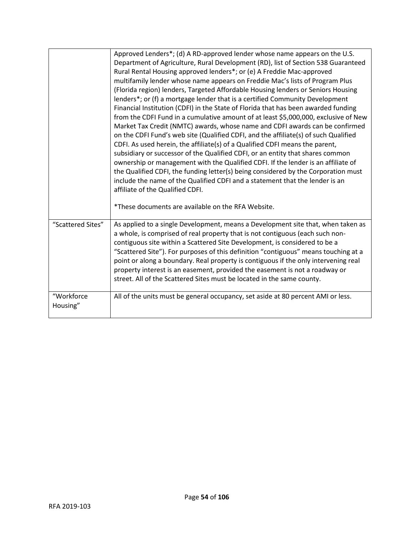|                        | Approved Lenders*; (d) A RD-approved lender whose name appears on the U.S.<br>Department of Agriculture, Rural Development (RD), list of Section 538 Guaranteed<br>Rural Rental Housing approved lenders*; or (e) A Freddie Mac-approved<br>multifamily lender whose name appears on Freddie Mac's lists of Program Plus<br>(Florida region) lenders, Targeted Affordable Housing lenders or Seniors Housing<br>lenders*; or (f) a mortgage lender that is a certified Community Development<br>Financial Institution (CDFI) in the State of Florida that has been awarded funding<br>from the CDFI Fund in a cumulative amount of at least \$5,000,000, exclusive of New<br>Market Tax Credit (NMTC) awards, whose name and CDFI awards can be confirmed<br>on the CDFI Fund's web site (Qualified CDFI, and the affiliate(s) of such Qualified<br>CDFI. As used herein, the affiliate(s) of a Qualified CDFI means the parent,<br>subsidiary or successor of the Qualified CDFI, or an entity that shares common<br>ownership or management with the Qualified CDFI. If the lender is an affiliate of<br>the Qualified CDFI, the funding letter(s) being considered by the Corporation must<br>include the name of the Qualified CDFI and a statement that the lender is an<br>affiliate of the Qualified CDFI. |
|------------------------|-------------------------------------------------------------------------------------------------------------------------------------------------------------------------------------------------------------------------------------------------------------------------------------------------------------------------------------------------------------------------------------------------------------------------------------------------------------------------------------------------------------------------------------------------------------------------------------------------------------------------------------------------------------------------------------------------------------------------------------------------------------------------------------------------------------------------------------------------------------------------------------------------------------------------------------------------------------------------------------------------------------------------------------------------------------------------------------------------------------------------------------------------------------------------------------------------------------------------------------------------------------------------------------------------------------------|
|                        | *These documents are available on the RFA Website.                                                                                                                                                                                                                                                                                                                                                                                                                                                                                                                                                                                                                                                                                                                                                                                                                                                                                                                                                                                                                                                                                                                                                                                                                                                                |
| "Scattered Sites"      | As applied to a single Development, means a Development site that, when taken as<br>a whole, is comprised of real property that is not contiguous (each such non-<br>contiguous site within a Scattered Site Development, is considered to be a<br>"Scattered Site"). For purposes of this definition "contiguous" means touching at a<br>point or along a boundary. Real property is contiguous if the only intervening real<br>property interest is an easement, provided the easement is not a roadway or<br>street. All of the Scattered Sites must be located in the same county.                                                                                                                                                                                                                                                                                                                                                                                                                                                                                                                                                                                                                                                                                                                            |
| "Workforce<br>Housing" | All of the units must be general occupancy, set aside at 80 percent AMI or less.                                                                                                                                                                                                                                                                                                                                                                                                                                                                                                                                                                                                                                                                                                                                                                                                                                                                                                                                                                                                                                                                                                                                                                                                                                  |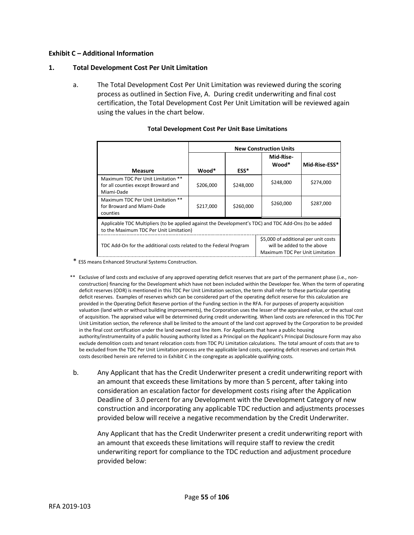## **Exhibit C – Additional Information**

## **1. Total Development Cost Per Unit Limitation**

a. The Total Development Cost Per Unit Limitation was reviewed during the scoring process as outlined in Section Five, A. During credit underwriting and final cost certification, the Total Development Cost Per Unit Limitation will be reviewed again using the values in the chart below.

|                                                                                                                                                                             | <b>New Construction Units</b> |           |                    |               |
|-----------------------------------------------------------------------------------------------------------------------------------------------------------------------------|-------------------------------|-----------|--------------------|---------------|
| <b>Measure</b>                                                                                                                                                              | Wood*                         | ESS*      | Mid-Rise-<br>Wood* | Mid-Rise-ESS* |
| Maximum TDC Per Unit Limitation **<br>for all counties except Broward and<br>Miami-Dade                                                                                     | \$206,000                     | \$248,000 | \$248,000          | \$274,000     |
| Maximum TDC Per Unit Limitation **<br>for Broward and Miami-Dade<br>counties                                                                                                | \$217,000                     | \$260,000 | \$260,000          | \$287,000     |
| Applicable TDC Multipliers (to be applied against the Development's TDC) and TDC Add-Ons (to be added<br>to the Maximum TDC Per Unit Limitation)                            |                               |           |                    |               |
| \$5,000 of additional per unit costs<br>will be added to the above<br>TDC Add-On for the additional costs related to the Federal Program<br>Maximum TDC Per Unit Limitation |                               |           |                    |               |

## **Total Development Cost Per Unit Base Limitations**

\* ESS means Enhanced Structural Systems Construction.

- \*\* Exclusive of land costs and exclusive of any approved operating deficit reserves that are part of the permanent phase (i.e., nonconstruction) financing for the Development which have not been included within the Developer fee. When the term of operating deficit reserves (ODR) is mentioned in this TDC Per Unit Limitation section, the term shall refer to these particular operating deficit reserves. Examples of reserves which can be considered part of the operating deficit reserve for this calculation are provided in the Operating Deficit Reserve portion of the Funding section in the RFA. For purposes of property acquisition valuation (land with or without building improvements), the Corporation uses the lesser of the appraised value, or the actual cost of acquisition. The appraised value will be determined during credit underwriting. When land costs are referenced in this TDC Per Unit Limitation section, the reference shall be limited to the amount of the land cost approved by the Corporation to be provided in the final cost certification under the land owned cost line item. For Applicants that have a public housing authority/instrumentality of a public housing authority listed as a Principal on the Applicant's Principal Disclosure Form may also exclude demolition costs and tenant relocation costs from TDC PU Limitation calculations. The total amount of costs that are to be excluded from the TDC Per Unit Limitation process are the applicable land costs, operating deficit reserves and certain PHA costs described herein are referred to in Exhibit C in the congregate as applicable qualifying costs.
- b. Any Applicant that has the Credit Underwriter present a credit underwriting report with an amount that exceeds these limitations by more than 5 percent, after taking into consideration an escalation factor for development costs rising after the Application Deadline of 3.0 percent for any Development with the Development Category of new construction and incorporating any applicable TDC reduction and adjustments processes provided below will receive a negative recommendation by the Credit Underwriter.

Any Applicant that has the Credit Underwriter present a credit underwriting report with an amount that exceeds these limitations will require staff to review the credit underwriting report for compliance to the TDC reduction and adjustment procedure provided below: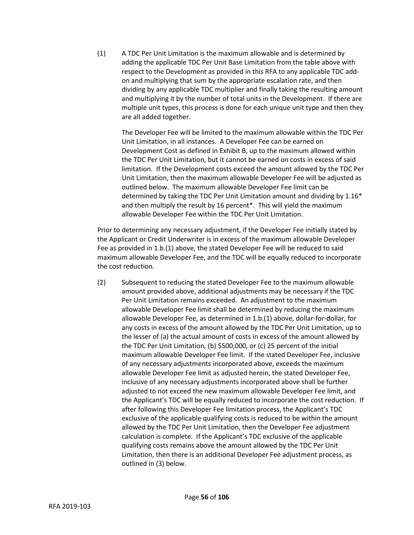(1) A TDC Per Unit Limitation is the maximum allowable and is determined by adding the applicable TDC Per Unit Base Limitation from the table above with respect to the Development as provided in this RFA to any applicable TDC addon and multiplying that sum by the appropriate escalation rate, and then dividing by any applicable TDC multiplier and finally taking the resulting amount and multiplying it by the number of total units in the Development. If there are multiple unit types, this process is done for each unique unit type and then they are all added together.

The Developer Fee will be limited to the maximum allowable within the TDC Per Unit Limitation, in all instances. A Developer Fee can be earned on Development Cost as defined in Exhibit B, up to the maximum allowed within the TDC Per Unit Limitation, but it cannot be earned on costs in excess of said limitation. If the Development costs exceed the amount allowed by the TDC Per Unit Limitation, then the maximum allowable Developer Fee will be adjusted as outlined below. The maximum allowable Developer Fee limit can be determined by taking the TDC Per Unit Limitation amount and dividing by 1.16\* and then multiply the result by 16 percent\*. This will yield the maximum allowable Developer Fee within the TDC Per Unit Limitation.

Prior to determining any necessary adjustment, if the Developer Fee initially stated by the Applicant or Credit Underwriter is in excess of the maximum allowable Developer Fee as provided in 1.b.(1) above, the stated Developer Fee will be reduced to said maximum allowable Developer Fee, and the TDC will be equally reduced to incorporate the cost reduction.

(2) Subsequent to reducing the stated Developer Fee to the maximum allowable amount provided above, additional adjustments may be necessary if the TDC Per Unit Limitation remains exceeded. An adjustment to the maximum allowable Developer Fee limit shall be determined by reducing the maximum allowable Developer Fee, as determined in 1.b.(1) above, dollar-for-dollar, for any costs in excess of the amount allowed by the TDC Per Unit Limitation, up to the lesser of (a) the actual amount of costs in excess of the amount allowed by the TDC Per Unit Limitation, (b) \$500,000, or (c) 25 percent of the initial maximum allowable Developer Fee limit. If the stated Developer Fee, inclusive of any necessary adjustments incorporated above, exceeds the maximum allowable Developer Fee limit as adjusted herein, the stated Developer Fee, inclusive of any necessary adjustments incorporated above shall be further adjusted to not exceed the new maximum allowable Developer Fee limit, and the Applicant's TDC will be equally reduced to incorporate the cost reduction. If after following this Developer Fee limitation process, the Applicant's TDC exclusive of the applicable qualifying costs is reduced to be within the amount allowed by the TDC Per Unit Limitation, then the Developer Fee adjustment calculation is complete. If the Applicant's TDC exclusive of the applicable qualifying costs remains above the amount allowed by the TDC Per Unit Limitation, then there is an additional Developer Fee adjustment process, as outlined in (3) below.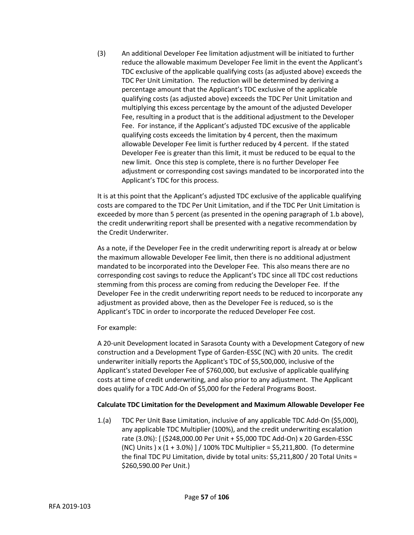(3) An additional Developer Fee limitation adjustment will be initiated to further reduce the allowable maximum Developer Fee limit in the event the Applicant's TDC exclusive of the applicable qualifying costs (as adjusted above) exceeds the TDC Per Unit Limitation. The reduction will be determined by deriving a percentage amount that the Applicant's TDC exclusive of the applicable qualifying costs (as adjusted above) exceeds the TDC Per Unit Limitation and multiplying this excess percentage by the amount of the adjusted Developer Fee, resulting in a product that is the additional adjustment to the Developer Fee. For instance, if the Applicant's adjusted TDC excusive of the applicable qualifying costs exceeds the limitation by 4 percent, then the maximum allowable Developer Fee limit is further reduced by 4 percent. If the stated Developer Fee is greater than this limit, it must be reduced to be equal to the new limit. Once this step is complete, there is no further Developer Fee adjustment or corresponding cost savings mandated to be incorporated into the Applicant's TDC for this process.

It is at this point that the Applicant's adjusted TDC exclusive of the applicable qualifying costs are compared to the TDC Per Unit Limitation, and if the TDC Per Unit Limitation is exceeded by more than 5 percent (as presented in the opening paragraph of 1.b above), the credit underwriting report shall be presented with a negative recommendation by the Credit Underwriter.

As a note, if the Developer Fee in the credit underwriting report is already at or below the maximum allowable Developer Fee limit, then there is no additional adjustment mandated to be incorporated into the Developer Fee. This also means there are no corresponding cost savings to reduce the Applicant's TDC since all TDC cost reductions stemming from this process are coming from reducing the Developer Fee. If the Developer Fee in the credit underwriting report needs to be reduced to incorporate any adjustment as provided above, then as the Developer Fee is reduced, so is the Applicant's TDC in order to incorporate the reduced Developer Fee cost.

For example:

A 20-unit Development located in Sarasota County with a Development Category of new construction and a Development Type of Garden-ESSC (NC) with 20 units. The credit underwriter initially reports the Applicant's TDC of \$5,500,000, inclusive of the Applicant's stated Developer Fee of \$760,000, but exclusive of applicable qualifying costs at time of credit underwriting, and also prior to any adjustment. The Applicant does qualify for a TDC Add-On of \$5,000 for the Federal Programs Boost.

# **Calculate TDC Limitation for the Development and Maximum Allowable Developer Fee**

1.(a) TDC Per Unit Base Limitation, inclusive of any applicable TDC Add-On (\$5,000), any applicable TDC Multiplier (100%), and the credit underwriting escalation rate (3.0%): [ (\$248,000.00 Per Unit + \$5,000 TDC Add-On) x 20 Garden-ESSC (NC) Units ) x (1 + 3.0%) ] / 100% TDC Multiplier = \$5,211,800. (To determine the final TDC PU Limitation, divide by total units: \$5,211,800 / 20 Total Units = \$260,590.00 Per Unit.)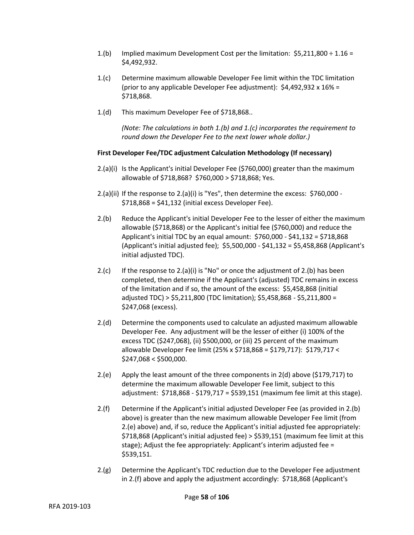- 1.(b) Implied maximum Development Cost per the limitation:  $$5,211,800 \div 1.16 =$ \$4,492,932.
- 1.(c) Determine maximum allowable Developer Fee limit within the TDC limitation (prior to any applicable Developer Fee adjustment):  $$4,492,932 \times 16\% =$ \$718,868.
- 1.(d) This maximum Developer Fee of \$718,868..

*(Note: The calculations in both 1.(b) and 1.(c) incorporates the requirement to round down the Developer Fee to the next lower whole dollar.)*

# **First Developer Fee/TDC adjustment Calculation Methodology (If necessary)**

- 2.(a)(i) Is the Applicant's initial Developer Fee (\$760,000) greater than the maximum allowable of \$718,868? \$760,000 > \$718,868; Yes.
- $2.(a)(ii)$  If the response to  $2.(a)(i)$  is "Yes", then determine the excess: \$760,000 -\$718,868 = \$41,132 (initial excess Developer Fee).
- 2.(b) Reduce the Applicant's initial Developer Fee to the lesser of either the maximum allowable (\$718,868) or the Applicant's initial fee (\$760,000) and reduce the Applicant's initial TDC by an equal amount: \$760,000 - \$41,132 = \$718,868 (Applicant's initial adjusted fee); \$5,500,000 - \$41,132 = \$5,458,868 (Applicant's initial adjusted TDC).
- 2.(c) If the response to 2.(a)(i) is "No" or once the adjustment of 2.(b) has been completed, then determine if the Applicant's (adjusted) TDC remains in excess of the limitation and if so, the amount of the excess: \$5,458,868 (initial adjusted TDC) > \$5,211,800 (TDC limitation); \$5,458,868 - \$5,211,800 = \$247,068 (excess).
- 2.(d) Determine the components used to calculate an adjusted maximum allowable Developer Fee. Any adjustment will be the lesser of either (i) 100% of the excess TDC (\$247,068), (ii) \$500,000, or (iii) 25 percent of the maximum allowable Developer Fee limit (25% x \$718,868 = \$179,717): \$179,717 <  $$247,068 < $500,000$ .
- 2.(e) Apply the least amount of the three components in 2(d) above (\$179,717) to determine the maximum allowable Developer Fee limit, subject to this adjustment: \$718,868 - \$179,717 = \$539,151 (maximum fee limit at this stage).
- 2.(f) Determine if the Applicant's initial adjusted Developer Fee (as provided in 2.(b) above) is greater than the new maximum allowable Developer Fee limit (from 2.(e) above) and, if so, reduce the Applicant's initial adjusted fee appropriately: \$718,868 (Applicant's initial adjusted fee) > \$539,151 (maximum fee limit at this stage); Adjust the fee appropriately: Applicant's interim adjusted fee = \$539,151.
- 2.(g) Determine the Applicant's TDC reduction due to the Developer Fee adjustment in 2.(f) above and apply the adjustment accordingly: \$718,868 (Applicant's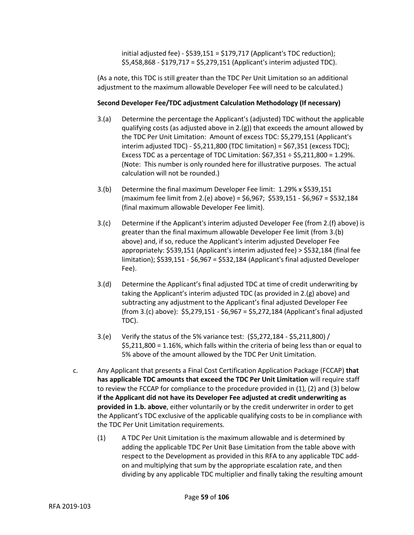initial adjusted fee) - \$539,151 = \$179,717 (Applicant's TDC reduction); \$5,458,868 - \$179,717 = \$5,279,151 (Applicant's interim adjusted TDC).

(As a note, this TDC is still greater than the TDC Per Unit Limitation so an additional adjustment to the maximum allowable Developer Fee will need to be calculated.)

# **Second Developer Fee/TDC adjustment Calculation Methodology (If necessary)**

- 3.(a) Determine the percentage the Applicant's (adjusted) TDC without the applicable qualifying costs (as adjusted above in  $2.(g)$ ) that exceeds the amount allowed by the TDC Per Unit Limitation: Amount of excess TDC: \$5,279,151 (Applicant's interim adjusted TDC) -  $$5,211,800$  (TDC limitation) =  $$67,351$  (excess TDC); Excess TDC as a percentage of TDC Limitation:  $$67,351 \div $5,211,800 = 1.29\%$ . (Note: This number is only rounded here for illustrative purposes. The actual calculation will not be rounded.)
- 3.(b) Determine the final maximum Developer Fee limit: 1.29% x \$539,151 (maximum fee limit from 2.(e) above) = \$6,967; \$539,151 - \$6,967 = \$532,184 (final maximum allowable Developer Fee limit).
- 3.(c) Determine if the Applicant's interim adjusted Developer Fee (from 2.(f) above) is greater than the final maximum allowable Developer Fee limit (from 3.(b) above) and, if so, reduce the Applicant's interim adjusted Developer Fee appropriately: \$539,151 (Applicant's interim adjusted fee) > \$532,184 (final fee limitation); \$539,151 - \$6,967 = \$532,184 (Applicant's final adjusted Developer Fee).
- 3.(d) Determine the Applicant's final adjusted TDC at time of credit underwriting by taking the Applicant's interim adjusted TDC (as provided in 2.(g) above) and subtracting any adjustment to the Applicant's final adjusted Developer Fee (from 3.(c) above): \$5,279,151 - \$6,967 = \$5,272,184 (Applicant's final adjusted TDC).
- 3.(e) Verify the status of the 5% variance test: (\$5,272,184 \$5,211,800) / \$5,211,800 = 1.16%, which falls within the criteria of being less than or equal to 5% above of the amount allowed by the TDC Per Unit Limitation.
- c. Any Applicant that presents a Final Cost Certification Application Package (FCCAP) **that has applicable TDC amounts that exceed the TDC Per Unit Limitation** will require staff to review the FCCAP for compliance to the procedure provided in (1), (2) and (3) below **if the Applicant did not have its Developer Fee adjusted at credit underwriting as provided in 1.b. above**, either voluntarily or by the credit underwriter in order to get the Applicant's TDC exclusive of the applicable qualifying costs to be in compliance with the TDC Per Unit Limitation requirements.
	- (1) A TDC Per Unit Limitation is the maximum allowable and is determined by adding the applicable TDC Per Unit Base Limitation from the table above with respect to the Development as provided in this RFA to any applicable TDC addon and multiplying that sum by the appropriate escalation rate, and then dividing by any applicable TDC multiplier and finally taking the resulting amount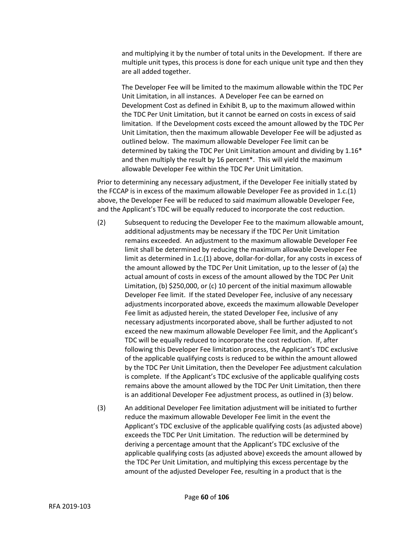and multiplying it by the number of total units in the Development. If there are multiple unit types, this process is done for each unique unit type and then they are all added together.

The Developer Fee will be limited to the maximum allowable within the TDC Per Unit Limitation, in all instances. A Developer Fee can be earned on Development Cost as defined in Exhibit B, up to the maximum allowed within the TDC Per Unit Limitation, but it cannot be earned on costs in excess of said limitation. If the Development costs exceed the amount allowed by the TDC Per Unit Limitation, then the maximum allowable Developer Fee will be adjusted as outlined below. The maximum allowable Developer Fee limit can be determined by taking the TDC Per Unit Limitation amount and dividing by 1.16\* and then multiply the result by 16 percent\*. This will yield the maximum allowable Developer Fee within the TDC Per Unit Limitation.

Prior to determining any necessary adjustment, if the Developer Fee initially stated by the FCCAP is in excess of the maximum allowable Developer Fee as provided in 1.c.(1) above, the Developer Fee will be reduced to said maximum allowable Developer Fee, and the Applicant's TDC will be equally reduced to incorporate the cost reduction.

- (2) Subsequent to reducing the Developer Fee to the maximum allowable amount, additional adjustments may be necessary if the TDC Per Unit Limitation remains exceeded. An adjustment to the maximum allowable Developer Fee limit shall be determined by reducing the maximum allowable Developer Fee limit as determined in 1.c.(1) above, dollar-for-dollar, for any costs in excess of the amount allowed by the TDC Per Unit Limitation, up to the lesser of (a) the actual amount of costs in excess of the amount allowed by the TDC Per Unit Limitation, (b) \$250,000, or (c) 10 percent of the initial maximum allowable Developer Fee limit. If the stated Developer Fee, inclusive of any necessary adjustments incorporated above, exceeds the maximum allowable Developer Fee limit as adjusted herein, the stated Developer Fee, inclusive of any necessary adjustments incorporated above, shall be further adjusted to not exceed the new maximum allowable Developer Fee limit, and the Applicant's TDC will be equally reduced to incorporate the cost reduction. If, after following this Developer Fee limitation process, the Applicant's TDC exclusive of the applicable qualifying costs is reduced to be within the amount allowed by the TDC Per Unit Limitation, then the Developer Fee adjustment calculation is complete. If the Applicant's TDC exclusive of the applicable qualifying costs remains above the amount allowed by the TDC Per Unit Limitation, then there is an additional Developer Fee adjustment process, as outlined in (3) below.
- (3) An additional Developer Fee limitation adjustment will be initiated to further reduce the maximum allowable Developer Fee limit in the event the Applicant's TDC exclusive of the applicable qualifying costs (as adjusted above) exceeds the TDC Per Unit Limitation. The reduction will be determined by deriving a percentage amount that the Applicant's TDC exclusive of the applicable qualifying costs (as adjusted above) exceeds the amount allowed by the TDC Per Unit Limitation, and multiplying this excess percentage by the amount of the adjusted Developer Fee, resulting in a product that is the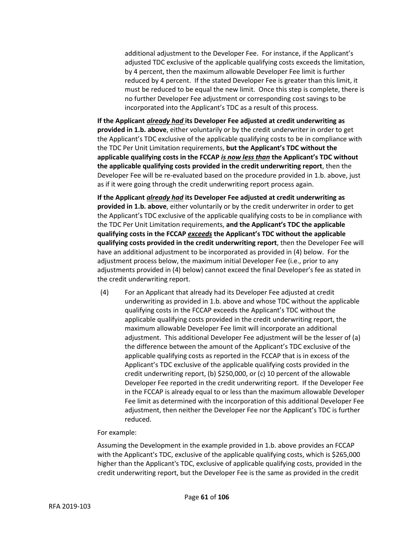additional adjustment to the Developer Fee. For instance, if the Applicant's adjusted TDC exclusive of the applicable qualifying costs exceeds the limitation, by 4 percent, then the maximum allowable Developer Fee limit is further reduced by 4 percent. If the stated Developer Fee is greater than this limit, it must be reduced to be equal the new limit. Once this step is complete, there is no further Developer Fee adjustment or corresponding cost savings to be incorporated into the Applicant's TDC as a result of this process.

**If the Applicant** *already had* **its Developer Fee adjusted at credit underwriting as provided in 1.b. above**, either voluntarily or by the credit underwriter in order to get the Applicant's TDC exclusive of the applicable qualifying costs to be in compliance with the TDC Per Unit Limitation requirements, **but the Applicant's TDC without the applicable qualifying costs in the FCCAP** *is now less than* **the Applicant's TDC without the applicable qualifying costs provided in the credit underwriting report**, then the Developer Fee will be re-evaluated based on the procedure provided in 1.b. above, just as if it were going through the credit underwriting report process again.

**If the Applicant** *already had* **its Developer Fee adjusted at credit underwriting as provided in 1.b. above**, either voluntarily or by the credit underwriter in order to get the Applicant's TDC exclusive of the applicable qualifying costs to be in compliance with the TDC Per Unit Limitation requirements, **and the Applicant's TDC the applicable qualifying costs in the FCCAP** *exceeds* **the Applicant's TDC without the applicable qualifying costs provided in the credit underwriting report**, then the Developer Fee will have an additional adjustment to be incorporated as provided in (4) below. For the adjustment process below, the maximum initial Developer Fee (i.e., prior to any adjustments provided in (4) below) cannot exceed the final Developer's fee as stated in the credit underwriting report.

(4) For an Applicant that already had its Developer Fee adjusted at credit underwriting as provided in 1.b. above and whose TDC without the applicable qualifying costs in the FCCAP exceeds the Applicant's TDC without the applicable qualifying costs provided in the credit underwriting report, the maximum allowable Developer Fee limit will incorporate an additional adjustment. This additional Developer Fee adjustment will be the lesser of (a) the difference between the amount of the Applicant's TDC exclusive of the applicable qualifying costs as reported in the FCCAP that is in excess of the Applicant's TDC exclusive of the applicable qualifying costs provided in the credit underwriting report, (b) \$250,000, or (c) 10 percent of the allowable Developer Fee reported in the credit underwriting report. If the Developer Fee in the FCCAP is already equal to or less than the maximum allowable Developer Fee limit as determined with the incorporation of this additional Developer Fee adjustment, then neither the Developer Fee nor the Applicant's TDC is further reduced.

## For example:

Assuming the Development in the example provided in 1.b. above provides an FCCAP with the Applicant's TDC, exclusive of the applicable qualifying costs, which is \$265,000 higher than the Applicant's TDC, exclusive of applicable qualifying costs, provided in the credit underwriting report, but the Developer Fee is the same as provided in the credit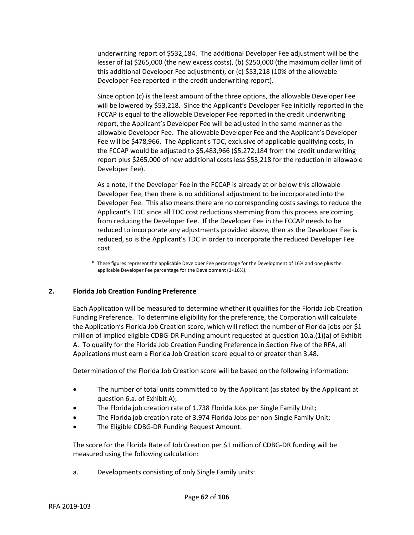underwriting report of \$532,184. The additional Developer Fee adjustment will be the lesser of (a) \$265,000 (the new excess costs), (b) \$250,000 (the maximum dollar limit of this additional Developer Fee adjustment), or (c) \$53,218 (10% of the allowable Developer Fee reported in the credit underwriting report).

Since option (c) is the least amount of the three options, the allowable Developer Fee will be lowered by \$53,218. Since the Applicant's Developer Fee initially reported in the FCCAP is equal to the allowable Developer Fee reported in the credit underwriting report, the Applicant's Developer Fee will be adjusted in the same manner as the allowable Developer Fee. The allowable Developer Fee and the Applicant's Developer Fee will be \$478,966. The Applicant's TDC, exclusive of applicable qualifying costs, in the FCCAP would be adjusted to \$5,483,966 (\$5,272,184 from the credit underwriting report plus \$265,000 of new additional costs less \$53,218 for the reduction in allowable Developer Fee).

As a note, if the Developer Fee in the FCCAP is already at or below this allowable Developer Fee, then there is no additional adjustment to be incorporated into the Developer Fee. This also means there are no corresponding costs savings to reduce the Applicant's TDC since all TDC cost reductions stemming from this process are coming from reducing the Developer Fee. If the Developer Fee in the FCCAP needs to be reduced to incorporate any adjustments provided above, then as the Developer Fee is reduced, so is the Applicant's TDC in order to incorporate the reduced Developer Fee cost.

\* These figures represent the applicable Developer Fee percentage for the Development of 16% and one plus the applicable Developer Fee percentage for the Development (1+16%).

# **2. Florida Job Creation Funding Preference**

Each Application will be measured to determine whether it qualifies for the Florida Job Creation Funding Preference. To determine eligibility for the preference, the Corporation will calculate the Application's Florida Job Creation score, which will reflect the number of Florida jobs per \$1 million of implied eligible CDBG-DR Funding amount requested at question 10.a.(1)(a) of Exhibit A. To qualify for the Florida Job Creation Funding Preference in Section Five of the RFA, all Applications must earn a Florida Job Creation score equal to or greater than 3.48.

Determination of the Florida Job Creation score will be based on the following information:

- The number of total units committed to by the Applicant (as stated by the Applicant at question 6.a. of Exhibit A);
- The Florida job creation rate of 1.738 Florida Jobs per Single Family Unit;
- The Florida job creation rate of 3.974 Florida Jobs per non-Single Family Unit;
- The Eligible CDBG-DR Funding Request Amount.

The score for the Florida Rate of Job Creation per \$1 million of CDBG-DR funding will be measured using the following calculation:

a. Developments consisting of only Single Family units: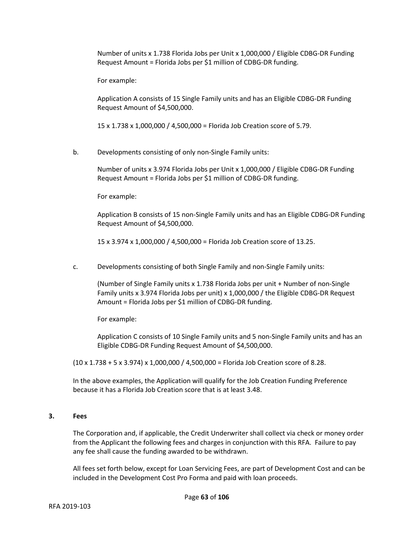Number of units x 1.738 Florida Jobs per Unit x 1,000,000 / Eligible CDBG-DR Funding Request Amount = Florida Jobs per \$1 million of CDBG-DR funding.

For example:

Application A consists of 15 Single Family units and has an Eligible CDBG-DR Funding Request Amount of \$4,500,000.

15 x 1.738 x 1,000,000 / 4,500,000 = Florida Job Creation score of 5.79.

b. Developments consisting of only non-Single Family units:

Number of units x 3.974 Florida Jobs per Unit x 1,000,000 / Eligible CDBG-DR Funding Request Amount = Florida Jobs per \$1 million of CDBG-DR funding.

For example:

Application B consists of 15 non-Single Family units and has an Eligible CDBG-DR Funding Request Amount of \$4,500,000.

15 x 3.974 x 1,000,000 / 4,500,000 = Florida Job Creation score of 13.25.

c. Developments consisting of both Single Family and non-Single Family units:

(Number of Single Family units x 1.738 Florida Jobs per unit + Number of non-Single Family units x 3.974 Florida Jobs per unit) x 1,000,000 / the Eligible CDBG-DR Request Amount = Florida Jobs per \$1 million of CDBG-DR funding.

For example:

Application C consists of 10 Single Family units and 5 non-Single Family units and has an Eligible CDBG-DR Funding Request Amount of \$4,500,000.

(10 x 1.738 + 5 x 3.974) x 1,000,000 / 4,500,000 = Florida Job Creation score of 8.28.

In the above examples, the Application will qualify for the Job Creation Funding Preference because it has a Florida Job Creation score that is at least 3.48.

# **3. Fees**

The Corporation and, if applicable, the Credit Underwriter shall collect via check or money order from the Applicant the following fees and charges in conjunction with this RFA. Failure to pay any fee shall cause the funding awarded to be withdrawn.

All fees set forth below, except for Loan Servicing Fees, are part of Development Cost and can be included in the Development Cost Pro Forma and paid with loan proceeds.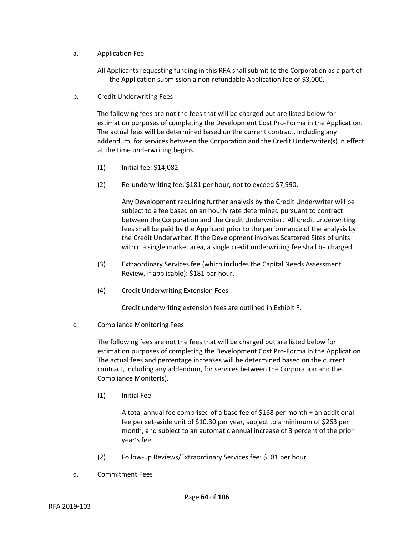- a. Application Fee
	- All Applicants requesting funding in this RFA shall submit to the Corporation as a part of the Application submission a non-refundable Application fee of \$3,000.
- b. Credit Underwriting Fees

The following fees are not the fees that will be charged but are listed below for estimation purposes of completing the Development Cost Pro-Forma in the Application. The actual fees will be determined based on the current contract, including any addendum, for services between the Corporation and the Credit Underwriter(s) in effect at the time underwriting begins.

- (1) Initial fee: \$14,082
- (2) Re-underwriting fee: \$181 per hour, not to exceed \$7,990.

Any Development requiring further analysis by the Credit Underwriter will be subject to a fee based on an hourly rate determined pursuant to contract between the Corporation and the Credit Underwriter. All credit underwriting fees shall be paid by the Applicant prior to the performance of the analysis by the Credit Underwriter. If the Development involves Scattered Sites of units within a single market area, a single credit underwriting fee shall be charged.

- (3) Extraordinary Services fee (which includes the Capital Needs Assessment Review, if applicable): \$181 per hour.
- (4) Credit Underwriting Extension Fees

Credit underwriting extension fees are outlined in Exhibit F.

c. Compliance Monitoring Fees

The following fees are not the fees that will be charged but are listed below for estimation purposes of completing the Development Cost Pro-Forma in the Application. The actual fees and percentage increases will be determined based on the current contract, including any addendum, for services between the Corporation and the Compliance Monitor(s).

(1) Initial Fee

A total annual fee comprised of a base fee of \$168 per month + an additional fee per set-aside unit of \$10.30 per year, subject to a minimum of \$263 per month, and subject to an automatic annual increase of 3 percent of the prior year's fee

- (2) Follow-up Reviews/Extraordinary Services fee: \$181 per hour
- d. Commitment Fees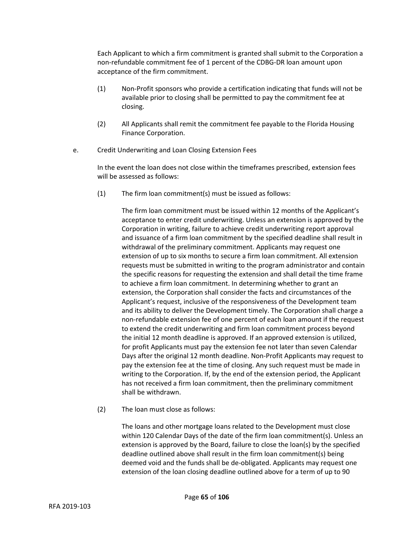Each Applicant to which a firm commitment is granted shall submit to the Corporation a non-refundable commitment fee of 1 percent of the CDBG-DR loan amount upon acceptance of the firm commitment.

- (1) Non-Profit sponsors who provide a certification indicating that funds will not be available prior to closing shall be permitted to pay the commitment fee at closing.
- (2) All Applicants shall remit the commitment fee payable to the Florida Housing Finance Corporation.
- e. Credit Underwriting and Loan Closing Extension Fees

In the event the loan does not close within the timeframes prescribed, extension fees will be assessed as follows:

(1) The firm loan commitment(s) must be issued as follows:

The firm loan commitment must be issued within 12 months of the Applicant's acceptance to enter credit underwriting. Unless an extension is approved by the Corporation in writing, failure to achieve credit underwriting report approval and issuance of a firm loan commitment by the specified deadline shall result in withdrawal of the preliminary commitment. Applicants may request one extension of up to six months to secure a firm loan commitment. All extension requests must be submitted in writing to the program administrator and contain the specific reasons for requesting the extension and shall detail the time frame to achieve a firm loan commitment. In determining whether to grant an extension, the Corporation shall consider the facts and circumstances of the Applicant's request, inclusive of the responsiveness of the Development team and its ability to deliver the Development timely. The Corporation shall charge a non-refundable extension fee of one percent of each loan amount if the request to extend the credit underwriting and firm loan commitment process beyond the initial 12 month deadline is approved. If an approved extension is utilized, for profit Applicants must pay the extension fee not later than seven Calendar Days after the original 12 month deadline. Non-Profit Applicants may request to pay the extension fee at the time of closing. Any such request must be made in writing to the Corporation. If, by the end of the extension period, the Applicant has not received a firm loan commitment, then the preliminary commitment shall be withdrawn.

(2) The loan must close as follows:

The loans and other mortgage loans related to the Development must close within 120 Calendar Days of the date of the firm loan commitment(s). Unless an extension is approved by the Board, failure to close the loan(s) by the specified deadline outlined above shall result in the firm loan commitment(s) being deemed void and the funds shall be de-obligated. Applicants may request one extension of the loan closing deadline outlined above for a term of up to 90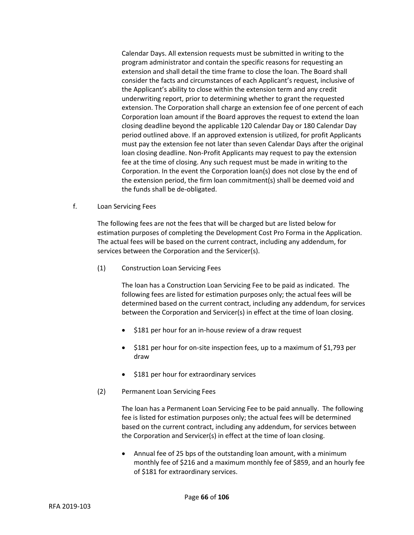Calendar Days. All extension requests must be submitted in writing to the program administrator and contain the specific reasons for requesting an extension and shall detail the time frame to close the loan. The Board shall consider the facts and circumstances of each Applicant's request, inclusive of the Applicant's ability to close within the extension term and any credit underwriting report, prior to determining whether to grant the requested extension. The Corporation shall charge an extension fee of one percent of each Corporation loan amount if the Board approves the request to extend the loan closing deadline beyond the applicable 120 Calendar Day or 180 Calendar Day period outlined above. If an approved extension is utilized, for profit Applicants must pay the extension fee not later than seven Calendar Days after the original loan closing deadline. Non-Profit Applicants may request to pay the extension fee at the time of closing. Any such request must be made in writing to the Corporation. In the event the Corporation loan(s) does not close by the end of the extension period, the firm loan commitment(s) shall be deemed void and the funds shall be de-obligated.

f. Loan Servicing Fees

The following fees are not the fees that will be charged but are listed below for estimation purposes of completing the Development Cost Pro Forma in the Application. The actual fees will be based on the current contract, including any addendum, for services between the Corporation and the Servicer(s).

(1) Construction Loan Servicing Fees

The loan has a Construction Loan Servicing Fee to be paid as indicated. The following fees are listed for estimation purposes only; the actual fees will be determined based on the current contract, including any addendum, for services between the Corporation and Servicer(s) in effect at the time of loan closing.

- \$181 per hour for an in-house review of a draw request
- \$181 per hour for on-site inspection fees, up to a maximum of \$1,793 per draw
- \$181 per hour for extraordinary services
- (2) Permanent Loan Servicing Fees

The loan has a Permanent Loan Servicing Fee to be paid annually. The following fee is listed for estimation purposes only; the actual fees will be determined based on the current contract, including any addendum, for services between the Corporation and Servicer(s) in effect at the time of loan closing.

• Annual fee of 25 bps of the outstanding loan amount, with a minimum monthly fee of \$216 and a maximum monthly fee of \$859, and an hourly fee of \$181 for extraordinary services.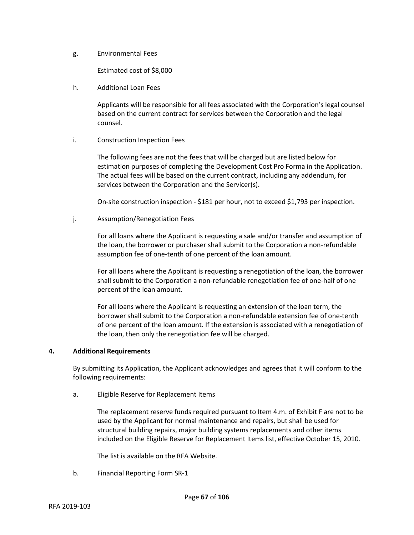g. Environmental Fees

Estimated cost of \$8,000

h. Additional Loan Fees

Applicants will be responsible for all fees associated with the Corporation's legal counsel based on the current contract for services between the Corporation and the legal counsel.

i. Construction Inspection Fees

The following fees are not the fees that will be charged but are listed below for estimation purposes of completing the Development Cost Pro Forma in the Application. The actual fees will be based on the current contract, including any addendum, for services between the Corporation and the Servicer(s).

On-site construction inspection - \$181 per hour, not to exceed \$1,793 per inspection.

j. Assumption/Renegotiation Fees

For all loans where the Applicant is requesting a sale and/or transfer and assumption of the loan, the borrower or purchaser shall submit to the Corporation a non-refundable assumption fee of one-tenth of one percent of the loan amount.

For all loans where the Applicant is requesting a renegotiation of the loan, the borrower shall submit to the Corporation a non-refundable renegotiation fee of one-half of one percent of the loan amount.

For all loans where the Applicant is requesting an extension of the loan term, the borrower shall submit to the Corporation a non-refundable extension fee of one-tenth of one percent of the loan amount. If the extension is associated with a renegotiation of the loan, then only the renegotiation fee will be charged.

#### **4. Additional Requirements**

By submitting its Application, the Applicant acknowledges and agrees that it will conform to the following requirements:

a. Eligible Reserve for Replacement Items

The replacement reserve funds required pursuant to Item 4.m. of Exhibit F are not to be used by the Applicant for normal maintenance and repairs, but shall be used for structural building repairs, major building systems replacements and other items included on the Eligible Reserve for Replacement Items list, effective October 15, 2010.

The list is available on the RFA Website.

b. Financial Reporting Form SR-1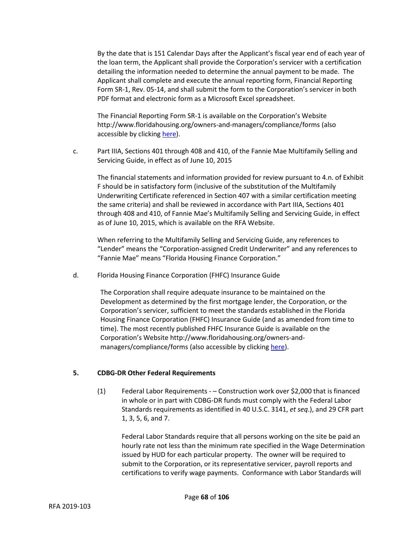By the date that is 151 Calendar Days after the Applicant's fiscal year end of each year of the loan term, the Applicant shall provide the Corporation's servicer with a certification detailing the information needed to determine the annual payment to be made. The Applicant shall complete and execute the annual reporting form, Financial Reporting Form SR-1, Rev. 05-14, and shall submit the form to the Corporation's servicer in both PDF format and electronic form as a Microsoft Excel spreadsheet.

The Financial Reporting Form SR-1 is available on the Corporation's Website http://www.floridahousing.org/owners-and-managers/compliance/forms (also accessible by clicking [here\)](http://www.floridahousing.org/owners-and-managers/compliance/forms).

c. Part IIIA, Sections 401 through 408 and 410, of the Fannie Mae Multifamily Selling and Servicing Guide, in effect as of June 10, 2015

The financial statements and information provided for review pursuant to 4.n. of Exhibit F should be in satisfactory form (inclusive of the substitution of the Multifamily Underwriting Certificate referenced in Section 407 with a similar certification meeting the same criteria) and shall be reviewed in accordance with Part IIIA, Sections 401 through 408 and 410, of Fannie Mae's Multifamily Selling and Servicing Guide, in effect as of June 10, 2015, which is available on the RFA Website.

When referring to the Multifamily Selling and Servicing Guide, any references to "Lender" means the "Corporation-assigned Credit Underwriter" and any references to "Fannie Mae" means "Florida Housing Finance Corporation."

d. Florida Housing Finance Corporation (FHFC) Insurance Guide

The Corporation shall require adequate insurance to be maintained on the Development as determined by the first mortgage lender, the Corporation, or the Corporation's servicer, sufficient to meet the standards established in the Florida Housing Finance Corporation (FHFC) Insurance Guide (and as amended from time to time). The most recently published FHFC Insurance Guide is available on the Corporation's Website http://www.floridahousing.org/owners-andmanagers/compliance/forms (also accessible by clickin[g here\)](http://www.floridahousing.org/owners-and-managers/compliance/forms).

## **5. CDBG-DR Other Federal Requirements**

(1) Federal Labor Requirements - – Construction work over \$2,000 that is financed in whole or in part with CDBG-DR funds must comply with the Federal Labor Standards requirements as identified in 40 U.S.C. 3141, *et seq*.), and 29 CFR part 1, 3, 5, 6, and 7.

Federal Labor Standards require that all persons working on the site be paid an hourly rate not less than the minimum rate specified in the Wage Determination issued by HUD for each particular property. The owner will be required to submit to the Corporation, or its representative servicer, payroll reports and certifications to verify wage payments. Conformance with Labor Standards will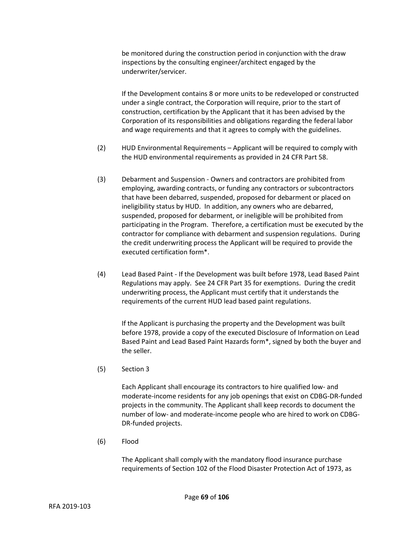be monitored during the construction period in conjunction with the draw inspections by the consulting engineer/architect engaged by the underwriter/servicer.

If the Development contains 8 or more units to be redeveloped or constructed under a single contract, the Corporation will require, prior to the start of construction, certification by the Applicant that it has been advised by the Corporation of its responsibilities and obligations regarding the federal labor and wage requirements and that it agrees to comply with the guidelines.

- (2) HUD Environmental Requirements Applicant will be required to comply with the HUD environmental requirements as provided in 24 CFR Part 58.
- (3) Debarment and Suspension Owners and contractors are prohibited from employing, awarding contracts, or funding any contractors or subcontractors that have been debarred, suspended, proposed for debarment or placed on ineligibility status by HUD. In addition, any owners who are debarred, suspended, proposed for debarment, or ineligible will be prohibited from participating in the Program. Therefore, a certification must be executed by the contractor for compliance with debarment and suspension regulations. During the credit underwriting process the Applicant will be required to provide the executed certification form\*.
- (4) Lead Based Paint If the Development was built before 1978, Lead Based Paint Regulations may apply. See 24 CFR Part 35 for exemptions. During the credit underwriting process, the Applicant must certify that it understands the requirements of the current HUD lead based paint regulations.

If the Applicant is purchasing the property and the Development was built before 1978, provide a copy of the executed Disclosure of Information on Lead Based Paint and Lead Based Paint Hazards form\*, signed by both the buyer and the seller.

(5) Section 3

Each Applicant shall encourage its contractors to hire qualified low- and moderate-income residents for any job openings that exist on CDBG-DR-funded projects in the community. The Applicant shall keep records to document the number of low- and moderate-income people who are hired to work on CDBG-DR-funded projects.

(6) Flood

The Applicant shall comply with the mandatory flood insurance purchase requirements of Section 102 of the Flood Disaster Protection Act of 1973, as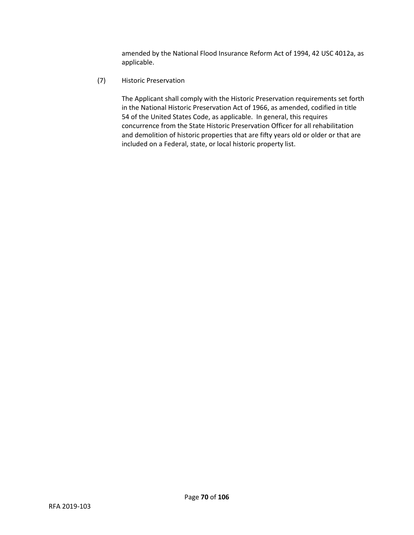amended by the National Flood Insurance Reform Act of 1994, 42 USC 4012a, as applicable.

(7) Historic Preservation

The Applicant shall comply with the Historic Preservation requirements set forth in the National Historic Preservation Act of 1966, as amended, codified in title 54 of the United States Code, as applicable. In general, this requires concurrence from the State Historic Preservation Officer for all rehabilitation and demolition of historic properties that are fifty years old or older or that are included on a Federal, state, or local historic property list.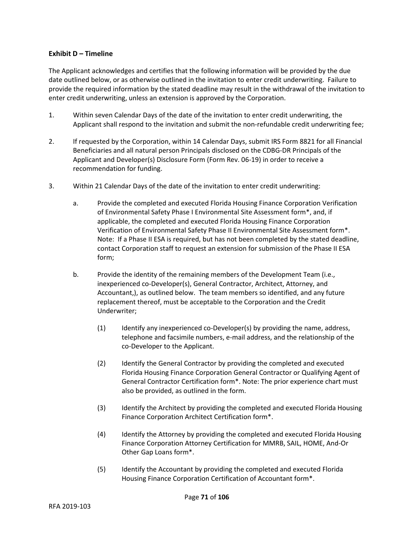## **Exhibit D – Timeline**

The Applicant acknowledges and certifies that the following information will be provided by the due date outlined below, or as otherwise outlined in the invitation to enter credit underwriting. Failure to provide the required information by the stated deadline may result in the withdrawal of the invitation to enter credit underwriting, unless an extension is approved by the Corporation.

- 1. Within seven Calendar Days of the date of the invitation to enter credit underwriting, the Applicant shall respond to the invitation and submit the non-refundable credit underwriting fee;
- 2. If requested by the Corporation, within 14 Calendar Days, submit IRS Form 8821 for all Financial Beneficiaries and all natural person Principals disclosed on the CDBG-DR Principals of the Applicant and Developer(s) Disclosure Form (Form Rev. 06-19) in order to receive a recommendation for funding.
- 3. Within 21 Calendar Days of the date of the invitation to enter credit underwriting:
	- a. Provide the completed and executed Florida Housing Finance Corporation Verification of Environmental Safety Phase I Environmental Site Assessment form\*, and, if applicable, the completed and executed Florida Housing Finance Corporation Verification of Environmental Safety Phase II Environmental Site Assessment form\*. Note: If a Phase II ESA is required, but has not been completed by the stated deadline, contact Corporation staff to request an extension for submission of the Phase II ESA form;
	- b. Provide the identity of the remaining members of the Development Team (i.e., inexperienced co-Developer(s), General Contractor, Architect, Attorney, and Accountant,), as outlined below. The team members so identified, and any future replacement thereof, must be acceptable to the Corporation and the Credit Underwriter;
		- (1) Identify any inexperienced co-Developer(s) by providing the name, address, telephone and facsimile numbers, e-mail address, and the relationship of the co-Developer to the Applicant.
		- (2) Identify the General Contractor by providing the completed and executed Florida Housing Finance Corporation General Contractor or Qualifying Agent of General Contractor Certification form\*. Note: The prior experience chart must also be provided, as outlined in the form.
		- (3) Identify the Architect by providing the completed and executed Florida Housing Finance Corporation Architect Certification form\*.
		- (4) Identify the Attorney by providing the completed and executed Florida Housing Finance Corporation Attorney Certification for MMRB, SAIL, HOME, And-Or Other Gap Loans form\*.
		- (5) Identify the Accountant by providing the completed and executed Florida Housing Finance Corporation Certification of Accountant form\*.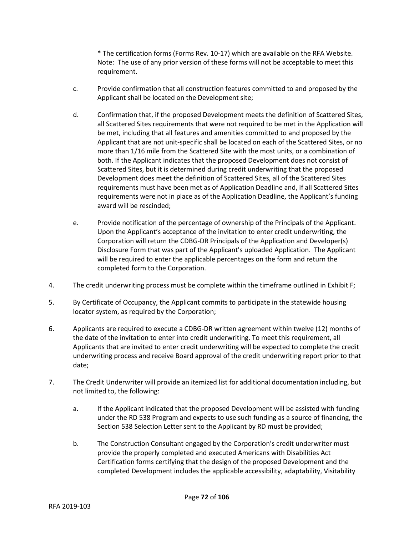\* The certification forms (Forms Rev. 10-17) which are available on the RFA Website. Note: The use of any prior version of these forms will not be acceptable to meet this requirement.

- c. Provide confirmation that all construction features committed to and proposed by the Applicant shall be located on the Development site;
- d. Confirmation that, if the proposed Development meets the definition of Scattered Sites, all Scattered Sites requirements that were not required to be met in the Application will be met, including that all features and amenities committed to and proposed by the Applicant that are not unit-specific shall be located on each of the Scattered Sites, or no more than 1/16 mile from the Scattered Site with the most units, or a combination of both. If the Applicant indicates that the proposed Development does not consist of Scattered Sites, but it is determined during credit underwriting that the proposed Development does meet the definition of Scattered Sites, all of the Scattered Sites requirements must have been met as of Application Deadline and, if all Scattered Sites requirements were not in place as of the Application Deadline, the Applicant's funding award will be rescinded;
- e. Provide notification of the percentage of ownership of the Principals of the Applicant. Upon the Applicant's acceptance of the invitation to enter credit underwriting, the Corporation will return the CDBG-DR Principals of the Application and Developer(s) Disclosure Form that was part of the Applicant's uploaded Application. The Applicant will be required to enter the applicable percentages on the form and return the completed form to the Corporation.
- 4. The credit underwriting process must be complete within the timeframe outlined in Exhibit F;
- 5. By Certificate of Occupancy, the Applicant commits to participate in the statewide housing locator system, as required by the Corporation;
- 6. Applicants are required to execute a CDBG-DR written agreement within twelve (12) months of the date of the invitation to enter into credit underwriting. To meet this requirement, all Applicants that are invited to enter credit underwriting will be expected to complete the credit underwriting process and receive Board approval of the credit underwriting report prior to that date;
- 7. The Credit Underwriter will provide an itemized list for additional documentation including, but not limited to, the following:
	- a. If the Applicant indicated that the proposed Development will be assisted with funding under the RD 538 Program and expects to use such funding as a source of financing, the Section 538 Selection Letter sent to the Applicant by RD must be provided;
	- b. The Construction Consultant engaged by the Corporation's credit underwriter must provide the properly completed and executed Americans with Disabilities Act Certification forms certifying that the design of the proposed Development and the completed Development includes the applicable accessibility, adaptability, Visitability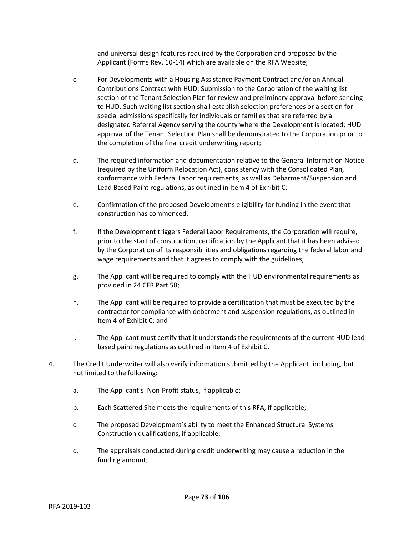and universal design features required by the Corporation and proposed by the Applicant (Forms Rev. 10-14) which are available on the RFA Website;

- c. For Developments with a Housing Assistance Payment Contract and/or an Annual Contributions Contract with HUD: Submission to the Corporation of the waiting list section of the Tenant Selection Plan for review and preliminary approval before sending to HUD. Such waiting list section shall establish selection preferences or a section for special admissions specifically for individuals or families that are referred by a designated Referral Agency serving the county where the Development is located; HUD approval of the Tenant Selection Plan shall be demonstrated to the Corporation prior to the completion of the final credit underwriting report;
- d. The required information and documentation relative to the General Information Notice (required by the Uniform Relocation Act), consistency with the Consolidated Plan, conformance with Federal Labor requirements, as well as Debarment/Suspension and Lead Based Paint regulations, as outlined in Item 4 of Exhibit C;
- e. Confirmation of the proposed Development's eligibility for funding in the event that construction has commenced.
- f. If the Development triggers Federal Labor Requirements, the Corporation will require, prior to the start of construction, certification by the Applicant that it has been advised by the Corporation of its responsibilities and obligations regarding the federal labor and wage requirements and that it agrees to comply with the guidelines;
- g. The Applicant will be required to comply with the HUD environmental requirements as provided in 24 CFR Part 58;
- h. The Applicant will be required to provide a certification that must be executed by the contractor for compliance with debarment and suspension regulations, as outlined in Item 4 of Exhibit C; and
- i. The Applicant must certify that it understands the requirements of the current HUD lead based paint regulations as outlined in Item 4 of Exhibit C.
- 4. The Credit Underwriter will also verify information submitted by the Applicant, including, but not limited to the following:
	- a. The Applicant's Non-Profit status, if applicable;
	- b. Each Scattered Site meets the requirements of this RFA, if applicable;
	- c. The proposed Development's ability to meet the Enhanced Structural Systems Construction qualifications, if applicable;
	- d. The appraisals conducted during credit underwriting may cause a reduction in the funding amount;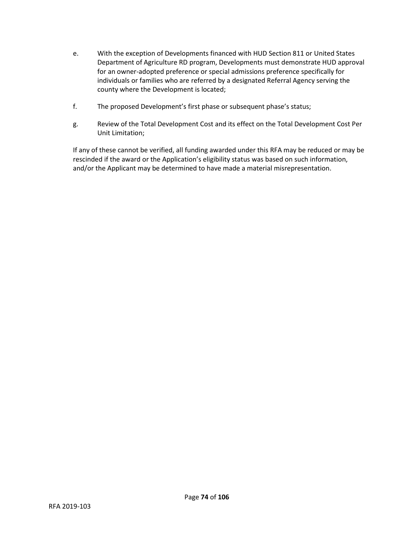- e. With the exception of Developments financed with HUD Section 811 or United States Department of Agriculture RD program, Developments must demonstrate HUD approval for an owner-adopted preference or special admissions preference specifically for individuals or families who are referred by a designated Referral Agency serving the county where the Development is located;
- f. The proposed Development's first phase or subsequent phase's status;
- g. Review of the Total Development Cost and its effect on the Total Development Cost Per Unit Limitation;

If any of these cannot be verified, all funding awarded under this RFA may be reduced or may be rescinded if the award or the Application's eligibility status was based on such information, and/or the Applicant may be determined to have made a material misrepresentation.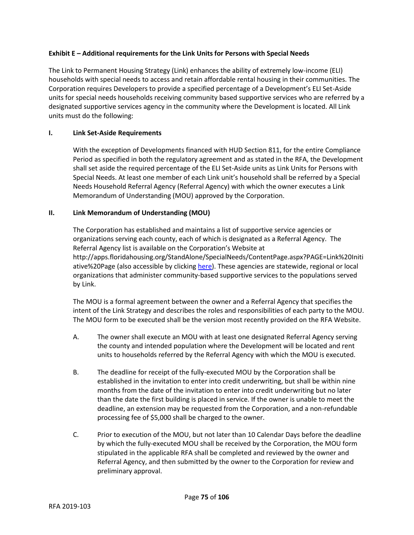## **Exhibit E – Additional requirements for the Link Units for Persons with Special Needs**

The Link to Permanent Housing Strategy (Link) enhances the ability of extremely low-income (ELI) households with special needs to access and retain affordable rental housing in their communities. The Corporation requires Developers to provide a specified percentage of a Development's ELI Set-Aside units for special needs households receiving community based supportive services who are referred by a designated supportive services agency in the community where the Development is located. All Link units must do the following:

# **I. Link Set-Aside Requirements**

With the exception of Developments financed with HUD Section 811, for the entire Compliance Period as specified in both the regulatory agreement and as stated in the RFA, the Development shall set aside the required percentage of the ELI Set-Aside units as Link Units for Persons with Special Needs. At least one member of each Link unit's household shall be referred by a Special Needs Household Referral Agency (Referral Agency) with which the owner executes a Link Memorandum of Understanding (MOU) approved by the Corporation.

# **II. Link Memorandum of Understanding (MOU)**

The Corporation has established and maintains a list of supportive service agencies or organizations serving each county, each of which is designated as a Referral Agency. The Referral Agency list is available on the Corporation's Website at http://apps.floridahousing.org/StandAlone/SpecialNeeds/ContentPage.aspx?PAGE=Link%20Initi ative%20Page (also accessible by clickin[g here\)](http://apps.floridahousing.org/StandAlone/SpecialNeeds/ContentPage.aspx?PAGE=Link%20Initiative%20Page). These agencies are statewide, regional or local organizations that administer community-based supportive services to the populations served by Link.

The MOU is a formal agreement between the owner and a Referral Agency that specifies the intent of the Link Strategy and describes the roles and responsibilities of each party to the MOU. The MOU form to be executed shall be the version most recently provided on the RFA Website.

- A. The owner shall execute an MOU with at least one designated Referral Agency serving the county and intended population where the Development will be located and rent units to households referred by the Referral Agency with which the MOU is executed.
- B. The deadline for receipt of the fully-executed MOU by the Corporation shall be established in the invitation to enter into credit underwriting, but shall be within nine months from the date of the invitation to enter into credit underwriting but no later than the date the first building is placed in service. If the owner is unable to meet the deadline, an extension may be requested from the Corporation, and a non-refundable processing fee of \$5,000 shall be charged to the owner.
- C. Prior to execution of the MOU, but not later than 10 Calendar Days before the deadline by which the fully-executed MOU shall be received by the Corporation, the MOU form stipulated in the applicable RFA shall be completed and reviewed by the owner and Referral Agency, and then submitted by the owner to the Corporation for review and preliminary approval.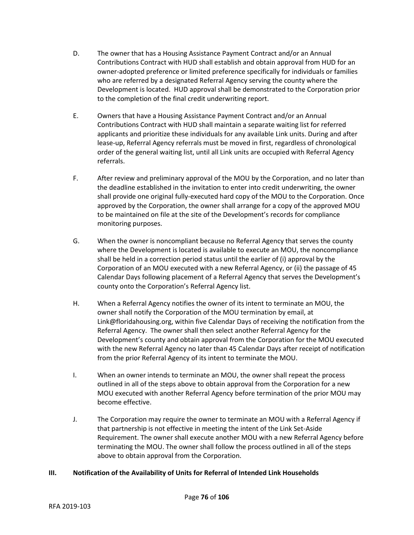- D. The owner that has a Housing Assistance Payment Contract and/or an Annual Contributions Contract with HUD shall establish and obtain approval from HUD for an owner-adopted preference or limited preference specifically for individuals or families who are referred by a designated Referral Agency serving the county where the Development is located. HUD approval shall be demonstrated to the Corporation prior to the completion of the final credit underwriting report.
- E. Owners that have a Housing Assistance Payment Contract and/or an Annual Contributions Contract with HUD shall maintain a separate waiting list for referred applicants and prioritize these individuals for any available Link units. During and after lease-up, Referral Agency referrals must be moved in first, regardless of chronological order of the general waiting list, until all Link units are occupied with Referral Agency referrals.
- F. After review and preliminary approval of the MOU by the Corporation, and no later than the deadline established in the invitation to enter into credit underwriting, the owner shall provide one original fully-executed hard copy of the MOU to the Corporation. Once approved by the Corporation, the owner shall arrange for a copy of the approved MOU to be maintained on file at the site of the Development's records for compliance monitoring purposes.
- G. When the owner is noncompliant because no Referral Agency that serves the county where the Development is located is available to execute an MOU, the noncompliance shall be held in a correction period status until the earlier of (i) approval by the Corporation of an MOU executed with a new Referral Agency, or (ii) the passage of 45 Calendar Days following placement of a Referral Agency that serves the Development's county onto the Corporation's Referral Agency list.
- H. When a Referral Agency notifies the owner of its intent to terminate an MOU, the owner shall notify the Corporation of the MOU termination by email, at Link@floridahousing.org, within five Calendar Days of receiving the notification from the Referral Agency. The owner shall then select another Referral Agency for the Development's county and obtain approval from the Corporation for the MOU executed with the new Referral Agency no later than 45 Calendar Days after receipt of notification from the prior Referral Agency of its intent to terminate the MOU.
- I. When an owner intends to terminate an MOU, the owner shall repeat the process outlined in all of the steps above to obtain approval from the Corporation for a new MOU executed with another Referral Agency before termination of the prior MOU may become effective.
- J. The Corporation may require the owner to terminate an MOU with a Referral Agency if that partnership is not effective in meeting the intent of the Link Set-Aside Requirement. The owner shall execute another MOU with a new Referral Agency before terminating the MOU. The owner shall follow the process outlined in all of the steps above to obtain approval from the Corporation.

## **III. Notification of the Availability of Units for Referral of Intended Link Households**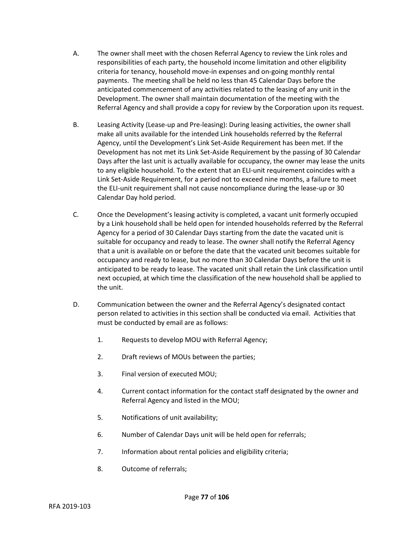- A. The owner shall meet with the chosen Referral Agency to review the Link roles and responsibilities of each party, the household income limitation and other eligibility criteria for tenancy, household move-in expenses and on-going monthly rental payments. The meeting shall be held no less than 45 Calendar Days before the anticipated commencement of any activities related to the leasing of any unit in the Development. The owner shall maintain documentation of the meeting with the Referral Agency and shall provide a copy for review by the Corporation upon its request.
- B. Leasing Activity (Lease-up and Pre-leasing): During leasing activities, the owner shall make all units available for the intended Link households referred by the Referral Agency, until the Development's Link Set-Aside Requirement has been met. If the Development has not met its Link Set-Aside Requirement by the passing of 30 Calendar Days after the last unit is actually available for occupancy, the owner may lease the units to any eligible household. To the extent that an ELI-unit requirement coincides with a Link Set-Aside Requirement, for a period not to exceed nine months, a failure to meet the ELI-unit requirement shall not cause noncompliance during the lease-up or 30 Calendar Day hold period.
- C. Once the Development's leasing activity is completed, a vacant unit formerly occupied by a Link household shall be held open for intended households referred by the Referral Agency for a period of 30 Calendar Days starting from the date the vacated unit is suitable for occupancy and ready to lease. The owner shall notify the Referral Agency that a unit is available on or before the date that the vacated unit becomes suitable for occupancy and ready to lease, but no more than 30 Calendar Days before the unit is anticipated to be ready to lease. The vacated unit shall retain the Link classification until next occupied, at which time the classification of the new household shall be applied to the unit.
- D. Communication between the owner and the Referral Agency's designated contact person related to activities in this section shall be conducted via email. Activities that must be conducted by email are as follows:
	- 1. Requests to develop MOU with Referral Agency;
	- 2. Draft reviews of MOUs between the parties;
	- 3. Final version of executed MOU;
	- 4. Current contact information for the contact staff designated by the owner and Referral Agency and listed in the MOU;
	- 5. Notifications of unit availability;
	- 6. Number of Calendar Days unit will be held open for referrals;
	- 7. Information about rental policies and eligibility criteria;
	- 8. Outcome of referrals;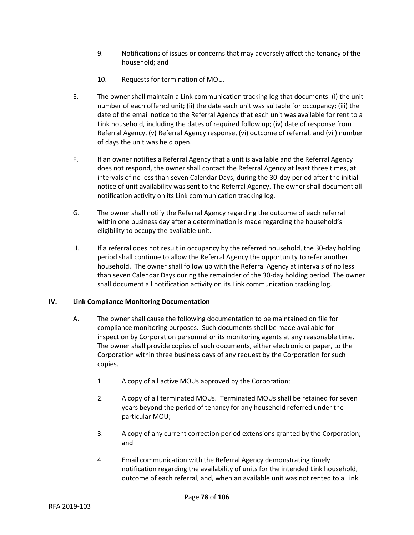- 9. Notifications of issues or concerns that may adversely affect the tenancy of the household; and
- 10. Requests for termination of MOU.
- E. The owner shall maintain a Link communication tracking log that documents: (i) the unit number of each offered unit; (ii) the date each unit was suitable for occupancy; (iii) the date of the email notice to the Referral Agency that each unit was available for rent to a Link household, including the dates of required follow up; (iv) date of response from Referral Agency, (v) Referral Agency response, (vi) outcome of referral, and (vii) number of days the unit was held open.
- F. If an owner notifies a Referral Agency that a unit is available and the Referral Agency does not respond, the owner shall contact the Referral Agency at least three times, at intervals of no less than seven Calendar Days, during the 30-day period after the initial notice of unit availability was sent to the Referral Agency. The owner shall document all notification activity on its Link communication tracking log.
- G. The owner shall notify the Referral Agency regarding the outcome of each referral within one business day after a determination is made regarding the household's eligibility to occupy the available unit.
- H. If a referral does not result in occupancy by the referred household, the 30-day holding period shall continue to allow the Referral Agency the opportunity to refer another household. The owner shall follow up with the Referral Agency at intervals of no less than seven Calendar Days during the remainder of the 30-day holding period. The owner shall document all notification activity on its Link communication tracking log.

## **IV. Link Compliance Monitoring Documentation**

- A. The owner shall cause the following documentation to be maintained on file for compliance monitoring purposes. Such documents shall be made available for inspection by Corporation personnel or its monitoring agents at any reasonable time. The owner shall provide copies of such documents, either electronic or paper, to the Corporation within three business days of any request by the Corporation for such copies.
	- 1. A copy of all active MOUs approved by the Corporation;
	- 2. A copy of all terminated MOUs. Terminated MOUs shall be retained for seven years beyond the period of tenancy for any household referred under the particular MOU;
	- 3. A copy of any current correction period extensions granted by the Corporation; and
	- 4. Email communication with the Referral Agency demonstrating timely notification regarding the availability of units for the intended Link household, outcome of each referral, and, when an available unit was not rented to a Link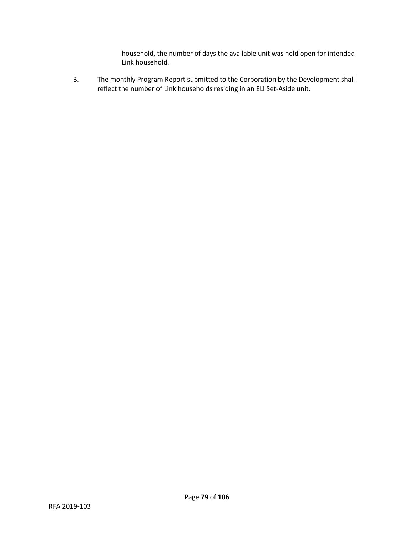household, the number of days the available unit was held open for intended Link household.

B. The monthly Program Report submitted to the Corporation by the Development shall reflect the number of Link households residing in an ELI Set-Aside unit.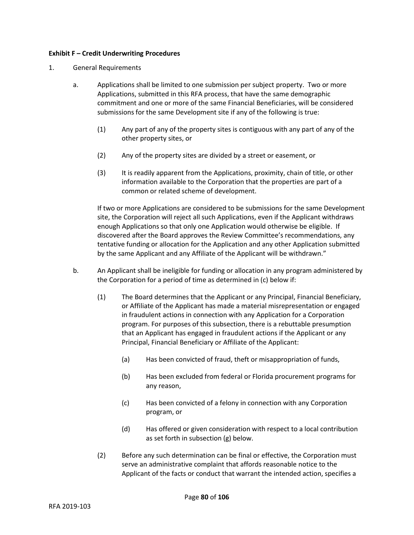#### **Exhibit F – Credit Underwriting Procedures**

#### 1. General Requirements

- a. Applications shall be limited to one submission per subject property. Two or more Applications, submitted in this RFA process, that have the same demographic commitment and one or more of the same Financial Beneficiaries, will be considered submissions for the same Development site if any of the following is true:
	- (1) Any part of any of the property sites is contiguous with any part of any of the other property sites, or
	- (2) Any of the property sites are divided by a street or easement, or
	- (3) It is readily apparent from the Applications, proximity, chain of title, or other information available to the Corporation that the properties are part of a common or related scheme of development.

If two or more Applications are considered to be submissions for the same Development site, the Corporation will reject all such Applications, even if the Applicant withdraws enough Applications so that only one Application would otherwise be eligible. If discovered after the Board approves the Review Committee's recommendations, any tentative funding or allocation for the Application and any other Application submitted by the same Applicant and any Affiliate of the Applicant will be withdrawn."

- b. An Applicant shall be ineligible for funding or allocation in any program administered by the Corporation for a period of time as determined in (c) below if:
	- (1) The Board determines that the Applicant or any Principal, Financial Beneficiary, or Affiliate of the Applicant has made a material misrepresentation or engaged in fraudulent actions in connection with any Application for a Corporation program. For purposes of this subsection, there is a rebuttable presumption that an Applicant has engaged in fraudulent actions if the Applicant or any Principal, Financial Beneficiary or Affiliate of the Applicant:
		- (a) Has been convicted of fraud, theft or misappropriation of funds,
		- (b) Has been excluded from federal or Florida procurement programs for any reason,
		- (c) Has been convicted of a felony in connection with any Corporation program, or
		- (d) Has offered or given consideration with respect to a local contribution as set forth in subsection (g) below.
	- (2) Before any such determination can be final or effective, the Corporation must serve an administrative complaint that affords reasonable notice to the Applicant of the facts or conduct that warrant the intended action, specifies a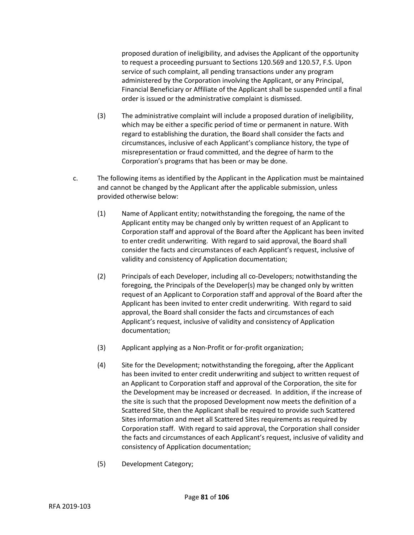proposed duration of ineligibility, and advises the Applicant of the opportunity to request a proceeding pursuant to Sections 120.569 and 120.57, F.S. Upon service of such complaint, all pending transactions under any program administered by the Corporation involving the Applicant, or any Principal, Financial Beneficiary or Affiliate of the Applicant shall be suspended until a final order is issued or the administrative complaint is dismissed.

- (3) The administrative complaint will include a proposed duration of ineligibility, which may be either a specific period of time or permanent in nature. With regard to establishing the duration, the Board shall consider the facts and circumstances, inclusive of each Applicant's compliance history, the type of misrepresentation or fraud committed, and the degree of harm to the Corporation's programs that has been or may be done.
- c. The following items as identified by the Applicant in the Application must be maintained and cannot be changed by the Applicant after the applicable submission, unless provided otherwise below:
	- (1) Name of Applicant entity; notwithstanding the foregoing, the name of the Applicant entity may be changed only by written request of an Applicant to Corporation staff and approval of the Board after the Applicant has been invited to enter credit underwriting. With regard to said approval, the Board shall consider the facts and circumstances of each Applicant's request, inclusive of validity and consistency of Application documentation;
	- (2) Principals of each Developer, including all co-Developers; notwithstanding the foregoing, the Principals of the Developer(s) may be changed only by written request of an Applicant to Corporation staff and approval of the Board after the Applicant has been invited to enter credit underwriting. With regard to said approval, the Board shall consider the facts and circumstances of each Applicant's request, inclusive of validity and consistency of Application documentation;
	- (3) Applicant applying as a Non-Profit or for-profit organization;
	- (4) Site for the Development; notwithstanding the foregoing, after the Applicant has been invited to enter credit underwriting and subject to written request of an Applicant to Corporation staff and approval of the Corporation, the site for the Development may be increased or decreased. In addition, if the increase of the site is such that the proposed Development now meets the definition of a Scattered Site, then the Applicant shall be required to provide such Scattered Sites information and meet all Scattered Sites requirements as required by Corporation staff. With regard to said approval, the Corporation shall consider the facts and circumstances of each Applicant's request, inclusive of validity and consistency of Application documentation;
	- (5) Development Category;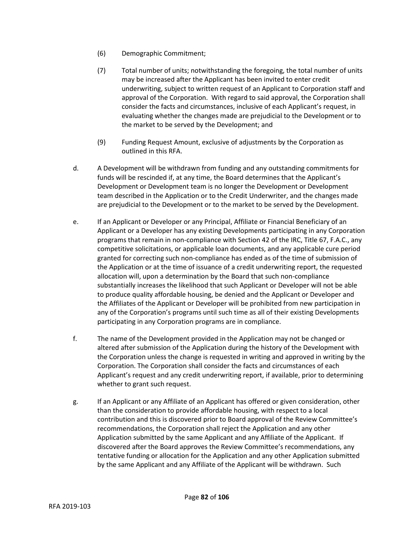- (6) Demographic Commitment;
- (7) Total number of units; notwithstanding the foregoing, the total number of units may be increased after the Applicant has been invited to enter credit underwriting, subject to written request of an Applicant to Corporation staff and approval of the Corporation. With regard to said approval, the Corporation shall consider the facts and circumstances, inclusive of each Applicant's request, in evaluating whether the changes made are prejudicial to the Development or to the market to be served by the Development; and
- (9) Funding Request Amount, exclusive of adjustments by the Corporation as outlined in this RFA.
- d. A Development will be withdrawn from funding and any outstanding commitments for funds will be rescinded if, at any time, the Board determines that the Applicant's Development or Development team is no longer the Development or Development team described in the Application or to the Credit Underwriter, and the changes made are prejudicial to the Development or to the market to be served by the Development.
- e. If an Applicant or Developer or any Principal, Affiliate or Financial Beneficiary of an Applicant or a Developer has any existing Developments participating in any Corporation programs that remain in non-compliance with Section 42 of the IRC, Title 67, F.A.C., any competitive solicitations, or applicable loan documents, and any applicable cure period granted for correcting such non-compliance has ended as of the time of submission of the Application or at the time of issuance of a credit underwriting report, the requested allocation will, upon a determination by the Board that such non-compliance substantially increases the likelihood that such Applicant or Developer will not be able to produce quality affordable housing, be denied and the Applicant or Developer and the Affiliates of the Applicant or Developer will be prohibited from new participation in any of the Corporation's programs until such time as all of their existing Developments participating in any Corporation programs are in compliance.
- f. The name of the Development provided in the Application may not be changed or altered after submission of the Application during the history of the Development with the Corporation unless the change is requested in writing and approved in writing by the Corporation. The Corporation shall consider the facts and circumstances of each Applicant's request and any credit underwriting report, if available, prior to determining whether to grant such request.
- g. If an Applicant or any Affiliate of an Applicant has offered or given consideration, other than the consideration to provide affordable housing, with respect to a local contribution and this is discovered prior to Board approval of the Review Committee's recommendations, the Corporation shall reject the Application and any other Application submitted by the same Applicant and any Affiliate of the Applicant. If discovered after the Board approves the Review Committee's recommendations, any tentative funding or allocation for the Application and any other Application submitted by the same Applicant and any Affiliate of the Applicant will be withdrawn. Such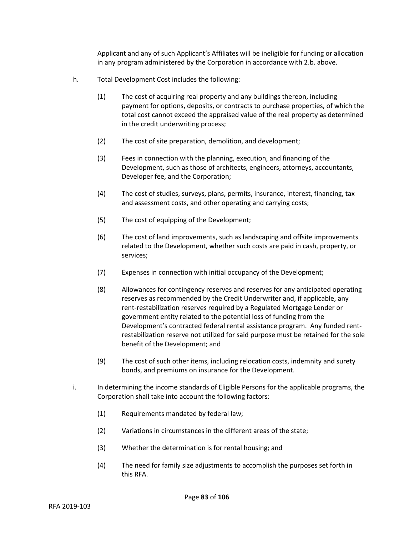Applicant and any of such Applicant's Affiliates will be ineligible for funding or allocation in any program administered by the Corporation in accordance with 2.b. above.

- h. Total Development Cost includes the following:
	- (1) The cost of acquiring real property and any buildings thereon, including payment for options, deposits, or contracts to purchase properties, of which the total cost cannot exceed the appraised value of the real property as determined in the credit underwriting process;
	- (2) The cost of site preparation, demolition, and development;
	- (3) Fees in connection with the planning, execution, and financing of the Development, such as those of architects, engineers, attorneys, accountants, Developer fee, and the Corporation;
	- (4) The cost of studies, surveys, plans, permits, insurance, interest, financing, tax and assessment costs, and other operating and carrying costs;
	- (5) The cost of equipping of the Development;
	- (6) The cost of land improvements, such as landscaping and offsite improvements related to the Development, whether such costs are paid in cash, property, or services;
	- (7) Expenses in connection with initial occupancy of the Development;
	- (8) Allowances for contingency reserves and reserves for any anticipated operating reserves as recommended by the Credit Underwriter and, if applicable, any rent-restabilization reserves required by a Regulated Mortgage Lender or government entity related to the potential loss of funding from the Development's contracted federal rental assistance program. Any funded rentrestabilization reserve not utilized for said purpose must be retained for the sole benefit of the Development; and
	- (9) The cost of such other items, including relocation costs, indemnity and surety bonds, and premiums on insurance for the Development.
- i. In determining the income standards of Eligible Persons for the applicable programs, the Corporation shall take into account the following factors:
	- (1) Requirements mandated by federal law;
	- (2) Variations in circumstances in the different areas of the state;
	- (3) Whether the determination is for rental housing; and
	- (4) The need for family size adjustments to accomplish the purposes set forth in this RFA.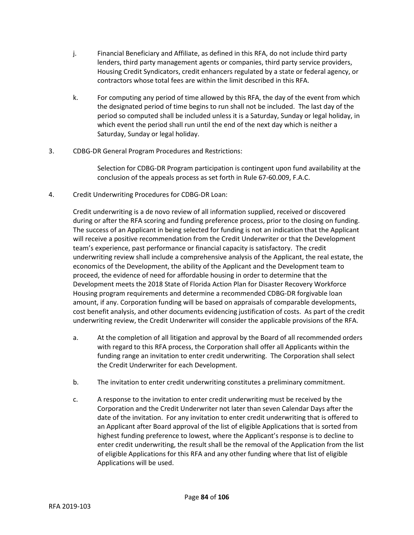- j. Financial Beneficiary and Affiliate, as defined in this RFA, do not include third party lenders, third party management agents or companies, third party service providers, Housing Credit Syndicators, credit enhancers regulated by a state or federal agency, or contractors whose total fees are within the limit described in this RFA.
- k. For computing any period of time allowed by this RFA, the day of the event from which the designated period of time begins to run shall not be included. The last day of the period so computed shall be included unless it is a Saturday, Sunday or legal holiday, in which event the period shall run until the end of the next day which is neither a Saturday, Sunday or legal holiday.
- 3. CDBG-DR General Program Procedures and Restrictions:

Selection for CDBG-DR Program participation is contingent upon fund availability at the conclusion of the appeals process as set forth in Rule 67-60.009, F.A.C.

4. Credit Underwriting Procedures for CDBG-DR Loan:

Credit underwriting is a de novo review of all information supplied, received or discovered during or after the RFA scoring and funding preference process, prior to the closing on funding. The success of an Applicant in being selected for funding is not an indication that the Applicant will receive a positive recommendation from the Credit Underwriter or that the Development team's experience, past performance or financial capacity is satisfactory. The credit underwriting review shall include a comprehensive analysis of the Applicant, the real estate, the economics of the Development, the ability of the Applicant and the Development team to proceed, the evidence of need for affordable housing in order to determine that the Development meets the 2018 State of Florida Action Plan for Disaster Recovery Workforce Housing program requirements and determine a recommended CDBG-DR forgivable loan amount, if any. Corporation funding will be based on appraisals of comparable developments, cost benefit analysis, and other documents evidencing justification of costs. As part of the credit underwriting review, the Credit Underwriter will consider the applicable provisions of the RFA.

- a. At the completion of all litigation and approval by the Board of all recommended orders with regard to this RFA process, the Corporation shall offer all Applicants within the funding range an invitation to enter credit underwriting. The Corporation shall select the Credit Underwriter for each Development.
- b. The invitation to enter credit underwriting constitutes a preliminary commitment.
- c. A response to the invitation to enter credit underwriting must be received by the Corporation and the Credit Underwriter not later than seven Calendar Days after the date of the invitation. For any invitation to enter credit underwriting that is offered to an Applicant after Board approval of the list of eligible Applications that is sorted from highest funding preference to lowest, where the Applicant's response is to decline to enter credit underwriting, the result shall be the removal of the Application from the list of eligible Applications for this RFA and any other funding where that list of eligible Applications will be used.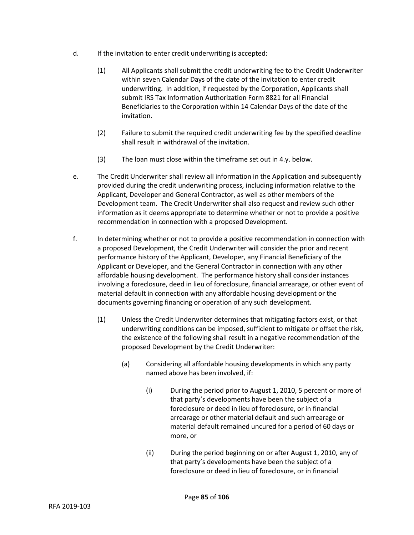- d. If the invitation to enter credit underwriting is accepted:
	- (1) All Applicants shall submit the credit underwriting fee to the Credit Underwriter within seven Calendar Days of the date of the invitation to enter credit underwriting. In addition, if requested by the Corporation, Applicants shall submit IRS Tax Information Authorization Form 8821 for all Financial Beneficiaries to the Corporation within 14 Calendar Days of the date of the invitation.
	- (2) Failure to submit the required credit underwriting fee by the specified deadline shall result in withdrawal of the invitation.
	- (3) The loan must close within the timeframe set out in 4.y. below.
- e. The Credit Underwriter shall review all information in the Application and subsequently provided during the credit underwriting process, including information relative to the Applicant, Developer and General Contractor, as well as other members of the Development team. The Credit Underwriter shall also request and review such other information as it deems appropriate to determine whether or not to provide a positive recommendation in connection with a proposed Development.
- f. In determining whether or not to provide a positive recommendation in connection with a proposed Development, the Credit Underwriter will consider the prior and recent performance history of the Applicant, Developer, any Financial Beneficiary of the Applicant or Developer, and the General Contractor in connection with any other affordable housing development. The performance history shall consider instances involving a foreclosure, deed in lieu of foreclosure, financial arrearage, or other event of material default in connection with any affordable housing development or the documents governing financing or operation of any such development.
	- (1) Unless the Credit Underwriter determines that mitigating factors exist, or that underwriting conditions can be imposed, sufficient to mitigate or offset the risk, the existence of the following shall result in a negative recommendation of the proposed Development by the Credit Underwriter:
		- (a) Considering all affordable housing developments in which any party named above has been involved, if:
			- (i) During the period prior to August 1, 2010, 5 percent or more of that party's developments have been the subject of a foreclosure or deed in lieu of foreclosure, or in financial arrearage or other material default and such arrearage or material default remained uncured for a period of 60 days or more, or
			- (ii) During the period beginning on or after August 1, 2010, any of that party's developments have been the subject of a foreclosure or deed in lieu of foreclosure, or in financial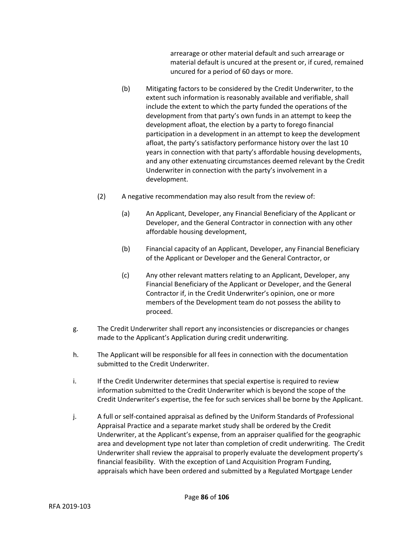arrearage or other material default and such arrearage or material default is uncured at the present or, if cured, remained uncured for a period of 60 days or more.

- (b) Mitigating factors to be considered by the Credit Underwriter, to the extent such information is reasonably available and verifiable, shall include the extent to which the party funded the operations of the development from that party's own funds in an attempt to keep the development afloat, the election by a party to forego financial participation in a development in an attempt to keep the development afloat, the party's satisfactory performance history over the last 10 years in connection with that party's affordable housing developments, and any other extenuating circumstances deemed relevant by the Credit Underwriter in connection with the party's involvement in a development.
- (2) A negative recommendation may also result from the review of:
	- (a) An Applicant, Developer, any Financial Beneficiary of the Applicant or Developer, and the General Contractor in connection with any other affordable housing development,
	- (b) Financial capacity of an Applicant, Developer, any Financial Beneficiary of the Applicant or Developer and the General Contractor, or
	- (c) Any other relevant matters relating to an Applicant, Developer, any Financial Beneficiary of the Applicant or Developer, and the General Contractor if, in the Credit Underwriter's opinion, one or more members of the Development team do not possess the ability to proceed.
- g. The Credit Underwriter shall report any inconsistencies or discrepancies or changes made to the Applicant's Application during credit underwriting.
- h. The Applicant will be responsible for all fees in connection with the documentation submitted to the Credit Underwriter.
- i. If the Credit Underwriter determines that special expertise is required to review information submitted to the Credit Underwriter which is beyond the scope of the Credit Underwriter's expertise, the fee for such services shall be borne by the Applicant.
- j. A full or self-contained appraisal as defined by the Uniform Standards of Professional Appraisal Practice and a separate market study shall be ordered by the Credit Underwriter, at the Applicant's expense, from an appraiser qualified for the geographic area and development type not later than completion of credit underwriting. The Credit Underwriter shall review the appraisal to properly evaluate the development property's financial feasibility. With the exception of Land Acquisition Program Funding, appraisals which have been ordered and submitted by a Regulated Mortgage Lender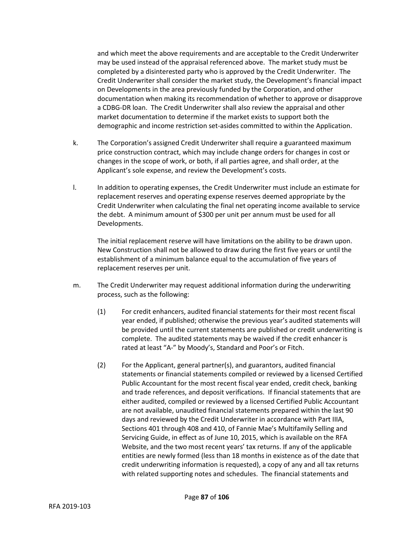and which meet the above requirements and are acceptable to the Credit Underwriter may be used instead of the appraisal referenced above. The market study must be completed by a disinterested party who is approved by the Credit Underwriter. The Credit Underwriter shall consider the market study, the Development's financial impact on Developments in the area previously funded by the Corporation, and other documentation when making its recommendation of whether to approve or disapprove a CDBG-DR loan. The Credit Underwriter shall also review the appraisal and other market documentation to determine if the market exists to support both the demographic and income restriction set-asides committed to within the Application.

- k. The Corporation's assigned Credit Underwriter shall require a guaranteed maximum price construction contract, which may include change orders for changes in cost or changes in the scope of work, or both, if all parties agree, and shall order, at the Applicant's sole expense, and review the Development's costs.
- l. In addition to operating expenses, the Credit Underwriter must include an estimate for replacement reserves and operating expense reserves deemed appropriate by the Credit Underwriter when calculating the final net operating income available to service the debt. A minimum amount of \$300 per unit per annum must be used for all Developments.

The initial replacement reserve will have limitations on the ability to be drawn upon. New Construction shall not be allowed to draw during the first five years or until the establishment of a minimum balance equal to the accumulation of five years of replacement reserves per unit.

- m. The Credit Underwriter may request additional information during the underwriting process, such as the following:
	- (1) For credit enhancers, audited financial statements for their most recent fiscal year ended, if published; otherwise the previous year's audited statements will be provided until the current statements are published or credit underwriting is complete. The audited statements may be waived if the credit enhancer is rated at least "A-" by Moody's, Standard and Poor's or Fitch.
	- (2) For the Applicant, general partner(s), and guarantors, audited financial statements or financial statements compiled or reviewed by a licensed Certified Public Accountant for the most recent fiscal year ended, credit check, banking and trade references, and deposit verifications. If financial statements that are either audited, compiled or reviewed by a licensed Certified Public Accountant are not available, unaudited financial statements prepared within the last 90 days and reviewed by the Credit Underwriter in accordance with Part IIIA, Sections 401 through 408 and 410, of Fannie Mae's Multifamily Selling and Servicing Guide, in effect as of June 10, 2015, which is available on the RFA Website, and the two most recent years' tax returns. If any of the applicable entities are newly formed (less than 18 months in existence as of the date that credit underwriting information is requested), a copy of any and all tax returns with related supporting notes and schedules. The financial statements and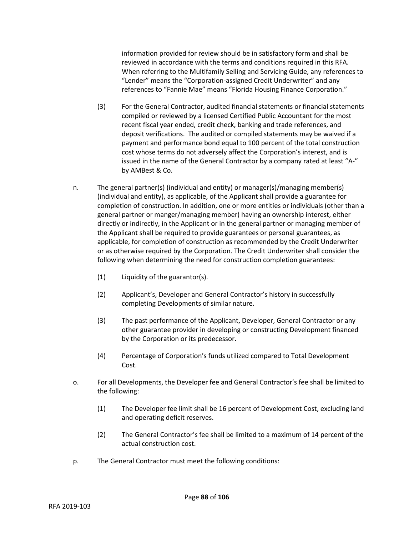information provided for review should be in satisfactory form and shall be reviewed in accordance with the terms and conditions required in this RFA. When referring to the Multifamily Selling and Servicing Guide, any references to "Lender" means the "Corporation-assigned Credit Underwriter" and any references to "Fannie Mae" means "Florida Housing Finance Corporation."

- (3) For the General Contractor, audited financial statements or financial statements compiled or reviewed by a licensed Certified Public Accountant for the most recent fiscal year ended, credit check, banking and trade references, and deposit verifications. The audited or compiled statements may be waived if a payment and performance bond equal to 100 percent of the total construction cost whose terms do not adversely affect the Corporation's interest, and is issued in the name of the General Contractor by a company rated at least "A-" by AMBest & Co.
- n. The general partner(s) (individual and entity) or manager(s)/managing member(s) (individual and entity), as applicable, of the Applicant shall provide a guarantee for completion of construction. In addition, one or more entities or individuals (other than a general partner or manger/managing member) having an ownership interest, either directly or indirectly, in the Applicant or in the general partner or managing member of the Applicant shall be required to provide guarantees or personal guarantees, as applicable, for completion of construction as recommended by the Credit Underwriter or as otherwise required by the Corporation. The Credit Underwriter shall consider the following when determining the need for construction completion guarantees:
	- (1) Liquidity of the guarantor(s).
	- (2) Applicant's, Developer and General Contractor's history in successfully completing Developments of similar nature.
	- (3) The past performance of the Applicant, Developer, General Contractor or any other guarantee provider in developing or constructing Development financed by the Corporation or its predecessor.
	- (4) Percentage of Corporation's funds utilized compared to Total Development Cost.
- o. For all Developments, the Developer fee and General Contractor's fee shall be limited to the following:
	- (1) The Developer fee limit shall be 16 percent of Development Cost, excluding land and operating deficit reserves.
	- (2) The General Contractor's fee shall be limited to a maximum of 14 percent of the actual construction cost.
- p. The General Contractor must meet the following conditions: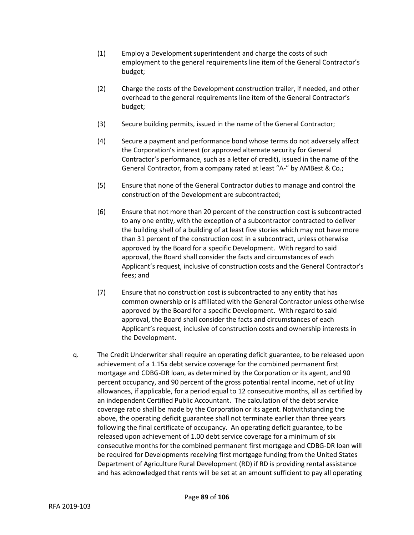- (1) Employ a Development superintendent and charge the costs of such employment to the general requirements line item of the General Contractor's budget;
- (2) Charge the costs of the Development construction trailer, if needed, and other overhead to the general requirements line item of the General Contractor's budget;
- (3) Secure building permits, issued in the name of the General Contractor;
- (4) Secure a payment and performance bond whose terms do not adversely affect the Corporation's interest (or approved alternate security for General Contractor's performance, such as a letter of credit), issued in the name of the General Contractor, from a company rated at least "A-" by AMBest & Co.;
- (5) Ensure that none of the General Contractor duties to manage and control the construction of the Development are subcontracted;
- (6) Ensure that not more than 20 percent of the construction cost is subcontracted to any one entity, with the exception of a subcontractor contracted to deliver the building shell of a building of at least five stories which may not have more than 31 percent of the construction cost in a subcontract, unless otherwise approved by the Board for a specific Development. With regard to said approval, the Board shall consider the facts and circumstances of each Applicant's request, inclusive of construction costs and the General Contractor's fees; and
- (7) Ensure that no construction cost is subcontracted to any entity that has common ownership or is affiliated with the General Contractor unless otherwise approved by the Board for a specific Development. With regard to said approval, the Board shall consider the facts and circumstances of each Applicant's request, inclusive of construction costs and ownership interests in the Development.
- q. The Credit Underwriter shall require an operating deficit guarantee, to be released upon achievement of a 1.15x debt service coverage for the combined permanent first mortgage and CDBG-DR loan, as determined by the Corporation or its agent, and 90 percent occupancy, and 90 percent of the gross potential rental income, net of utility allowances, if applicable, for a period equal to 12 consecutive months, all as certified by an independent Certified Public Accountant. The calculation of the debt service coverage ratio shall be made by the Corporation or its agent. Notwithstanding the above, the operating deficit guarantee shall not terminate earlier than three years following the final certificate of occupancy. An operating deficit guarantee, to be released upon achievement of 1.00 debt service coverage for a minimum of six consecutive months for the combined permanent first mortgage and CDBG-DR loan will be required for Developments receiving first mortgage funding from the United States Department of Agriculture Rural Development (RD) if RD is providing rental assistance and has acknowledged that rents will be set at an amount sufficient to pay all operating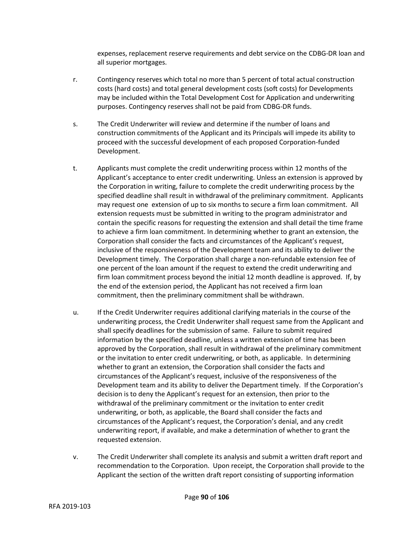expenses, replacement reserve requirements and debt service on the CDBG-DR loan and all superior mortgages.

- r. Contingency reserves which total no more than 5 percent of total actual construction costs (hard costs) and total general development costs (soft costs) for Developments may be included within the Total Development Cost for Application and underwriting purposes. Contingency reserves shall not be paid from CDBG-DR funds.
- s. The Credit Underwriter will review and determine if the number of loans and construction commitments of the Applicant and its Principals will impede its ability to proceed with the successful development of each proposed Corporation-funded Development.
- t. Applicants must complete the credit underwriting process within 12 months of the Applicant's acceptance to enter credit underwriting. Unless an extension is approved by the Corporation in writing, failure to complete the credit underwriting process by the specified deadline shall result in withdrawal of the preliminary commitment. Applicants may request one extension of up to six months to secure a firm loan commitment. All extension requests must be submitted in writing to the program administrator and contain the specific reasons for requesting the extension and shall detail the time frame to achieve a firm loan commitment. In determining whether to grant an extension, the Corporation shall consider the facts and circumstances of the Applicant's request, inclusive of the responsiveness of the Development team and its ability to deliver the Development timely. The Corporation shall charge a non-refundable extension fee of one percent of the loan amount if the request to extend the credit underwriting and firm loan commitment process beyond the initial 12 month deadline is approved. If, by the end of the extension period, the Applicant has not received a firm loan commitment, then the preliminary commitment shall be withdrawn.
- u. If the Credit Underwriter requires additional clarifying materials in the course of the underwriting process, the Credit Underwriter shall request same from the Applicant and shall specify deadlines for the submission of same. Failure to submit required information by the specified deadline, unless a written extension of time has been approved by the Corporation, shall result in withdrawal of the preliminary commitment or the invitation to enter credit underwriting, or both, as applicable. In determining whether to grant an extension, the Corporation shall consider the facts and circumstances of the Applicant's request, inclusive of the responsiveness of the Development team and its ability to deliver the Department timely. If the Corporation's decision is to deny the Applicant's request for an extension, then prior to the withdrawal of the preliminary commitment or the invitation to enter credit underwriting, or both, as applicable, the Board shall consider the facts and circumstances of the Applicant's request, the Corporation's denial, and any credit underwriting report, if available, and make a determination of whether to grant the requested extension.
- v. The Credit Underwriter shall complete its analysis and submit a written draft report and recommendation to the Corporation. Upon receipt, the Corporation shall provide to the Applicant the section of the written draft report consisting of supporting information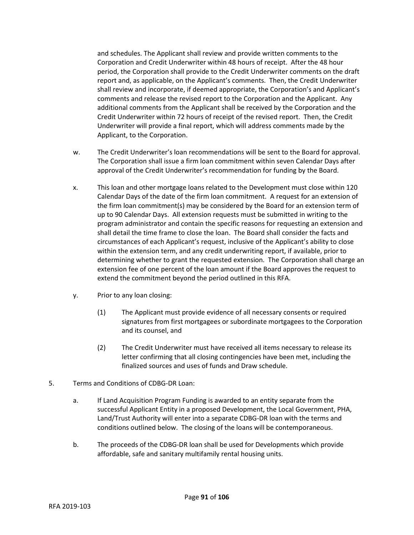and schedules. The Applicant shall review and provide written comments to the Corporation and Credit Underwriter within 48 hours of receipt. After the 48 hour period, the Corporation shall provide to the Credit Underwriter comments on the draft report and, as applicable, on the Applicant's comments. Then, the Credit Underwriter shall review and incorporate, if deemed appropriate, the Corporation's and Applicant's comments and release the revised report to the Corporation and the Applicant. Any additional comments from the Applicant shall be received by the Corporation and the Credit Underwriter within 72 hours of receipt of the revised report. Then, the Credit Underwriter will provide a final report, which will address comments made by the Applicant, to the Corporation.

- w. The Credit Underwriter's loan recommendations will be sent to the Board for approval. The Corporation shall issue a firm loan commitment within seven Calendar Days after approval of the Credit Underwriter's recommendation for funding by the Board.
- x. This loan and other mortgage loans related to the Development must close within 120 Calendar Days of the date of the firm loan commitment. A request for an extension of the firm loan commitment(s) may be considered by the Board for an extension term of up to 90 Calendar Days. All extension requests must be submitted in writing to the program administrator and contain the specific reasons for requesting an extension and shall detail the time frame to close the loan. The Board shall consider the facts and circumstances of each Applicant's request, inclusive of the Applicant's ability to close within the extension term, and any credit underwriting report, if available, prior to determining whether to grant the requested extension. The Corporation shall charge an extension fee of one percent of the loan amount if the Board approves the request to extend the commitment beyond the period outlined in this RFA.
- y. Prior to any loan closing:
	- (1) The Applicant must provide evidence of all necessary consents or required signatures from first mortgagees or subordinate mortgagees to the Corporation and its counsel, and
	- (2) The Credit Underwriter must have received all items necessary to release its letter confirming that all closing contingencies have been met, including the finalized sources and uses of funds and Draw schedule.
- 5. Terms and Conditions of CDBG-DR Loan:
	- a. If Land Acquisition Program Funding is awarded to an entity separate from the successful Applicant Entity in a proposed Development, the Local Government, PHA, Land/Trust Authority will enter into a separate CDBG-DR loan with the terms and conditions outlined below. The closing of the loans will be contemporaneous.
	- b. The proceeds of the CDBG-DR loan shall be used for Developments which provide affordable, safe and sanitary multifamily rental housing units.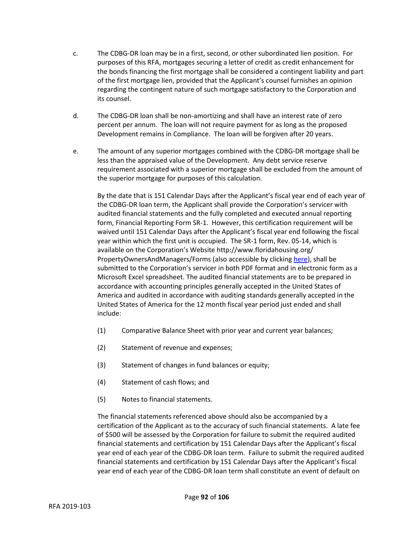- c. The CDBG-DR loan may be in a first, second, or other subordinated lien position. For purposes of this RFA, mortgages securing a letter of credit as credit enhancement for the bonds financing the first mortgage shall be considered a contingent liability and part of the first mortgage lien, provided that the Applicant's counsel furnishes an opinion regarding the contingent nature of such mortgage satisfactory to the Corporation and its counsel.
- d. The CDBG-DR loan shall be non-amortizing and shall have an interest rate of zero percent per annum. The loan will not require payment for as long as the proposed Development remains in Compliance. The loan will be forgiven after 20 years.
- e. The amount of any superior mortgages combined with the CDBG-DR mortgage shall be less than the appraised value of the Development. Any debt service reserve requirement associated with a superior mortgage shall be excluded from the amount of the superior mortgage for purposes of this calculation.

By the date that is 151 Calendar Days after the Applicant's fiscal year end of each year of the CDBG-DR loan term, the Applicant shall provide the Corporation's servicer with audited financial statements and the fully completed and executed annual reporting form, Financial Reporting Form SR-1. However, this certification requirement will be waived until 151 Calendar Days after the Applicant's fiscal year end following the fiscal year within which the first unit is occupied. The SR-1 form, Rev. 05-14, which is available on the Corporation's Website http://www.floridahousing.org/ PropertyOwnersAndManagers/Forms (also accessible by clickin[g here\)](http://www.floridahousing.org/%20PropertyOwnersAndManagers/Forms), shall be submitted to the Corporation's servicer in both PDF format and in electronic form as a Microsoft Excel spreadsheet. The audited financial statements are to be prepared in accordance with accounting principles generally accepted in the United States of America and audited in accordance with auditing standards generally accepted in the United States of America for the 12 month fiscal year period just ended and shall include:

- (1) Comparative Balance Sheet with prior year and current year balances;
- (2) Statement of revenue and expenses;
- (3) Statement of changes in fund balances or equity;
- (4) Statement of cash flows; and
- (5) Notes to financial statements.

The financial statements referenced above should also be accompanied by a certification of the Applicant as to the accuracy of such financial statements. A late fee of \$500 will be assessed by the Corporation for failure to submit the required audited financial statements and certification by 151 Calendar Days after the Applicant's fiscal year end of each year of the CDBG-DR loan term. Failure to submit the required audited financial statements and certification by 151 Calendar Days after the Applicant's fiscal year end of each year of the CDBG-DR loan term shall constitute an event of default on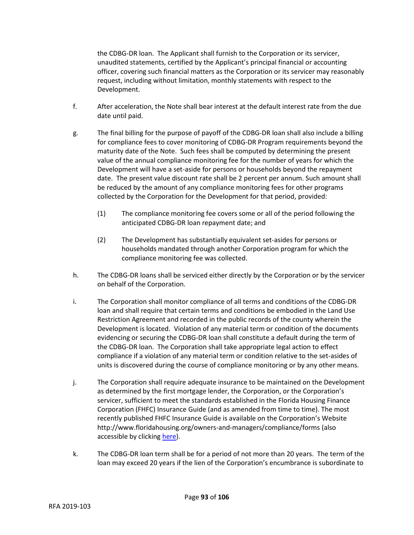the CDBG-DR loan. The Applicant shall furnish to the Corporation or its servicer, unaudited statements, certified by the Applicant's principal financial or accounting officer, covering such financial matters as the Corporation or its servicer may reasonably request, including without limitation, monthly statements with respect to the Development.

- f. After acceleration, the Note shall bear interest at the default interest rate from the due date until paid.
- g. The final billing for the purpose of payoff of the CDBG-DR loan shall also include a billing for compliance fees to cover monitoring of CDBG-DR Program requirements beyond the maturity date of the Note. Such fees shall be computed by determining the present value of the annual compliance monitoring fee for the number of years for which the Development will have a set-aside for persons or households beyond the repayment date. The present value discount rate shall be 2 percent per annum. Such amount shall be reduced by the amount of any compliance monitoring fees for other programs collected by the Corporation for the Development for that period, provided:
	- (1) The compliance monitoring fee covers some or all of the period following the anticipated CDBG-DR loan repayment date; and
	- (2) The Development has substantially equivalent set-asides for persons or households mandated through another Corporation program for which the compliance monitoring fee was collected.
- h. The CDBG-DR loans shall be serviced either directly by the Corporation or by the servicer on behalf of the Corporation.
- i. The Corporation shall monitor compliance of all terms and conditions of the CDBG-DR loan and shall require that certain terms and conditions be embodied in the Land Use Restriction Agreement and recorded in the public records of the county wherein the Development is located. Violation of any material term or condition of the documents evidencing or securing the CDBG-DR loan shall constitute a default during the term of the CDBG-DR loan. The Corporation shall take appropriate legal action to effect compliance if a violation of any material term or condition relative to the set-asides of units is discovered during the course of compliance monitoring or by any other means.
- j. The Corporation shall require adequate insurance to be maintained on the Development as determined by the first mortgage lender, the Corporation, or the Corporation's servicer, sufficient to meet the standards established in the Florida Housing Finance Corporation (FHFC) Insurance Guide (and as amended from time to time). The most recently published FHFC Insurance Guide is available on the Corporation's Website http://www.floridahousing.org/owners-and-managers/compliance/forms (also accessible by clicking [here\)](http://www.floridahousing.org/owners-and-managers/compliance/forms).
- k. The CDBG-DR loan term shall be for a period of not more than 20 years. The term of the loan may exceed 20 years if the lien of the Corporation's encumbrance is subordinate to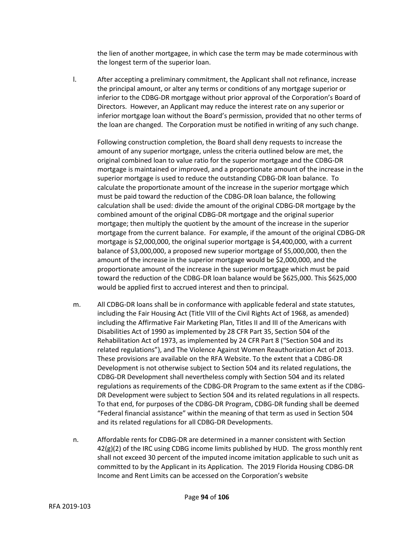the lien of another mortgagee, in which case the term may be made coterminous with the longest term of the superior loan.

l. After accepting a preliminary commitment, the Applicant shall not refinance, increase the principal amount, or alter any terms or conditions of any mortgage superior or inferior to the CDBG-DR mortgage without prior approval of the Corporation's Board of Directors. However, an Applicant may reduce the interest rate on any superior or inferior mortgage loan without the Board's permission, provided that no other terms of the loan are changed. The Corporation must be notified in writing of any such change.

Following construction completion, the Board shall deny requests to increase the amount of any superior mortgage, unless the criteria outlined below are met, the original combined loan to value ratio for the superior mortgage and the CDBG-DR mortgage is maintained or improved, and a proportionate amount of the increase in the superior mortgage is used to reduce the outstanding CDBG-DR loan balance. To calculate the proportionate amount of the increase in the superior mortgage which must be paid toward the reduction of the CDBG-DR loan balance, the following calculation shall be used: divide the amount of the original CDBG-DR mortgage by the combined amount of the original CDBG-DR mortgage and the original superior mortgage; then multiply the quotient by the amount of the increase in the superior mortgage from the current balance. For example, if the amount of the original CDBG-DR mortgage is \$2,000,000, the original superior mortgage is \$4,400,000, with a current balance of \$3,000,000, a proposed new superior mortgage of \$5,000,000, then the amount of the increase in the superior mortgage would be \$2,000,000, and the proportionate amount of the increase in the superior mortgage which must be paid toward the reduction of the CDBG-DR loan balance would be \$625,000. This \$625,000 would be applied first to accrued interest and then to principal.

- m. All CDBG-DR loans shall be in conformance with applicable federal and state statutes, including the Fair Housing Act (Title VIII of the Civil Rights Act of 1968, as amended) including the Affirmative Fair Marketing Plan, Titles II and III of the Americans with Disabilities Act of 1990 as implemented by 28 CFR Part 35, Section 504 of the Rehabilitation Act of 1973, as implemented by 24 CFR Part 8 ("Section 504 and its related regulations"), and The Violence Against Women Reauthorization Act of 2013. These provisions are available on the RFA Website. To the extent that a CDBG-DR Development is not otherwise subject to Section 504 and its related regulations, the CDBG-DR Development shall nevertheless comply with Section 504 and its related regulations as requirements of the CDBG-DR Program to the same extent as if the CDBG-DR Development were subject to Section 504 and its related regulations in all respects. To that end, for purposes of the CDBG-DR Program, CDBG-DR funding shall be deemed "Federal financial assistance" within the meaning of that term as used in Section 504 and its related regulations for all CDBG-DR Developments.
- n. Affordable rents for CDBG-DR are determined in a manner consistent with Section  $42(g)(2)$  of the IRC using CDBG income limits published by HUD. The gross monthly rent shall not exceed 30 percent of the imputed income imitation applicable to such unit as committed to by the Applicant in its Application. The 2019 Florida Housing CDBG-DR Income and Rent Limits can be accessed on the Corporation's website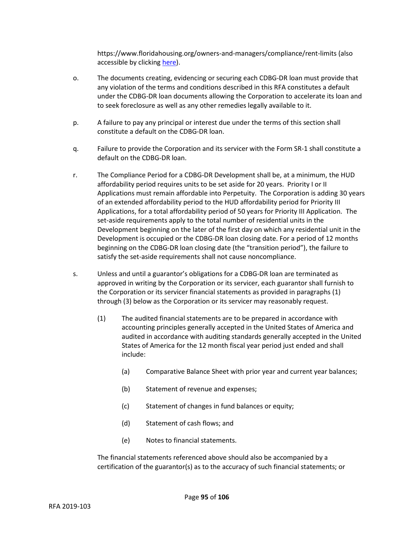https://www.floridahousing.org/owners-and-managers/compliance/rent-limits (also accessible by clicking [here\)](https://www.floridahousing.org/owners-and-managers/compliance/rent-limits).

- o. The documents creating, evidencing or securing each CDBG-DR loan must provide that any violation of the terms and conditions described in this RFA constitutes a default under the CDBG-DR loan documents allowing the Corporation to accelerate its loan and to seek foreclosure as well as any other remedies legally available to it.
- p. A failure to pay any principal or interest due under the terms of this section shall constitute a default on the CDBG-DR loan.
- q. Failure to provide the Corporation and its servicer with the Form SR-1 shall constitute a default on the CDBG-DR loan.
- r. The Compliance Period for a CDBG-DR Development shall be, at a minimum, the HUD affordability period requires units to be set aside for 20 years. Priority I or II Applications must remain affordable into Perpetuity. The Corporation is adding 30 years of an extended affordability period to the HUD affordability period for Priority III Applications, for a total affordability period of 50 years for Priority III Application. The set-aside requirements apply to the total number of residential units in the Development beginning on the later of the first day on which any residential unit in the Development is occupied or the CDBG-DR loan closing date. For a period of 12 months beginning on the CDBG-DR loan closing date (the "transition period"), the failure to satisfy the set-aside requirements shall not cause noncompliance.
- s. Unless and until a guarantor's obligations for a CDBG-DR loan are terminated as approved in writing by the Corporation or its servicer, each guarantor shall furnish to the Corporation or its servicer financial statements as provided in paragraphs (1) through (3) below as the Corporation or its servicer may reasonably request.
	- (1) The audited financial statements are to be prepared in accordance with accounting principles generally accepted in the United States of America and audited in accordance with auditing standards generally accepted in the United States of America for the 12 month fiscal year period just ended and shall include:
		- (a) Comparative Balance Sheet with prior year and current year balances;
		- (b) Statement of revenue and expenses;
		- (c) Statement of changes in fund balances or equity;
		- (d) Statement of cash flows; and
		- (e) Notes to financial statements.

The financial statements referenced above should also be accompanied by a certification of the guarantor(s) as to the accuracy of such financial statements; or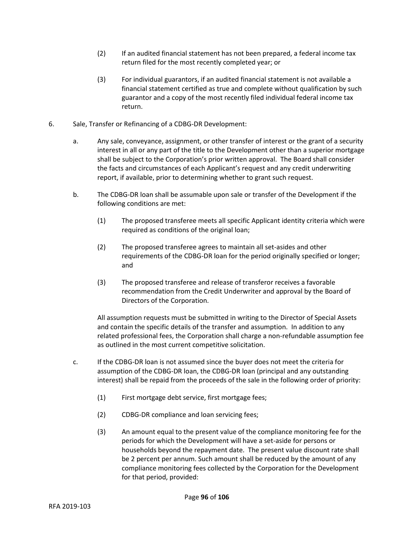- (2) If an audited financial statement has not been prepared, a federal income tax return filed for the most recently completed year; or
- (3) For individual guarantors, if an audited financial statement is not available a financial statement certified as true and complete without qualification by such guarantor and a copy of the most recently filed individual federal income tax return.
- 6. Sale, Transfer or Refinancing of a CDBG-DR Development:
	- a. Any sale, conveyance, assignment, or other transfer of interest or the grant of a security interest in all or any part of the title to the Development other than a superior mortgage shall be subject to the Corporation's prior written approval. The Board shall consider the facts and circumstances of each Applicant's request and any credit underwriting report, if available, prior to determining whether to grant such request.
	- b. The CDBG-DR loan shall be assumable upon sale or transfer of the Development if the following conditions are met:
		- (1) The proposed transferee meets all specific Applicant identity criteria which were required as conditions of the original loan;
		- (2) The proposed transferee agrees to maintain all set-asides and other requirements of the CDBG-DR loan for the period originally specified or longer; and
		- (3) The proposed transferee and release of transferor receives a favorable recommendation from the Credit Underwriter and approval by the Board of Directors of the Corporation.

All assumption requests must be submitted in writing to the Director of Special Assets and contain the specific details of the transfer and assumption. In addition to any related professional fees, the Corporation shall charge a non-refundable assumption fee as outlined in the most current competitive solicitation.

- c. If the CDBG-DR loan is not assumed since the buyer does not meet the criteria for assumption of the CDBG-DR loan, the CDBG-DR loan (principal and any outstanding interest) shall be repaid from the proceeds of the sale in the following order of priority:
	- (1) First mortgage debt service, first mortgage fees;
	- (2) CDBG-DR compliance and loan servicing fees;
	- (3) An amount equal to the present value of the compliance monitoring fee for the periods for which the Development will have a set-aside for persons or households beyond the repayment date. The present value discount rate shall be 2 percent per annum. Such amount shall be reduced by the amount of any compliance monitoring fees collected by the Corporation for the Development for that period, provided: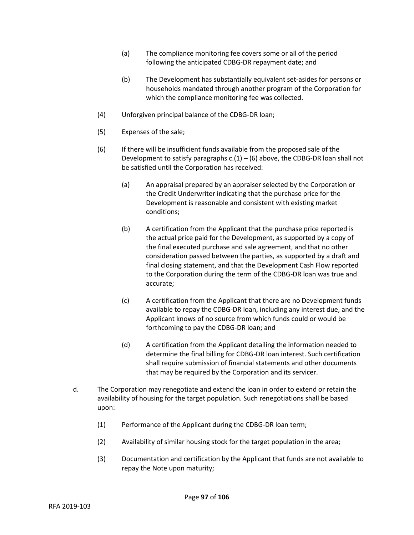- (a) The compliance monitoring fee covers some or all of the period following the anticipated CDBG-DR repayment date; and
- (b) The Development has substantially equivalent set-asides for persons or households mandated through another program of the Corporation for which the compliance monitoring fee was collected.
- (4) Unforgiven principal balance of the CDBG-DR loan;
- (5) Expenses of the sale;
- (6) If there will be insufficient funds available from the proposed sale of the Development to satisfy paragraphs  $c(1) - (6)$  above, the CDBG-DR loan shall not be satisfied until the Corporation has received:
	- (a) An appraisal prepared by an appraiser selected by the Corporation or the Credit Underwriter indicating that the purchase price for the Development is reasonable and consistent with existing market conditions;
	- (b) A certification from the Applicant that the purchase price reported is the actual price paid for the Development, as supported by a copy of the final executed purchase and sale agreement, and that no other consideration passed between the parties, as supported by a draft and final closing statement, and that the Development Cash Flow reported to the Corporation during the term of the CDBG-DR loan was true and accurate;
	- (c) A certification from the Applicant that there are no Development funds available to repay the CDBG-DR loan, including any interest due, and the Applicant knows of no source from which funds could or would be forthcoming to pay the CDBG-DR loan; and
	- (d) A certification from the Applicant detailing the information needed to determine the final billing for CDBG-DR loan interest. Such certification shall require submission of financial statements and other documents that may be required by the Corporation and its servicer.
- d. The Corporation may renegotiate and extend the loan in order to extend or retain the availability of housing for the target population. Such renegotiations shall be based upon:
	- (1) Performance of the Applicant during the CDBG-DR loan term;
	- (2) Availability of similar housing stock for the target population in the area;
	- (3) Documentation and certification by the Applicant that funds are not available to repay the Note upon maturity;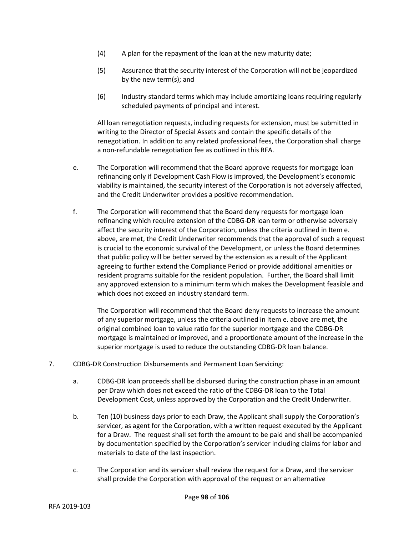- (4) A plan for the repayment of the loan at the new maturity date;
- (5) Assurance that the security interest of the Corporation will not be jeopardized by the new term(s); and
- (6) Industry standard terms which may include amortizing loans requiring regularly scheduled payments of principal and interest.

All loan renegotiation requests, including requests for extension, must be submitted in writing to the Director of Special Assets and contain the specific details of the renegotiation. In addition to any related professional fees, the Corporation shall charge a non-refundable renegotiation fee as outlined in this RFA.

- e. The Corporation will recommend that the Board approve requests for mortgage loan refinancing only if Development Cash Flow is improved, the Development's economic viability is maintained, the security interest of the Corporation is not adversely affected, and the Credit Underwriter provides a positive recommendation.
- f. The Corporation will recommend that the Board deny requests for mortgage loan refinancing which require extension of the CDBG-DR loan term or otherwise adversely affect the security interest of the Corporation, unless the criteria outlined in Item e. above, are met, the Credit Underwriter recommends that the approval of such a request is crucial to the economic survival of the Development, or unless the Board determines that public policy will be better served by the extension as a result of the Applicant agreeing to further extend the Compliance Period or provide additional amenities or resident programs suitable for the resident population. Further, the Board shall limit any approved extension to a minimum term which makes the Development feasible and which does not exceed an industry standard term.

The Corporation will recommend that the Board deny requests to increase the amount of any superior mortgage, unless the criteria outlined in Item e. above are met, the original combined loan to value ratio for the superior mortgage and the CDBG-DR mortgage is maintained or improved, and a proportionate amount of the increase in the superior mortgage is used to reduce the outstanding CDBG-DR loan balance.

- 7. CDBG-DR Construction Disbursements and Permanent Loan Servicing:
	- a. CDBG-DR loan proceeds shall be disbursed during the construction phase in an amount per Draw which does not exceed the ratio of the CDBG-DR loan to the Total Development Cost, unless approved by the Corporation and the Credit Underwriter.
	- b. Ten (10) business days prior to each Draw, the Applicant shall supply the Corporation's servicer, as agent for the Corporation, with a written request executed by the Applicant for a Draw. The request shall set forth the amount to be paid and shall be accompanied by documentation specified by the Corporation's servicer including claims for labor and materials to date of the last inspection.
	- c. The Corporation and its servicer shall review the request for a Draw, and the servicer shall provide the Corporation with approval of the request or an alternative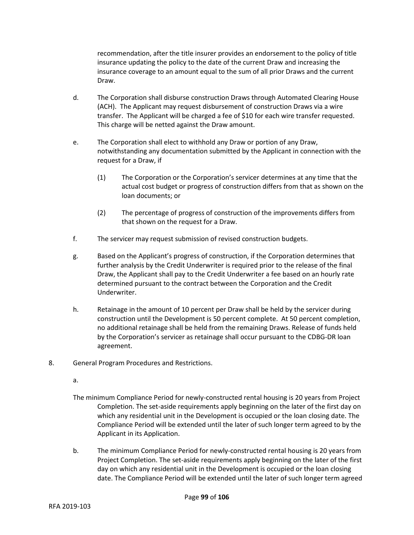recommendation, after the title insurer provides an endorsement to the policy of title insurance updating the policy to the date of the current Draw and increasing the insurance coverage to an amount equal to the sum of all prior Draws and the current Draw.

- d. The Corporation shall disburse construction Draws through Automated Clearing House (ACH). The Applicant may request disbursement of construction Draws via a wire transfer. The Applicant will be charged a fee of \$10 for each wire transfer requested. This charge will be netted against the Draw amount.
- e. The Corporation shall elect to withhold any Draw or portion of any Draw, notwithstanding any documentation submitted by the Applicant in connection with the request for a Draw, if
	- (1) The Corporation or the Corporation's servicer determines at any time that the actual cost budget or progress of construction differs from that as shown on the loan documents; or
	- (2) The percentage of progress of construction of the improvements differs from that shown on the request for a Draw.
- f. The servicer may request submission of revised construction budgets.
- g. Based on the Applicant's progress of construction, if the Corporation determines that further analysis by the Credit Underwriter is required prior to the release of the final Draw, the Applicant shall pay to the Credit Underwriter a fee based on an hourly rate determined pursuant to the contract between the Corporation and the Credit Underwriter.
- h. Retainage in the amount of 10 percent per Draw shall be held by the servicer during construction until the Development is 50 percent complete. At 50 percent completion, no additional retainage shall be held from the remaining Draws. Release of funds held by the Corporation's servicer as retainage shall occur pursuant to the CDBG-DR loan agreement.
- 8. General Program Procedures and Restrictions.
	- a.
	- The minimum Compliance Period for newly-constructed rental housing is 20 years from Project Completion. The set-aside requirements apply beginning on the later of the first day on which any residential unit in the Development is occupied or the loan closing date. The Compliance Period will be extended until the later of such longer term agreed to by the Applicant in its Application.
	- b. The minimum Compliance Period for newly-constructed rental housing is 20 years from Project Completion. The set-aside requirements apply beginning on the later of the first day on which any residential unit in the Development is occupied or the loan closing date. The Compliance Period will be extended until the later of such longer term agreed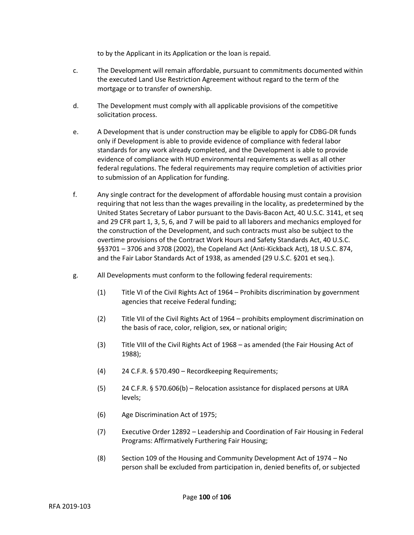to by the Applicant in its Application or the loan is repaid.

- c. The Development will remain affordable, pursuant to commitments documented within the executed Land Use Restriction Agreement without regard to the term of the mortgage or to transfer of ownership.
- d. The Development must comply with all applicable provisions of the competitive solicitation process.
- e. A Development that is under construction may be eligible to apply for CDBG-DR funds only if Development is able to provide evidence of compliance with federal labor standards for any work already completed, and the Development is able to provide evidence of compliance with HUD environmental requirements as well as all other federal regulations. The federal requirements may require completion of activities prior to submission of an Application for funding.
- f. Any single contract for the development of affordable housing must contain a provision requiring that not less than the wages prevailing in the locality, as predetermined by the United States Secretary of Labor pursuant to the Davis-Bacon Act, 40 U.S.C. 3141, et seq and 29 CFR part 1, 3, 5, 6, and 7 will be paid to all laborers and mechanics employed for the construction of the Development, and such contracts must also be subject to the overtime provisions of the Contract Work Hours and Safety Standards Act, 40 U.S.C. §§3701 – 3706 and 3708 (2002), the Copeland Act (Anti-Kickback Act), 18 U.S.C. 874, and the Fair Labor Standards Act of 1938, as amended (29 U.S.C. §201 et seq.).
- g. All Developments must conform to the following federal requirements:
	- (1) Title VI of the Civil Rights Act of 1964 Prohibits discrimination by government agencies that receive Federal funding;
	- (2) Title VII of the Civil Rights Act of 1964 prohibits employment discrimination on the basis of race, color, religion, sex, or national origin;
	- (3) Title VIII of the Civil Rights Act of 1968 as amended (the Fair Housing Act of 1988);
	- (4) 24 C.F.R. § 570.490 Recordkeeping Requirements;
	- (5) 24 C.F.R. § 570.606(b) Relocation assistance for displaced persons at URA levels;
	- (6) Age Discrimination Act of 1975;
	- (7) Executive Order 12892 Leadership and Coordination of Fair Housing in Federal Programs: Affirmatively Furthering Fair Housing;
	- (8) Section 109 of the Housing and Community Development Act of 1974 No person shall be excluded from participation in, denied benefits of, or subjected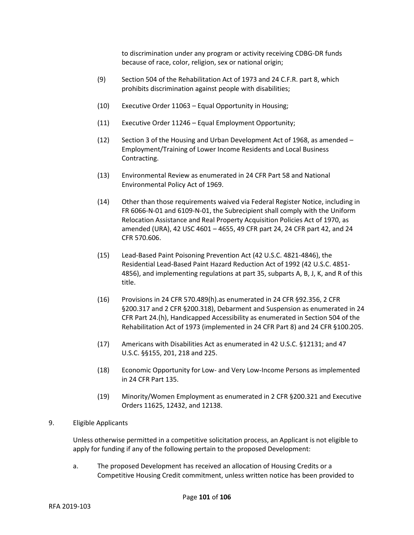to discrimination under any program or activity receiving CDBG-DR funds because of race, color, religion, sex or national origin;

- (9) Section 504 of the Rehabilitation Act of 1973 and 24 C.F.R. part 8, which prohibits discrimination against people with disabilities;
- (10) Executive Order 11063 Equal Opportunity in Housing;
- (11) Executive Order 11246 Equal Employment Opportunity;
- (12) Section 3 of the Housing and Urban Development Act of 1968, as amended Employment/Training of Lower Income Residents and Local Business Contracting.
- (13) Environmental Review as enumerated in 24 CFR Part 58 and National Environmental Policy Act of 1969.
- (14) Other than those requirements waived via Federal Register Notice, including in FR 6066-N-01 and 6109-N-01, the Subrecipient shall comply with the Uniform Relocation Assistance and Real Property Acquisition Policies Act of 1970, as amended (URA), 42 USC 4601 – 4655, 49 CFR part 24, 24 CFR part 42, and 24 CFR 570.606.
- (15) Lead-Based Paint Poisoning Prevention Act (42 U.S.C. 4821-4846), the Residential Lead-Based Paint Hazard Reduction Act of 1992 (42 U.S.C. 4851- 4856), and implementing regulations at part 35, subparts A, B, J, K, and R of this title.
- (16) Provisions in 24 CFR 570.489(h).as enumerated in 24 CFR §92.356, 2 CFR §200.317 and 2 CFR §200.318), Debarment and Suspension as enumerated in 24 CFR Part 24.(h), Handicapped Accessibility as enumerated in Section 504 of the Rehabilitation Act of 1973 (implemented in 24 CFR Part 8) and 24 CFR §100.205.
- (17) Americans with Disabilities Act as enumerated in 42 U.S.C. §12131; and 47 U.S.C. §§155, 201, 218 and 225.
- (18) Economic Opportunity for Low- and Very Low-Income Persons as implemented in 24 CFR Part 135.
- (19) Minority/Women Employment as enumerated in 2 CFR §200.321 and Executive Orders 11625, 12432, and 12138.

#### 9. Eligible Applicants

Unless otherwise permitted in a competitive solicitation process, an Applicant is not eligible to apply for funding if any of the following pertain to the proposed Development:

a. The proposed Development has received an allocation of Housing Credits or a Competitive Housing Credit commitment, unless written notice has been provided to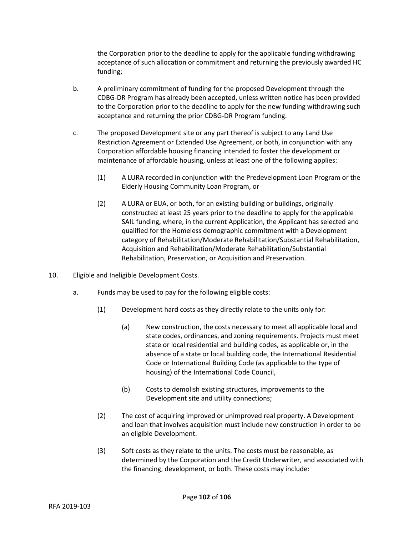the Corporation prior to the deadline to apply for the applicable funding withdrawing acceptance of such allocation or commitment and returning the previously awarded HC funding;

- b. A preliminary commitment of funding for the proposed Development through the CDBG-DR Program has already been accepted, unless written notice has been provided to the Corporation prior to the deadline to apply for the new funding withdrawing such acceptance and returning the prior CDBG-DR Program funding.
- c. The proposed Development site or any part thereof is subject to any Land Use Restriction Agreement or Extended Use Agreement, or both, in conjunction with any Corporation affordable housing financing intended to foster the development or maintenance of affordable housing, unless at least one of the following applies:
	- (1) A LURA recorded in conjunction with the Predevelopment Loan Program or the Elderly Housing Community Loan Program, or
	- (2) A LURA or EUA, or both, for an existing building or buildings, originally constructed at least 25 years prior to the deadline to apply for the applicable SAIL funding, where, in the current Application, the Applicant has selected and qualified for the Homeless demographic commitment with a Development category of Rehabilitation/Moderate Rehabilitation/Substantial Rehabilitation, Acquisition and Rehabilitation/Moderate Rehabilitation/Substantial Rehabilitation, Preservation, or Acquisition and Preservation.
- 10. Eligible and Ineligible Development Costs.
	- a. Funds may be used to pay for the following eligible costs:
		- (1) Development hard costs as they directly relate to the units only for:
			- (a) New construction, the costs necessary to meet all applicable local and state codes, ordinances, and zoning requirements. Projects must meet state or local residential and building codes, as applicable or, in the absence of a state or local building code, the International Residential Code or International Building Code (as applicable to the type of housing) of the International Code Council,
			- (b) Costs to demolish existing structures, improvements to the Development site and utility connections;
		- (2) The cost of acquiring improved or unimproved real property. A Development and loan that involves acquisition must include new construction in order to be an eligible Development.
		- (3) Soft costs as they relate to the units. The costs must be reasonable, as determined by the Corporation and the Credit Underwriter, and associated with the financing, development, or both. These costs may include: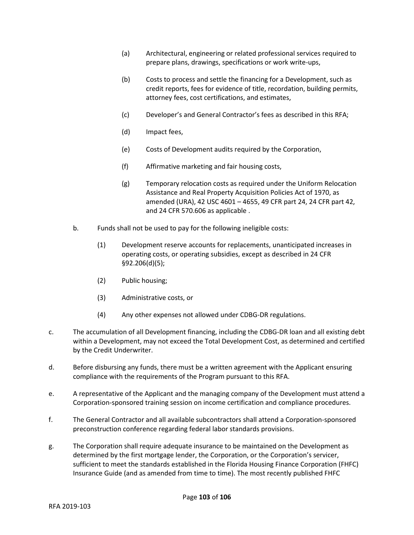- (a) Architectural, engineering or related professional services required to prepare plans, drawings, specifications or work write-ups,
- (b) Costs to process and settle the financing for a Development, such as credit reports, fees for evidence of title, recordation, building permits, attorney fees, cost certifications, and estimates,
- (c) Developer's and General Contractor's fees as described in this RFA;
- (d) Impact fees,
- (e) Costs of Development audits required by the Corporation,
- (f) Affirmative marketing and fair housing costs,
- (g) Temporary relocation costs as required under the Uniform Relocation Assistance and Real Property Acquisition Policies Act of 1970, as amended (URA), 42 USC 4601 – 4655, 49 CFR part 24, 24 CFR part 42, and 24 CFR 570.606 as applicable .
- b. Funds shall not be used to pay for the following ineligible costs:
	- (1) Development reserve accounts for replacements, unanticipated increases in operating costs, or operating subsidies, except as described in 24 CFR §92.206(d)(5);
	- (2) Public housing;
	- (3) Administrative costs, or
	- (4) Any other expenses not allowed under CDBG-DR regulations.
- c. The accumulation of all Development financing, including the CDBG-DR loan and all existing debt within a Development, may not exceed the Total Development Cost, as determined and certified by the Credit Underwriter.
- d. Before disbursing any funds, there must be a written agreement with the Applicant ensuring compliance with the requirements of the Program pursuant to this RFA.
- e. A representative of the Applicant and the managing company of the Development must attend a Corporation-sponsored training session on income certification and compliance procedures.
- f. The General Contractor and all available subcontractors shall attend a Corporation-sponsored preconstruction conference regarding federal labor standards provisions.
- g. The Corporation shall require adequate insurance to be maintained on the Development as determined by the first mortgage lender, the Corporation, or the Corporation's servicer, sufficient to meet the standards established in the Florida Housing Finance Corporation (FHFC) Insurance Guide (and as amended from time to time). The most recently published FHFC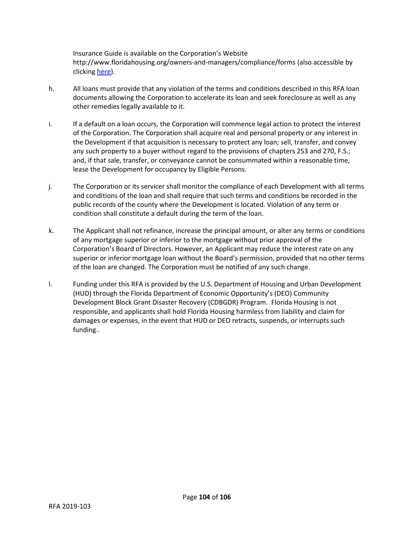Insurance Guide is available on the Corporation's Website http://www.floridahousing.org/owners-and-managers/compliance/forms (also accessible by clicking [here\)](http://www.floridahousing.org/owners-and-managers/compliance/forms).

- h. All loans must provide that any violation of the terms and conditions described in this RFA loan documents allowing the Corporation to accelerate its loan and seek foreclosure as well as any other remedies legally available to it.
- i. If a default on a loan occurs, the Corporation will commence legal action to protect the interest of the Corporation. The Corporation shall acquire real and personal property or any interest in the Development if that acquisition is necessary to protect any loan; sell, transfer, and convey any such property to a buyer without regard to the provisions of chapters 253 and 270, F.S.; and, if that sale, transfer, or conveyance cannot be consummated within a reasonable time, lease the Development for occupancy by Eligible Persons.
- j. The Corporation or its servicer shall monitor the compliance of each Development with all terms and conditions of the loan and shall require that such terms and conditions be recorded in the public records of the county where the Development is located. Violation of any term or condition shall constitute a default during the term of the loan.
- k. The Applicant shall not refinance, increase the principal amount, or alter any terms or conditions of any mortgage superior or inferior to the mortgage without prior approval of the Corporation's Board of Directors. However, an Applicant may reduce the interest rate on any superior or inferior mortgage loan without the Board's permission, provided that no other terms of the loan are changed. The Corporation must be notified of any such change.
- l. Funding under this RFA is provided by the U.S. Department of Housing and Urban Development (HUD) through the Florida Department of Economic Opportunity's (DEO) Community Development Block Grant Disaster Recovery (CDBGDR) Program. Florida Housing is not responsible, and applicants shall hold Florida Housing harmless from liability and claim for damages or expenses, in the event that HUD or DEO retracts, suspends, or interrupts such funding..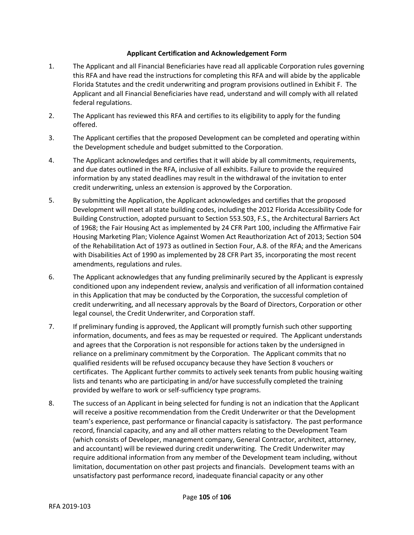## **Applicant Certification and Acknowledgement Form**

- 1. The Applicant and all Financial Beneficiaries have read all applicable Corporation rules governing this RFA and have read the instructions for completing this RFA and will abide by the applicable Florida Statutes and the credit underwriting and program provisions outlined in Exhibit F. The Applicant and all Financial Beneficiaries have read, understand and will comply with all related federal regulations.
- 2. The Applicant has reviewed this RFA and certifies to its eligibility to apply for the funding offered.
- 3. The Applicant certifies that the proposed Development can be completed and operating within the Development schedule and budget submitted to the Corporation.
- 4. The Applicant acknowledges and certifies that it will abide by all commitments, requirements, and due dates outlined in the RFA, inclusive of all exhibits. Failure to provide the required information by any stated deadlines may result in the withdrawal of the invitation to enter credit underwriting, unless an extension is approved by the Corporation.
- 5. By submitting the Application, the Applicant acknowledges and certifies that the proposed Development will meet all state building codes, including the 2012 Florida Accessibility Code for Building Construction, adopted pursuant to Section 553.503, F.S., the Architectural Barriers Act of 1968; the Fair Housing Act as implemented by 24 CFR Part 100, including the Affirmative Fair Housing Marketing Plan; Violence Against Women Act Reauthorization Act of 2013; Section 504 of the Rehabilitation Act of 1973 as outlined in Section Four, A.8. of the RFA; and the Americans with Disabilities Act of 1990 as implemented by 28 CFR Part 35, incorporating the most recent amendments, regulations and rules.
- 6. The Applicant acknowledges that any funding preliminarily secured by the Applicant is expressly conditioned upon any independent review, analysis and verification of all information contained in this Application that may be conducted by the Corporation, the successful completion of credit underwriting, and all necessary approvals by the Board of Directors, Corporation or other legal counsel, the Credit Underwriter, and Corporation staff.
- 7. If preliminary funding is approved, the Applicant will promptly furnish such other supporting information, documents, and fees as may be requested or required. The Applicant understands and agrees that the Corporation is not responsible for actions taken by the undersigned in reliance on a preliminary commitment by the Corporation. The Applicant commits that no qualified residents will be refused occupancy because they have Section 8 vouchers or certificates. The Applicant further commits to actively seek tenants from public housing waiting lists and tenants who are participating in and/or have successfully completed the training provided by welfare to work or self-sufficiency type programs.
- 8. The success of an Applicant in being selected for funding is not an indication that the Applicant will receive a positive recommendation from the Credit Underwriter or that the Development team's experience, past performance or financial capacity is satisfactory. The past performance record, financial capacity, and any and all other matters relating to the Development Team (which consists of Developer, management company, General Contractor, architect, attorney, and accountant) will be reviewed during credit underwriting. The Credit Underwriter may require additional information from any member of the Development team including, without limitation, documentation on other past projects and financials. Development teams with an unsatisfactory past performance record, inadequate financial capacity or any other